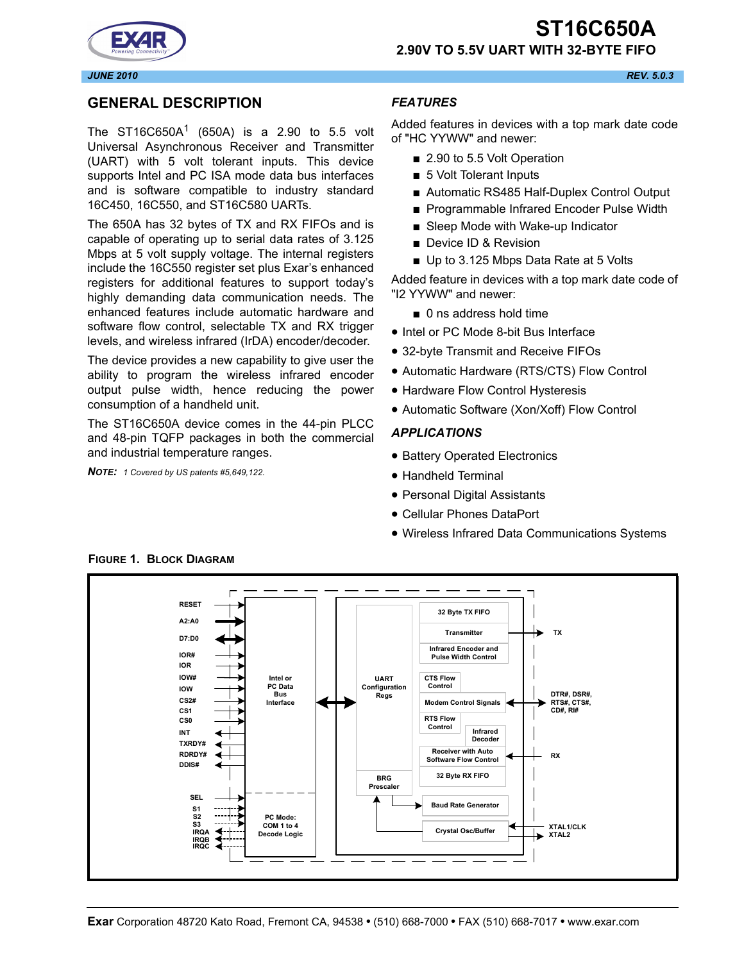## **ST16C650A 2.90V TO 5.5V UART WITH 32-BYTE FIFO**



### *JUNE 2010 REV. 5.0.3*

### **GENERAL DESCRIPTION**

The ST16C650A<sup>1</sup> (650A) is a 2.90 to 5.5 volt Universal Asynchronous Receiver and Transmitter (UART) with 5 volt tolerant inputs. This device supports Intel and PC ISA mode data bus interfaces and is software compatible to industry standard 16C450, 16C550, and ST16C580 UARTs.

The 650A has 32 bytes of TX and RX FIFOs and is capable of operating up to serial data rates of 3.125 Mbps at 5 volt supply voltage. The internal registers include the 16C550 register set plus Exar's enhanced registers for additional features to support today's highly demanding data communication needs. The enhanced features include automatic hardware and software flow control, selectable TX and RX trigger levels, and wireless infrared (IrDA) encoder/decoder.

The device provides a new capability to give user the ability to program the wireless infrared encoder output pulse width, hence reducing the power consumption of a handheld unit.

The ST16C650A device comes in the 44-pin PLCC and 48-pin TQFP packages in both the commercial and industrial temperature ranges.

*NOTE: 1 Covered by US patents #5,649,122.* 

### *FEATURES*

Added features in devices with a top mark date code of "HC YYWW" and newer:

- 2.90 to 5.5 Volt Operation
- 5 Volt Tolerant Inputs
- Automatic RS485 Half-Duplex Control Output
- Programmable Infrared Encoder Pulse Width
- Sleep Mode with Wake-up Indicator
- Device ID & Revision
- Up to 3.125 Mbps Data Rate at 5 Volts

Added feature in devices with a top mark date code of "I2 YYWW" and newer:

- 0 ns address hold time
- Intel or PC Mode 8-bit Bus Interface
- 32-byte Transmit and Receive FIFOs
- Automatic Hardware (RTS/CTS) Flow Control
- Hardware Flow Control Hysteresis
- Automatic Software (Xon/Xoff) Flow Control

### *APPLICATIONS*

- Battery Operated Electronics
- Handheld Terminal
- Personal Digital Assistants
- Cellular Phones DataPort
- Wireless Infrared Data Communications Systems



**FIGURE 1. BLOCK DIAGRAM**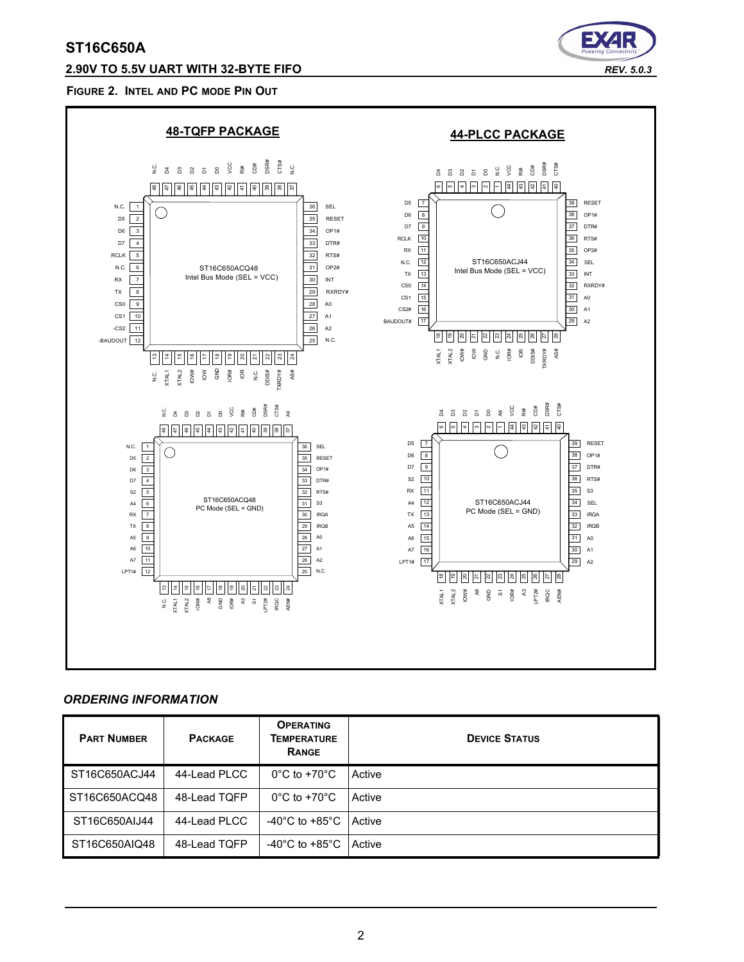### **2.90V TO 5.5V UART WITH 32-BYTE FIFO** *REV. 5.0.3*



### <span id="page-1-0"></span>**FIGURE 2. INTEL AND PC MODE PIN OUT**



### *ORDERING INFORMATION*

| <b>PART NUMBER</b> | <b>PACKAGE</b> | <b>OPERATING</b><br><b>TEMPERATURE</b><br><b>RANGE</b> | <b>DEVICE STATUS</b> |
|--------------------|----------------|--------------------------------------------------------|----------------------|
| ST16C650ACJ44      | 44-Lead PLCC   | $0^{\circ}$ C to +70 $^{\circ}$ C                      | Active               |
| ST16C650ACQ48      | 48-Lead TQFP   | $0^{\circ}$ C to +70 $^{\circ}$ C                      | Active               |
| ST16C650AIJ44      | 44-Lead PLCC   | -40 $^{\circ}$ C to +85 $^{\circ}$ C                   | Active               |
| ST16C650AIQ48      | 48-Lead TQFP   | -40 $^{\circ}$ C to +85 $^{\circ}$ C                   | Active               |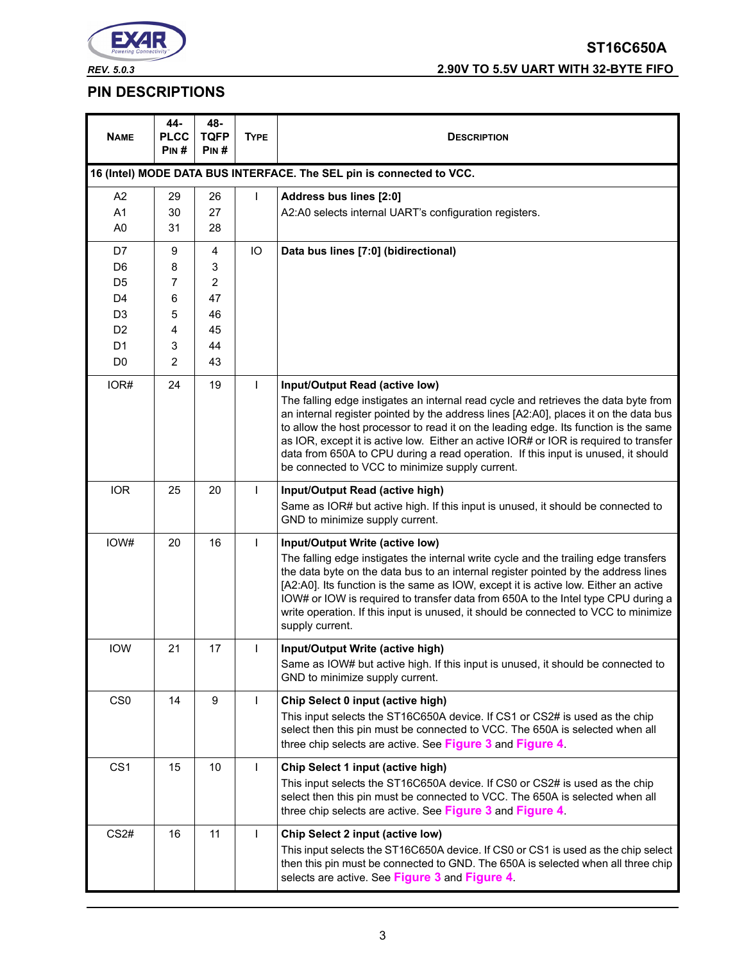

## *REV. 5.0.3* **2.90V TO 5.5V UART WITH 32-BYTE FIFO**

## **PIN DESCRIPTIONS**

| <b>NAME</b>      | 44-<br><b>PLCC</b><br>PIN# | 48-<br><b>TQFP</b><br>PIN# | <b>TYPE</b>  | <b>DESCRIPTION</b>                                                                                                                                                                                                                                                                                                                                                                                                                                                                                                                     |
|------------------|----------------------------|----------------------------|--------------|----------------------------------------------------------------------------------------------------------------------------------------------------------------------------------------------------------------------------------------------------------------------------------------------------------------------------------------------------------------------------------------------------------------------------------------------------------------------------------------------------------------------------------------|
|                  |                            |                            |              | 16 (Intel) MODE DATA BUS INTERFACE. The SEL pin is connected to VCC.                                                                                                                                                                                                                                                                                                                                                                                                                                                                   |
| A2               | 29                         | 26                         | $\mathsf{I}$ | Address bus lines [2:0]                                                                                                                                                                                                                                                                                                                                                                                                                                                                                                                |
| A <sub>1</sub>   | 30                         | 27                         |              | A2:A0 selects internal UART's configuration registers.                                                                                                                                                                                                                                                                                                                                                                                                                                                                                 |
| A <sub>0</sub>   | 31                         | 28                         |              |                                                                                                                                                                                                                                                                                                                                                                                                                                                                                                                                        |
| D7               | 9                          | 4                          | IO           | Data bus lines [7:0] (bidirectional)                                                                                                                                                                                                                                                                                                                                                                                                                                                                                                   |
| D <sub>6</sub>   | 8                          | 3                          |              |                                                                                                                                                                                                                                                                                                                                                                                                                                                                                                                                        |
| D <sub>5</sub>   | 7                          | 2                          |              |                                                                                                                                                                                                                                                                                                                                                                                                                                                                                                                                        |
| D <sub>4</sub>   | 6                          | 47                         |              |                                                                                                                                                                                                                                                                                                                                                                                                                                                                                                                                        |
| D <sub>3</sub>   | 5                          | 46                         |              |                                                                                                                                                                                                                                                                                                                                                                                                                                                                                                                                        |
| D <sub>2</sub>   | 4                          | 45                         |              |                                                                                                                                                                                                                                                                                                                                                                                                                                                                                                                                        |
| D <sub>1</sub>   | 3                          | 44                         |              |                                                                                                                                                                                                                                                                                                                                                                                                                                                                                                                                        |
| D <sub>0</sub>   | $\overline{2}$             | 43                         |              |                                                                                                                                                                                                                                                                                                                                                                                                                                                                                                                                        |
| IOR#             | 24                         | 19                         | $\mathbf{I}$ | Input/Output Read (active low)<br>The falling edge instigates an internal read cycle and retrieves the data byte from<br>an internal register pointed by the address lines [A2:A0], places it on the data bus<br>to allow the host processor to read it on the leading edge. Its function is the same<br>as IOR, except it is active low. Either an active IOR# or IOR is required to transfer<br>data from 650A to CPU during a read operation. If this input is unused, it should<br>be connected to VCC to minimize supply current. |
| <b>IOR</b>       | 25                         | 20                         | $\mathsf{I}$ | Input/Output Read (active high)<br>Same as IOR# but active high. If this input is unused, it should be connected to<br>GND to minimize supply current.                                                                                                                                                                                                                                                                                                                                                                                 |
| IOW#             | 20                         | 16                         | $\mathsf{I}$ | Input/Output Write (active low)<br>The falling edge instigates the internal write cycle and the trailing edge transfers<br>the data byte on the data bus to an internal register pointed by the address lines<br>[A2:A0]. Its function is the same as IOW, except it is active low. Either an active<br>IOW# or IOW is required to transfer data from 650A to the Intel type CPU during a<br>write operation. If this input is unused, it should be connected to VCC to minimize<br>supply current.                                    |
| <b>IOW</b>       | 21                         | 17                         | $\mathbf{I}$ | Input/Output Write (active high)<br>Same as IOW# but active high. If this input is unused, it should be connected to<br>GND to minimize supply current.                                                                                                                                                                                                                                                                                                                                                                                |
| CS <sub>0</sub>  | 14                         | 9                          | $\mathsf{I}$ | Chip Select 0 input (active high)<br>This input selects the ST16C650A device. If CS1 or CS2# is used as the chip<br>select then this pin must be connected to VCC. The 650A is selected when all<br>three chip selects are active. See Figure 3 and Figure 4.                                                                                                                                                                                                                                                                          |
| CS <sub>1</sub>  | 15                         | 10                         | $\mathsf{I}$ | Chip Select 1 input (active high)<br>This input selects the ST16C650A device. If CS0 or CS2# is used as the chip<br>select then this pin must be connected to VCC. The 650A is selected when all<br>three chip selects are active. See Figure 3 and Figure 4.                                                                                                                                                                                                                                                                          |
| CS <sub>2#</sub> | 16                         | 11                         | $\mathsf{I}$ | <b>Chip Select 2 input (active low)</b><br>This input selects the ST16C650A device. If CS0 or CS1 is used as the chip select<br>then this pin must be connected to GND. The 650A is selected when all three chip<br>selects are active. See Figure 3 and Figure 4.                                                                                                                                                                                                                                                                     |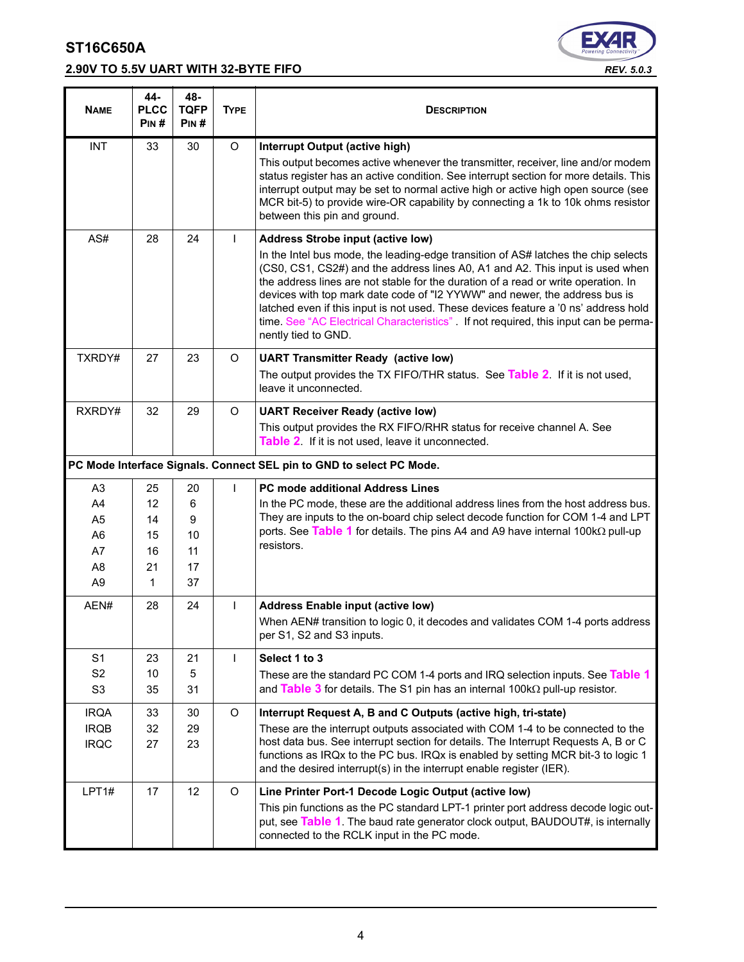## **2.90V TO 5.5V UART WITH 32-BYTE FIFO** *REV. 5.0.3*



| <b>NAME</b>                                                                                        | 44-<br><b>PLCC</b><br>PIN#            | 48-<br><b>TQFP</b><br>PIN#           | <b>TYPE</b>  | <b>DESCRIPTION</b>                                                                                                                                                                                                                                                                                                                                                                                                                                                                                                                                                                        |
|----------------------------------------------------------------------------------------------------|---------------------------------------|--------------------------------------|--------------|-------------------------------------------------------------------------------------------------------------------------------------------------------------------------------------------------------------------------------------------------------------------------------------------------------------------------------------------------------------------------------------------------------------------------------------------------------------------------------------------------------------------------------------------------------------------------------------------|
| <b>INT</b>                                                                                         | 33                                    | 30                                   | $\circ$      | Interrupt Output (active high)<br>This output becomes active whenever the transmitter, receiver, line and/or modem<br>status register has an active condition. See interrupt section for more details. This<br>interrupt output may be set to normal active high or active high open source (see<br>MCR bit-5) to provide wire-OR capability by connecting a 1k to 10k ohms resistor<br>between this pin and ground.                                                                                                                                                                      |
| AS#                                                                                                | 28                                    | 24                                   | $\mathsf{I}$ | <b>Address Strobe input (active low)</b><br>In the Intel bus mode, the leading-edge transition of AS# latches the chip selects<br>(CS0, CS1, CS2#) and the address lines A0, A1 and A2. This input is used when<br>the address lines are not stable for the duration of a read or write operation. In<br>devices with top mark date code of "I2 YYWW" and newer, the address bus is<br>latched even if this input is not used. These devices feature a '0 ns' address hold<br>time. See "AC Electrical Characteristics". If not required, this input can be perma-<br>nently tied to GND. |
| TXRDY#                                                                                             | 27                                    | 23                                   | $\circ$      | <b>UART Transmitter Ready (active low)</b><br>The output provides the TX FIFO/THR status. See Table 2. If it is not used,<br>leave it unconnected.                                                                                                                                                                                                                                                                                                                                                                                                                                        |
| RXRDY#                                                                                             | 32                                    | 29                                   | O            | <b>UART Receiver Ready (active low)</b><br>This output provides the RX FIFO/RHR status for receive channel A. See<br>Table 2. If it is not used, leave it unconnected.                                                                                                                                                                                                                                                                                                                                                                                                                    |
|                                                                                                    |                                       |                                      |              | PC Mode Interface Signals. Connect SEL pin to GND to select PC Mode.                                                                                                                                                                                                                                                                                                                                                                                                                                                                                                                      |
| A <sub>3</sub><br>A4<br>A <sub>5</sub><br>A <sub>6</sub><br>A7<br>A <sub>8</sub><br>A <sub>9</sub> | 25<br>12<br>14<br>15<br>16<br>21<br>1 | 20<br>6<br>9<br>10<br>11<br>17<br>37 | $\mathsf{I}$ | PC mode additional Address Lines<br>In the PC mode, these are the additional address lines from the host address bus.<br>They are inputs to the on-board chip select decode function for COM 1-4 and LPT<br>ports. See Table 1 for details. The pins A4 and A9 have internal 100kΩ pull-up<br>resistors.                                                                                                                                                                                                                                                                                  |
| AEN#                                                                                               | 28                                    | 24                                   | $\mathbf{I}$ | <b>Address Enable input (active low)</b><br>When AEN# transition to logic 0, it decodes and validates COM 1-4 ports address<br>per S1, S2 and S3 inputs.                                                                                                                                                                                                                                                                                                                                                                                                                                  |
| S <sub>1</sub><br>S <sub>2</sub><br>S <sub>3</sub>                                                 | 23<br>10<br>35                        | 21<br>5<br>31                        | $\mathbf{I}$ | Select 1 to 3<br>These are the standard PC COM 1-4 ports and IRQ selection inputs. See Table 1<br>and Table 3 for details. The S1 pin has an internal 100k $\Omega$ pull-up resistor.                                                                                                                                                                                                                                                                                                                                                                                                     |
| <b>IRQA</b><br><b>IRQB</b><br><b>IRQC</b>                                                          | 33<br>32<br>27                        | 30<br>29<br>23                       | O            | Interrupt Request A, B and C Outputs (active high, tri-state)<br>These are the interrupt outputs associated with COM 1-4 to be connected to the<br>host data bus. See interrupt section for details. The Interrupt Requests A, B or C<br>functions as IRQx to the PC bus. IRQx is enabled by setting MCR bit-3 to logic 1<br>and the desired interrupt(s) in the interrupt enable register (IER).                                                                                                                                                                                         |
| LPT1#                                                                                              | 17                                    | 12                                   | $\circ$      | Line Printer Port-1 Decode Logic Output (active low)<br>This pin functions as the PC standard LPT-1 printer port address decode logic out-<br>put, see Table 1. The baud rate generator clock output, BAUDOUT#, is internally<br>connected to the RCLK input in the PC mode.                                                                                                                                                                                                                                                                                                              |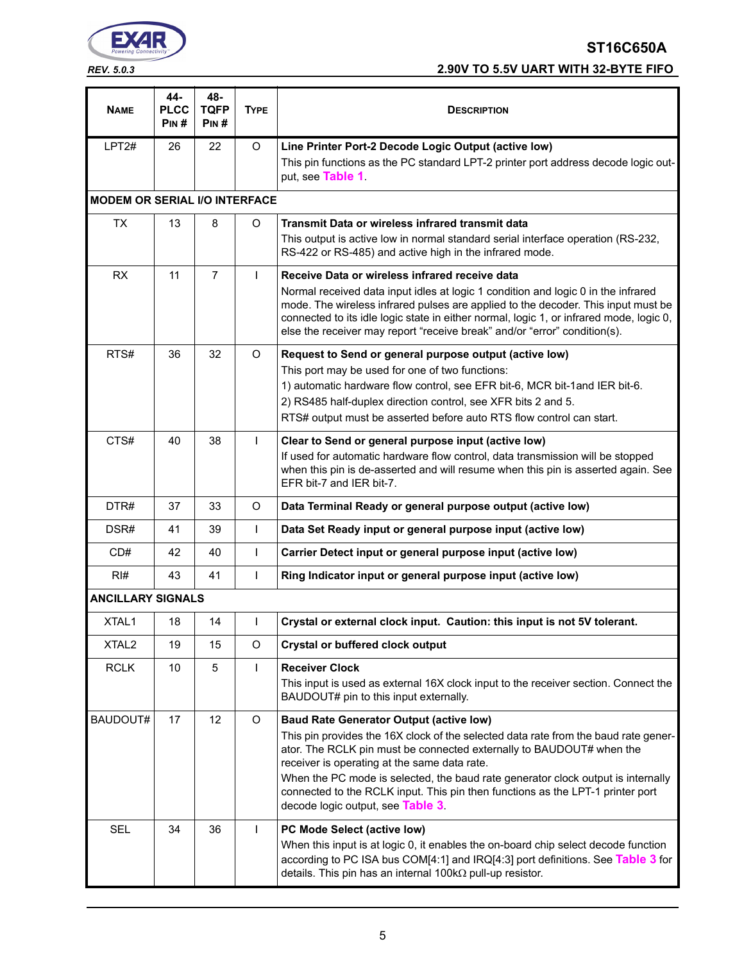

## *REV. 5.0.3* **2.90V TO 5.5V UART WITH 32-BYTE FIFO**

| <b>NAME</b>                          | 44-<br><b>PLCC</b><br>PIN# | 48-<br><b>TQFP</b><br>PIN# | <b>TYPE</b>  | <b>DESCRIPTION</b>                                                                                                                                                                                                                                                                                                                                                                                                                                                       |  |
|--------------------------------------|----------------------------|----------------------------|--------------|--------------------------------------------------------------------------------------------------------------------------------------------------------------------------------------------------------------------------------------------------------------------------------------------------------------------------------------------------------------------------------------------------------------------------------------------------------------------------|--|
| LPT <sub>2#</sub>                    | 26                         | 22                         | O            | Line Printer Port-2 Decode Logic Output (active low)<br>This pin functions as the PC standard LPT-2 printer port address decode logic out-<br>put, see Table 1.                                                                                                                                                                                                                                                                                                          |  |
| <b>MODEM OR SERIAL I/O INTERFACE</b> |                            |                            |              |                                                                                                                                                                                                                                                                                                                                                                                                                                                                          |  |
| <b>TX</b>                            | 13                         | 8                          | $\circ$      | Transmit Data or wireless infrared transmit data<br>This output is active low in normal standard serial interface operation (RS-232,<br>RS-422 or RS-485) and active high in the infrared mode.                                                                                                                                                                                                                                                                          |  |
| <b>RX</b>                            | 11                         | $\overline{7}$             | $\mathsf{I}$ | Receive Data or wireless infrared receive data<br>Normal received data input idles at logic 1 condition and logic 0 in the infrared<br>mode. The wireless infrared pulses are applied to the decoder. This input must be<br>connected to its idle logic state in either normal, logic 1, or infrared mode, logic 0,<br>else the receiver may report "receive break" and/or "error" condition(s).                                                                         |  |
| RTS#                                 | 36                         | 32                         | $\circ$      | Request to Send or general purpose output (active low)<br>This port may be used for one of two functions:<br>1) automatic hardware flow control, see EFR bit-6, MCR bit-1 and IER bit-6.<br>2) RS485 half-duplex direction control, see XFR bits 2 and 5.<br>RTS# output must be asserted before auto RTS flow control can start.                                                                                                                                        |  |
| CTS#                                 | 40                         | 38                         | $\mathsf{I}$ | Clear to Send or general purpose input (active low)<br>If used for automatic hardware flow control, data transmission will be stopped<br>when this pin is de-asserted and will resume when this pin is asserted again. See<br>EFR bit-7 and IER bit-7.                                                                                                                                                                                                                   |  |
| DTR#                                 | 37                         | 33                         | O            | Data Terminal Ready or general purpose output (active low)                                                                                                                                                                                                                                                                                                                                                                                                               |  |
| DSR#                                 | 41                         | 39                         | $\mathsf{L}$ | Data Set Ready input or general purpose input (active low)                                                                                                                                                                                                                                                                                                                                                                                                               |  |
| CD#                                  | 42                         | 40                         | $\mathsf{I}$ | Carrier Detect input or general purpose input (active low)                                                                                                                                                                                                                                                                                                                                                                                                               |  |
| RH#                                  | 43                         | 41                         | $\mathsf{I}$ | Ring Indicator input or general purpose input (active low)                                                                                                                                                                                                                                                                                                                                                                                                               |  |
| <b>ANCILLARY SIGNALS</b>             |                            |                            |              |                                                                                                                                                                                                                                                                                                                                                                                                                                                                          |  |
| XTAL <sub>1</sub>                    | 18                         | 14                         |              | Crystal or external clock input. Caution: this input is not 5V tolerant.                                                                                                                                                                                                                                                                                                                                                                                                 |  |
| XTAL <sub>2</sub>                    | 19                         | 15                         | $\mathsf O$  | Crystal or buffered clock output                                                                                                                                                                                                                                                                                                                                                                                                                                         |  |
| <b>RCLK</b>                          | 10                         | 5                          | $\mathbf{I}$ | <b>Receiver Clock</b><br>This input is used as external 16X clock input to the receiver section. Connect the<br>BAUDOUT# pin to this input externally.                                                                                                                                                                                                                                                                                                                   |  |
| BAUDOUT#                             | 17                         | 12                         | O            | <b>Baud Rate Generator Output (active low)</b><br>This pin provides the 16X clock of the selected data rate from the baud rate gener-<br>ator. The RCLK pin must be connected externally to BAUDOUT# when the<br>receiver is operating at the same data rate.<br>When the PC mode is selected, the baud rate generator clock output is internally<br>connected to the RCLK input. This pin then functions as the LPT-1 printer port<br>decode logic output, see Table 3. |  |
| <b>SEL</b>                           | 34                         | 36                         | $\mathsf{I}$ | PC Mode Select (active low)<br>When this input is at logic 0, it enables the on-board chip select decode function<br>according to PC ISA bus COM[4:1] and IRQ[4:3] port definitions. See Table 3 for<br>details. This pin has an internal $100k\Omega$ pull-up resistor.                                                                                                                                                                                                 |  |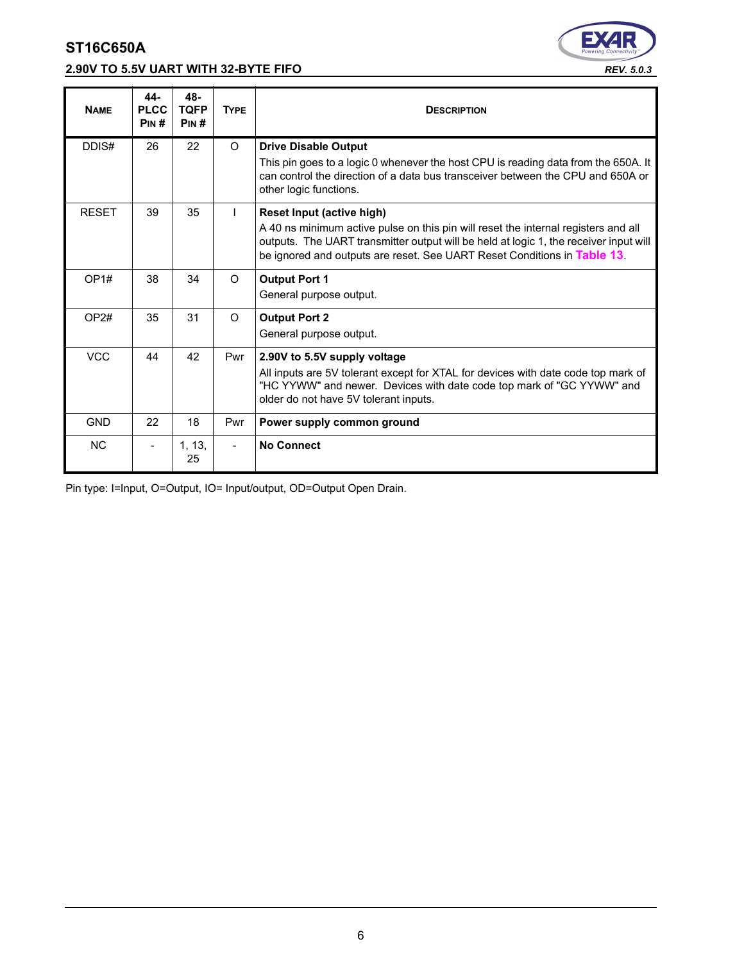## **2.90V TO 5.5V UART WITH 32-BYTE FIFO** *REV. 5.0.3*



| <b>NAME</b>  | 44-<br><b>PLCC</b><br>PIN# | 48-<br><b>TQFP</b><br>PIN# | <b>TYPE</b>    | <b>DESCRIPTION</b>                                                                                                                                                                                                                                                                         |
|--------------|----------------------------|----------------------------|----------------|--------------------------------------------------------------------------------------------------------------------------------------------------------------------------------------------------------------------------------------------------------------------------------------------|
| DDIS#        | 26                         | 22                         | $\circ$        | <b>Drive Disable Output</b><br>This pin goes to a logic 0 whenever the host CPU is reading data from the 650A. It<br>can control the direction of a data bus transceiver between the CPU and 650A or<br>other logic functions.                                                             |
| <b>RESET</b> | 39                         | 35                         |                | <b>Reset Input (active high)</b><br>A 40 ns minimum active pulse on this pin will reset the internal registers and all<br>outputs. The UART transmitter output will be held at logic 1, the receiver input will<br>be ignored and outputs are reset. See UART Reset Conditions in Table 13 |
| OP1#         | 38                         | 34                         | $\circ$        | <b>Output Port 1</b><br>General purpose output.                                                                                                                                                                                                                                            |
| OP2#         | 35                         | 31                         | $\circ$        | <b>Output Port 2</b><br>General purpose output.                                                                                                                                                                                                                                            |
| <b>VCC</b>   | 44                         | 42                         | Pwr            | 2.90V to 5.5V supply voltage<br>All inputs are 5V tolerant except for XTAL for devices with date code top mark of<br>"HC YYWW" and newer. Devices with date code top mark of "GC YYWW" and<br>older do not have 5V tolerant inputs.                                                        |
| <b>GND</b>   | 22                         | 18                         | Pwr            | Power supply common ground                                                                                                                                                                                                                                                                 |
| <b>NC</b>    |                            | 1, 13,<br>25               | $\blacksquare$ | <b>No Connect</b>                                                                                                                                                                                                                                                                          |

Pin type: I=Input, O=Output, IO= Input/output, OD=Output Open Drain.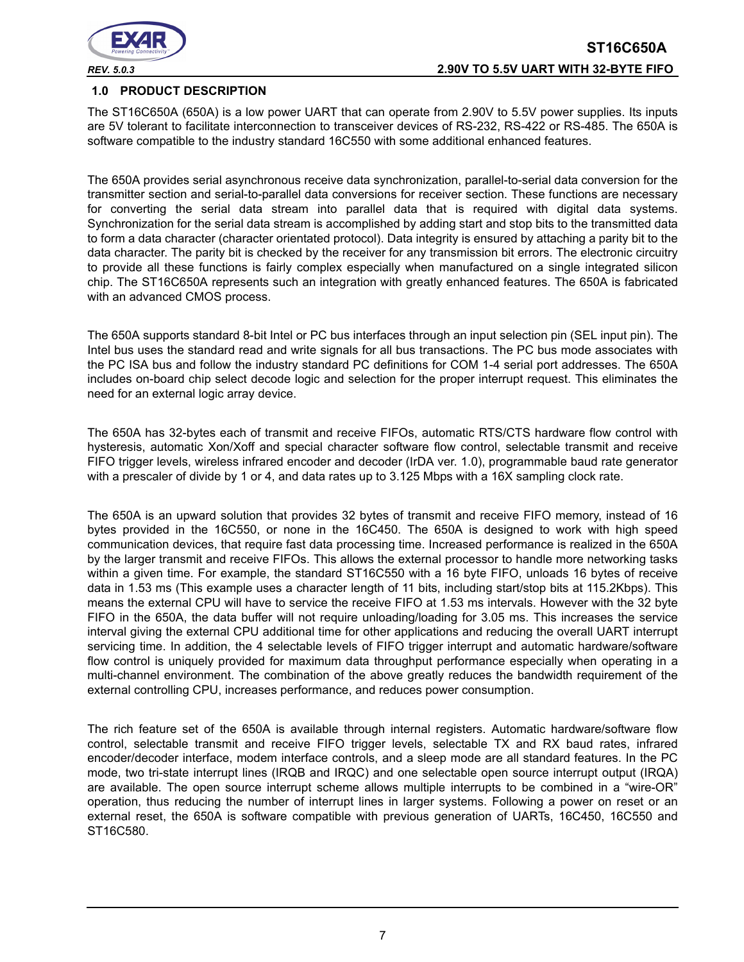

### **1.0 PRODUCT DESCRIPTION**

The ST16C650A (650A) is a low power UART that can operate from 2.90V to 5.5V power supplies. Its inputs are 5V tolerant to facilitate interconnection to transceiver devices of RS-232, RS-422 or RS-485. The 650A is software compatible to the industry standard 16C550 with some additional enhanced features.

The 650A provides serial asynchronous receive data synchronization, parallel-to-serial data conversion for the transmitter section and serial-to-parallel data conversions for receiver section. These functions are necessary for converting the serial data stream into parallel data that is required with digital data systems. Synchronization for the serial data stream is accomplished by adding start and stop bits to the transmitted data to form a data character (character orientated protocol). Data integrity is ensured by attaching a parity bit to the data character. The parity bit is checked by the receiver for any transmission bit errors. The electronic circuitry to provide all these functions is fairly complex especially when manufactured on a single integrated silicon chip. The ST16C650A represents such an integration with greatly enhanced features. The 650A is fabricated with an advanced CMOS process.

The 650A supports standard 8-bit Intel or PC bus interfaces through an input selection pin (SEL input pin). The Intel bus uses the standard read and write signals for all bus transactions. The PC bus mode associates with the PC ISA bus and follow the industry standard PC definitions for COM 1-4 serial port addresses. The 650A includes on-board chip select decode logic and selection for the proper interrupt request. This eliminates the need for an external logic array device.

The 650A has 32-bytes each of transmit and receive FIFOs, automatic RTS/CTS hardware flow control with hysteresis, automatic Xon/Xoff and special character software flow control, selectable transmit and receive FIFO trigger levels, wireless infrared encoder and decoder (IrDA ver. 1.0), programmable baud rate generator with a prescaler of divide by 1 or 4, and data rates up to 3.125 Mbps with a 16X sampling clock rate.

The 650A is an upward solution that provides 32 bytes of transmit and receive FIFO memory, instead of 16 bytes provided in the 16C550, or none in the 16C450. The 650A is designed to work with high speed communication devices, that require fast data processing time. Increased performance is realized in the 650A by the larger transmit and receive FIFOs. This allows the external processor to handle more networking tasks within a given time. For example, the standard ST16C550 with a 16 byte FIFO, unloads 16 bytes of receive data in 1.53 ms (This example uses a character length of 11 bits, including start/stop bits at 115.2Kbps). This means the external CPU will have to service the receive FIFO at 1.53 ms intervals. However with the 32 byte FIFO in the 650A, the data buffer will not require unloading/loading for 3.05 ms. This increases the service interval giving the external CPU additional time for other applications and reducing the overall UART interrupt servicing time. In addition, the 4 selectable levels of FIFO trigger interrupt and automatic hardware/software flow control is uniquely provided for maximum data throughput performance especially when operating in a multi-channel environment. The combination of the above greatly reduces the bandwidth requirement of the external controlling CPU, increases performance, and reduces power consumption.

The rich feature set of the 650A is available through internal registers. Automatic hardware/software flow control, selectable transmit and receive FIFO trigger levels, selectable TX and RX baud rates, infrared encoder/decoder interface, modem interface controls, and a sleep mode are all standard features. In the PC mode, two tri-state interrupt lines (IRQB and IRQC) and one selectable open source interrupt output (IRQA) are available. The open source interrupt scheme allows multiple interrupts to be combined in a "wire-OR" operation, thus reducing the number of interrupt lines in larger systems. Following a power on reset or an external reset, the 650A is software compatible with previous generation of UARTs, 16C450, 16C550 and ST16C580.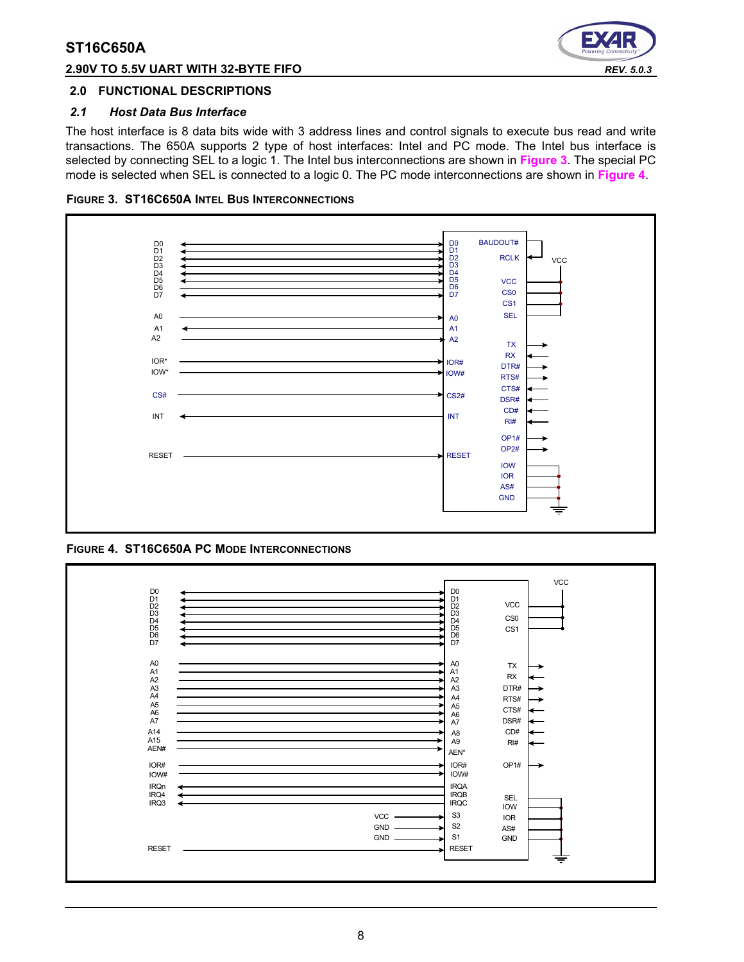## **2.90V TO 5.5V UART WITH 32-BYTE FIFO** *REV. 5.0.3*



### **2.0 FUNCTIONAL DESCRIPTIONS**

### *2.1 Host Data Bus Interface*

The host interface is 8 data bits wide with 3 address lines and control signals to execute bus read and write transactions. The 650A supports 2 type of host interfaces: Intel and PC mode. The Intel bus interface is selected by connecting SEL to a logic 1. The Intel bus interconnections are shown in **[Figure](#page-7-0) 3**. The special PC mode is selected when SEL is connected to a logic 0. The PC mode interconnections are shown in **[Figure](#page-7-1) 4**.

### <span id="page-7-0"></span>**FIGURE 3. ST16C650A INTEL BUS INTERCONNECTIONS**



<span id="page-7-1"></span>

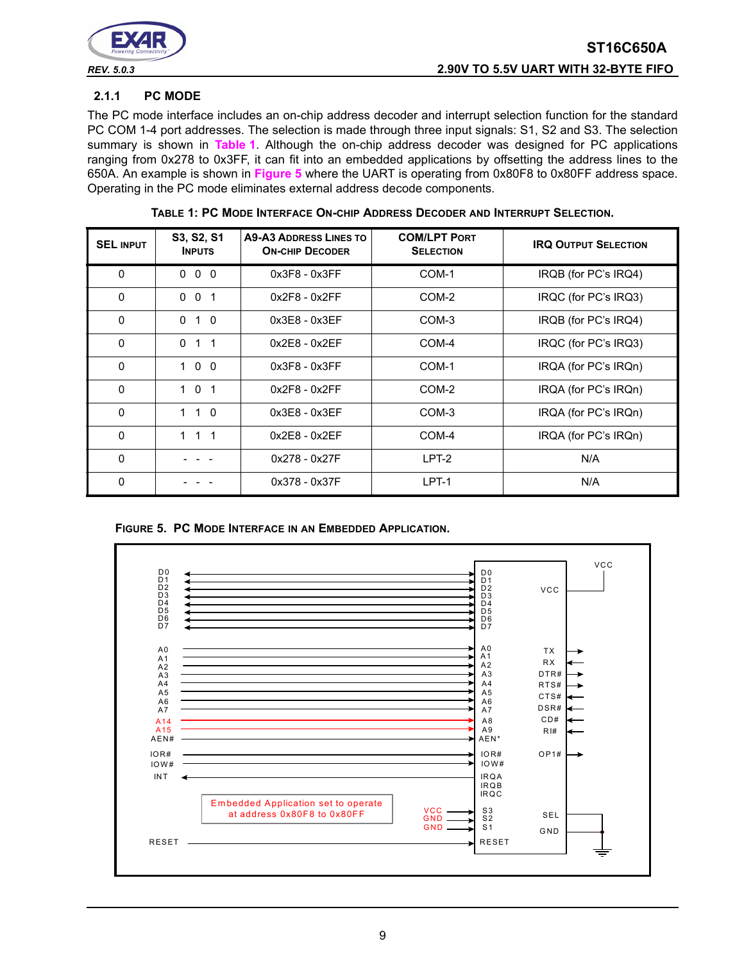

**2.1.1 PC MODE**

The PC mode interface includes an on-chip address decoder and interrupt selection function for the standard PC COM 1-4 port addresses. The selection is made through three input signals: S1, S2 and S3. The selection summary is shown in **[Table](#page-8-0) 1**. Although the on-chip address decoder was designed for PC applications ranging from 0x278 to 0x3FF, it can fit into an embedded applications by offsetting the address lines to the 650A. An example is shown in **[Figure](#page-8-1) 5** where the UART is operating from 0x80F8 to 0x80FF address space. Operating in the PC mode eliminates external address decode components.

<span id="page-8-0"></span>

| <b>SEL INPUT</b> | S3, S2, S1<br><b>INPUTS</b> | <b>A9-A3 ADDRESS LINES TO</b><br><b>ON-CHIP DECODER</b> | <b>COM/LPT PORT</b><br><b>SELECTION</b> | <b>IRQ OUTPUT SELECTION</b> |
|------------------|-----------------------------|---------------------------------------------------------|-----------------------------------------|-----------------------------|
| $\mathbf{0}$     | $0\quad 0\quad 0$           | $0x3F8 - 0x3FF$                                         | COM-1                                   | IRQB (for PC's IRQ4)        |
| $\mathbf{0}$     | $0\quad0\quad1$             | $0x2F8 - 0x2FF$                                         | COM-2                                   | IRQC (for PC's IRQ3)        |
| $\Omega$         | $1\quad 0$<br>$\Omega$      | $0x3E8 - 0x3EF$                                         | COM-3                                   | IRQB (for PC's IRQ4)        |
| $\Omega$         | $1 \quad 1$<br>$\Omega$     | $0x2E8 - 0x2EF$                                         | COM-4                                   | IRQC (for PC's IRQ3)        |
| $\Omega$         | 100                         | $0x3F8 - 0x3FF$                                         | COM-1                                   | IRQA (for PC's IRQn)        |
| $\mathbf{0}$     | 1 0 1                       | $0x2F8 - 0x2FF$                                         | COM-2                                   | IRQA (for PC's IRQn)        |
| $\Omega$         | $1\quad1\quad0$             | $0x3E8 - 0x3EF$                                         | COM-3                                   | IRQA (for PC's IRQn)        |
| $\Omega$         | $1 \t1 \t1$                 | $0x2E8 - 0x2EF$                                         | COM-4                                   | IRQA (for PC's IRQn)        |
| $\Omega$         |                             | 0x278 - 0x27F                                           | LPT-2                                   | N/A                         |
| 0                |                             | 0x378 - 0x37F                                           | LPT-1                                   | N/A                         |

**TABLE 1: PC MODE INTERFACE ON-CHIP ADDRESS DECODER AND INTERRUPT SELECTION.**

<span id="page-8-1"></span>**FIGURE 5. PC MODE INTERFACE IN AN EMBEDDED APPLICATION.**

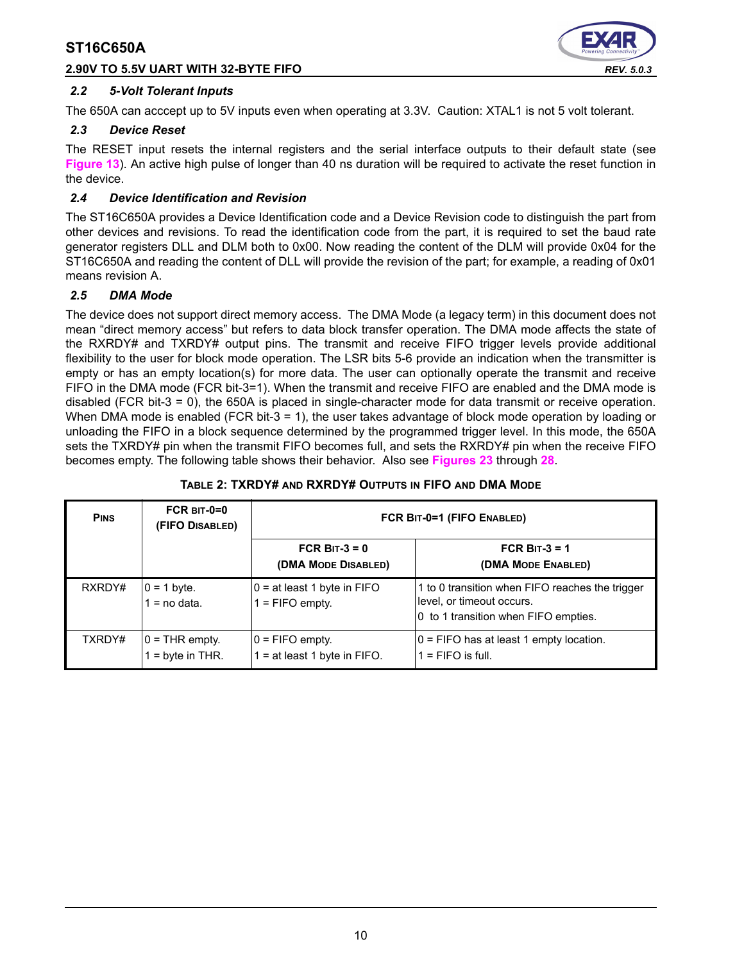### **2.90V TO 5.5V UART WITH 32-BYTE FIFO** *REV. 5.0.3*



### *2.2 5-Volt Tolerant Inputs*

The 650A can acccept up to 5V inputs even when operating at 3.3V. Caution: XTAL1 is not 5 volt tolerant.

### *2.3 Device Reset*

The RESET input resets the internal registers and the serial interface outputs to their default state (see **[Figure](#page-36-0) 13**). An active high pulse of longer than 40 ns duration will be required to activate the reset function in the device.

### *2.4 Device Identification and Revision*

The ST16C650A provides a Device Identification code and a Device Revision code to distinguish the part from other devices and revisions. To read the identification code from the part, it is required to set the baud rate generator registers DLL and DLM both to 0x00. Now reading the content of the DLM will provide 0x04 for the ST16C650A and reading the content of DLL will provide the revision of the part; for example, a reading of 0x01 means revision A.

### <span id="page-9-1"></span>*2.5 DMA Mode*

The device does not support direct memory access. The DMA Mode (a legacy term) in this document does not mean "direct memory access" but refers to data block transfer operation. The DMA mode affects the state of the RXRDY# and TXRDY# output pins. The transmit and receive FIFO trigger levels provide additional flexibility to the user for block mode operation. The LSR bits 5-6 provide an indication when the transmitter is empty or has an empty location(s) for more data. The user can optionally operate the transmit and receive FIFO in the DMA mode (FCR bit-3=1). When the transmit and receive FIFO are enabled and the DMA mode is disabled (FCR bit-3 = 0), the 650A is placed in single-character mode for data transmit or receive operation. When DMA mode is enabled (FCR bit-3 = 1), the user takes advantage of block mode operation by loading or unloading the FIFO in a block sequence determined by the programmed trigger level. In this mode, the 650A sets the TXRDY# pin when the transmit FIFO becomes full, and sets the RXRDY# pin when the receive FIFO becomes empty. The following table shows their behavior. Also see **Figures [23](#page-44-0)** through **[28](#page-46-0)**.

<span id="page-9-0"></span>

| <b>PINS</b> | $FCR$ BIT-0=0<br>(FIFO DISABLED)     | FCR BIT-0=1 (FIFO ENABLED)                         |                                                                                                                      |  |  |
|-------------|--------------------------------------|----------------------------------------------------|----------------------------------------------------------------------------------------------------------------------|--|--|
|             |                                      | FCR BIT-3 = $0$<br>(DMA MODE DISABLED)             | FCR BIT- $3 = 1$<br>(DMA MODE ENABLED)                                                                               |  |  |
| RXRDY#      | $0 = 1$ byte.<br>= no data.          | $0 = at least 1 byte in FIFO$<br>$=$ FIFO empty.   | 1 to 0 transition when FIFO reaches the trigger<br>level, or timeout occurs.<br>0 to 1 transition when FIFO empties. |  |  |
| TXRDY#      | $0 =$ THR empty.<br>$=$ byte in THR. | $ 0 =$ FIFO empty.<br>$=$ at least 1 byte in FIFO. | $0 =$ FIFO has at least 1 empty location.<br>$1 =$ FIFO is full.                                                     |  |  |

### **TABLE 2: TXRDY# AND RXRDY# OUTPUTS IN FIFO AND DMA MODE**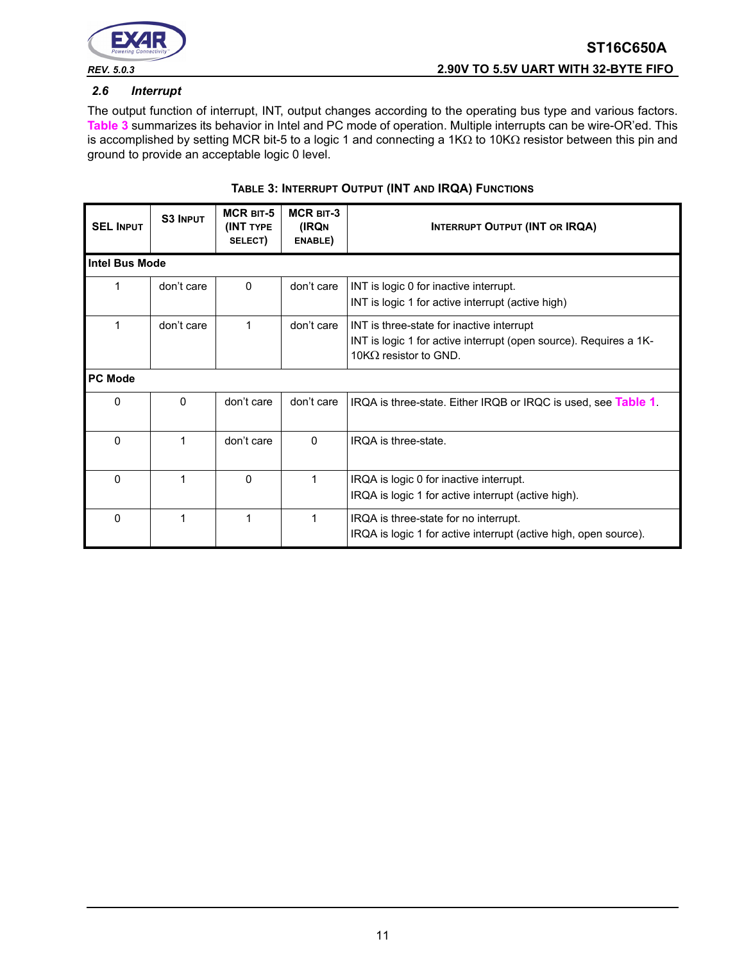

### *2.6 Interrupt*

The output function of interrupt, INT, output changes according to the operating bus type and various factors. **[Table](#page-10-0) 3** summarizes its behavior in Intel and PC mode of operation. Multiple interrupts can be wire-OR'ed. This is accomplished by setting MCR bit-5 to a logic 1 and connecting a 1KΩ to 10KΩ resistor between this pin and ground to provide an acceptable logic 0 level.

<span id="page-10-0"></span>

| <b>SEL INPUT</b>      | <b>S3 INPUT</b> | <b>MCR BIT-5</b><br>(INT TYPE<br>SELECT) | <b>MCR BIT-3</b><br>(IRQN<br>ENABLE) | INTERRUPT OUTPUT (INT OR IRQA)                                                                                                                  |  |  |
|-----------------------|-----------------|------------------------------------------|--------------------------------------|-------------------------------------------------------------------------------------------------------------------------------------------------|--|--|
| <b>Intel Bus Mode</b> |                 |                                          |                                      |                                                                                                                                                 |  |  |
| 1                     | don't care      | $\Omega$                                 | don't care                           | INT is logic 0 for inactive interrupt.<br>INT is logic 1 for active interrupt (active high)                                                     |  |  |
| 1                     | don't care      | 1                                        | don't care                           | INT is three-state for inactive interrupt<br>INT is logic 1 for active interrupt (open source). Requires a 1K-<br>10K $\Omega$ resistor to GND. |  |  |
| <b>PC Mode</b>        |                 |                                          |                                      |                                                                                                                                                 |  |  |
| 0                     | $\Omega$        | don't care                               | don't care                           | IRQA is three-state. Either IRQB or IRQC is used, see Table 1                                                                                   |  |  |
| 0                     |                 | don't care                               | $\Omega$                             | IROA is three-state.                                                                                                                            |  |  |
| 0                     |                 | $\Omega$                                 | 1                                    | IRQA is logic 0 for inactive interrupt.<br>IRQA is logic 1 for active interrupt (active high).                                                  |  |  |
| 0                     |                 | 1                                        | 1                                    | IRQA is three-state for no interrupt.<br>IRQA is logic 1 for active interrupt (active high, open source).                                       |  |  |

### **TABLE 3: INTERRUPT OUTPUT (INT AND IRQA) FUNCTIONS**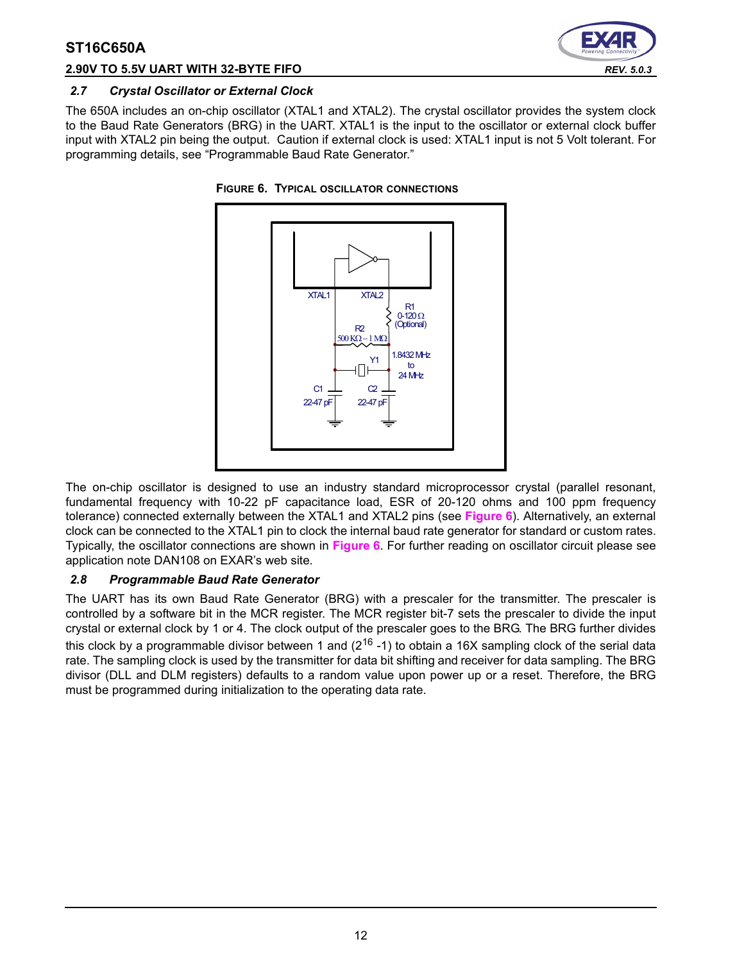

### **2.90V TO 5.5V UART WITH 32-BYTE FIFO** *REV. 5.0.3*

### *2.7 Crystal Oscillator or External Clock*

The 650A includes an on-chip oscillator (XTAL1 and XTAL2). The crystal oscillator provides the system clock to the Baud Rate Generators (BRG) in the UART. XTAL1 is the input to the oscillator or external clock buffer input with XTAL2 pin being the output. Caution if external clock is used: XTAL1 input is not 5 Volt tolerant. For programming details, see "Programmable Baud Rate Generator."



<span id="page-11-0"></span>**FIGURE 6. TYPICAL OSCILLATOR CONNECTIONS**

The on-chip oscillator is designed to use an industry standard microprocessor crystal (parallel resonant, fundamental frequency with 10-22 pF capacitance load, ESR of 20-120 ohms and 100 ppm frequency tolerance) connected externally between the XTAL1 and XTAL2 pins (see **[Figure](#page-11-0) 6**). Alternatively, an external clock can be connected to the XTAL1 pin to clock the internal baud rate generator for standard or custom rates. Typically, the oscillator connections are shown in **[Figure](#page-11-0) 6**. For further reading on oscillator circuit please see application note DAN108 on EXAR's web site.

### *2.8 Programmable Baud Rate Generator*

The UART has its own Baud Rate Generator (BRG) with a prescaler for the transmitter. The prescaler is controlled by a software bit in the MCR register. The MCR register bit-7 sets the prescaler to divide the input crystal or external clock by 1 or 4. The clock output of the prescaler goes to the BRG. The BRG further divides this clock by a programmable divisor between 1 and  $(2^{16} - 1)$  to obtain a 16X sampling clock of the serial data rate. The sampling clock is used by the transmitter for data bit shifting and receiver for data sampling. The BRG divisor (DLL and DLM registers) defaults to a random value upon power up or a reset. Therefore, the BRG must be programmed during initialization to the operating data rate.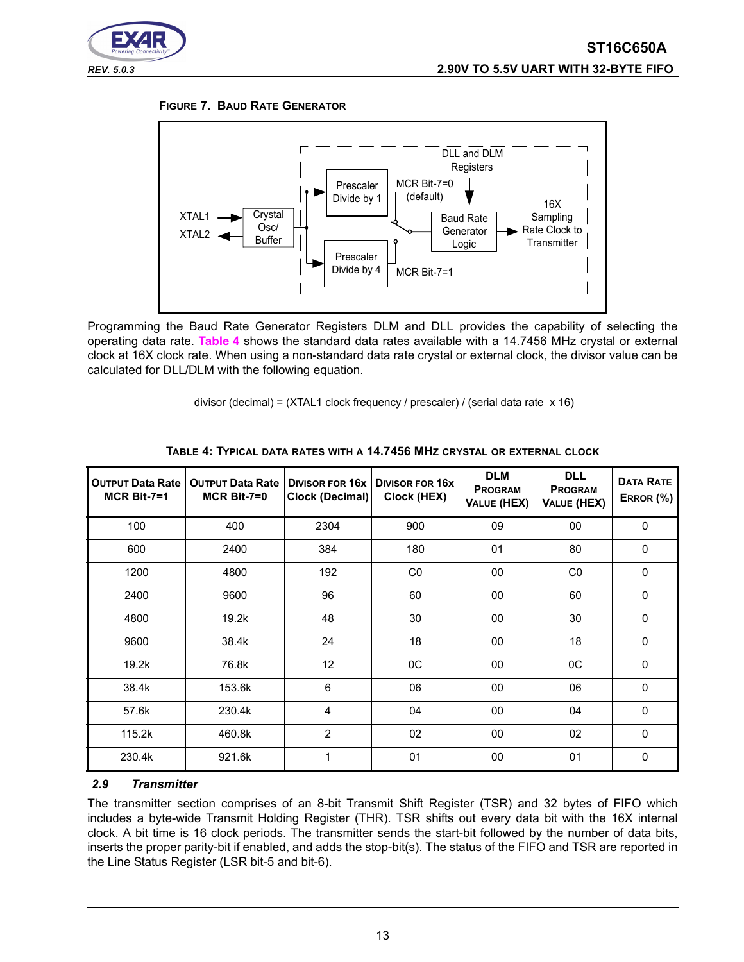

**FIGURE 7. BAUD RATE GENERATOR**



Programming the Baud Rate Generator Registers DLM and DLL provides the capability of selecting the operating data rate. **[Table](#page-12-0) 4** shows the standard data rates available with a 14.7456 MHz crystal or external clock at 16X clock rate. When using a non-standard data rate crystal or external clock, the divisor value can be calculated for DLL/DLM with the following equation.

divisor (decimal) = (XTAL1 clock frequency / prescaler) / (serial data rate x 16)

<span id="page-12-0"></span>

| <b>OUTPUT Data Rate</b><br>$MCR$ Bit-7=1 | <b>OUTPUT Data Rate</b><br>$MCR$ Bit-7=0 | <b>DIVISOR FOR 16x</b><br><b>Clock (Decimal)</b> | <b>DIVISOR FOR 16X</b><br>Clock (HEX) | <b>DLM</b><br><b>PROGRAM</b><br><b>VALUE (HEX)</b> | <b>DLL</b><br><b>PROGRAM</b><br>VALUE (HEX) | <b>DATA RATE</b><br>ERROR (%) |
|------------------------------------------|------------------------------------------|--------------------------------------------------|---------------------------------------|----------------------------------------------------|---------------------------------------------|-------------------------------|
| 100                                      | 400                                      | 2304                                             | 900                                   | 09                                                 | 00                                          | $\mathbf 0$                   |
| 600                                      | 2400                                     | 384                                              | 180                                   | 01                                                 | 80                                          | $\mathbf 0$                   |
| 1200                                     | 4800                                     | 192                                              | CO                                    | 00                                                 | CO                                          | $\mathbf{0}$                  |
| 2400                                     | 9600                                     | 96                                               | 60                                    | 00                                                 | 60                                          | $\Omega$                      |
| 4800                                     | 19.2k                                    | 48                                               | 30                                    | 00                                                 | 30                                          | $\mathbf 0$                   |
| 9600                                     | 38.4k                                    | 24                                               | 18                                    | 00                                                 | 18                                          | $\Omega$                      |
| 19.2k                                    | 76.8k                                    | 12                                               | 0C                                    | 00                                                 | $_{0C}$                                     | $\mathbf{0}$                  |
| 38.4k                                    | 153.6k                                   | 6                                                | 06                                    | 00                                                 | 06                                          | $\Omega$                      |
| 57.6k                                    | 230.4k                                   | 4                                                | 04                                    | 00                                                 | 04                                          | 0                             |
| 115.2k                                   | 460.8k                                   | $\overline{2}$                                   | 02                                    | 00                                                 | 02                                          | $\Omega$                      |
| 230.4k                                   | 921.6k                                   | 1                                                | 01                                    | 00                                                 | 01                                          | $\mathbf{0}$                  |

### **TABLE 4: TYPICAL DATA RATES WITH A 14.7456 MHZ CRYSTAL OR EXTERNAL CLOCK**

### <span id="page-12-1"></span>*2.9 Transmitter*

The transmitter section comprises of an 8-bit Transmit Shift Register (TSR) and 32 bytes of FIFO which includes a byte-wide Transmit Holding Register (THR). TSR shifts out every data bit with the 16X internal clock. A bit time is 16 clock periods. The transmitter sends the start-bit followed by the number of data bits, inserts the proper parity-bit if enabled, and adds the stop-bit(s). The status of the FIFO and TSR are reported in the Line Status Register (LSR bit-5 and bit-6).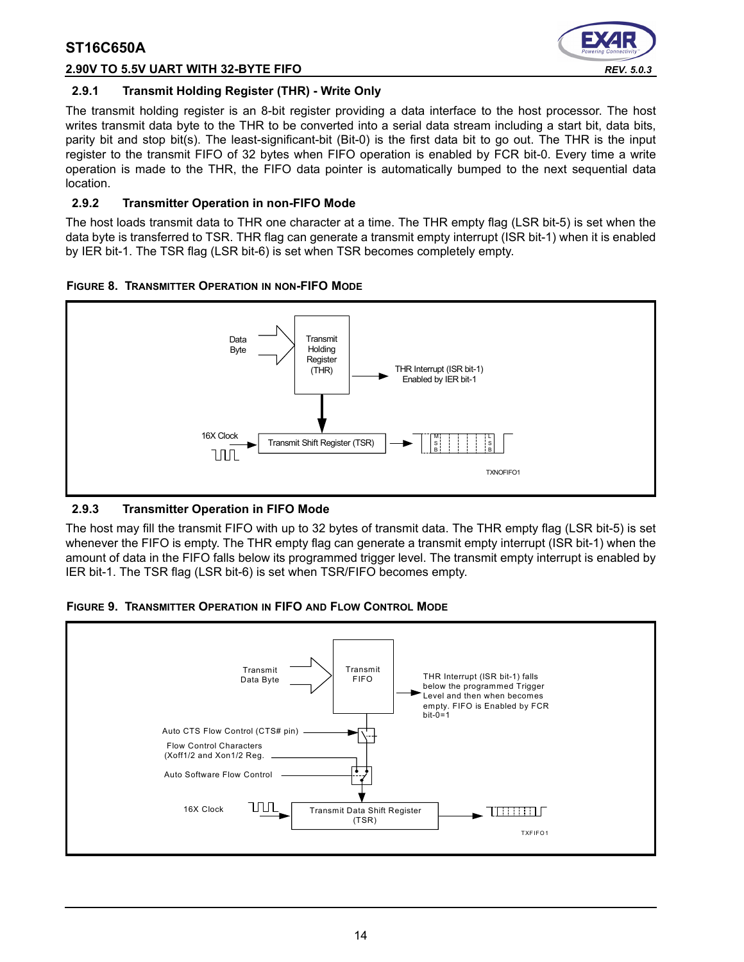### **2.90V TO 5.5V UART WITH 32-BYTE FIFO** *REV. 5.0.3*



### **2.9.1 Transmit Holding Register (THR) - Write Only**

The transmit holding register is an 8-bit register providing a data interface to the host processor. The host writes transmit data byte to the THR to be converted into a serial data stream including a start bit, data bits, parity bit and stop bit(s). The least-significant-bit (Bit-0) is the first data bit to go out. The THR is the input register to the transmit FIFO of 32 bytes when FIFO operation is enabled by FCR bit-0. Every time a write operation is made to the THR, the FIFO data pointer is automatically bumped to the next sequential data location.

### **2.9.2 Transmitter Operation in non-FIFO Mode**

The host loads transmit data to THR one character at a time. The THR empty flag (LSR bit-5) is set when the data byte is transferred to TSR. THR flag can generate a transmit empty interrupt (ISR bit-1) when it is enabled by IER bit-1. The TSR flag (LSR bit-6) is set when TSR becomes completely empty.





### **2.9.3 Transmitter Operation in FIFO Mode**

The host may fill the transmit FIFO with up to 32 bytes of transmit data. The THR empty flag (LSR bit-5) is set whenever the FIFO is empty. The THR empty flag can generate a transmit empty interrupt (ISR bit-1) when the amount of data in the FIFO falls below its programmed trigger level. The transmit empty interrupt is enabled by IER bit-1. The TSR flag (LSR bit-6) is set when TSR/FIFO becomes empty.



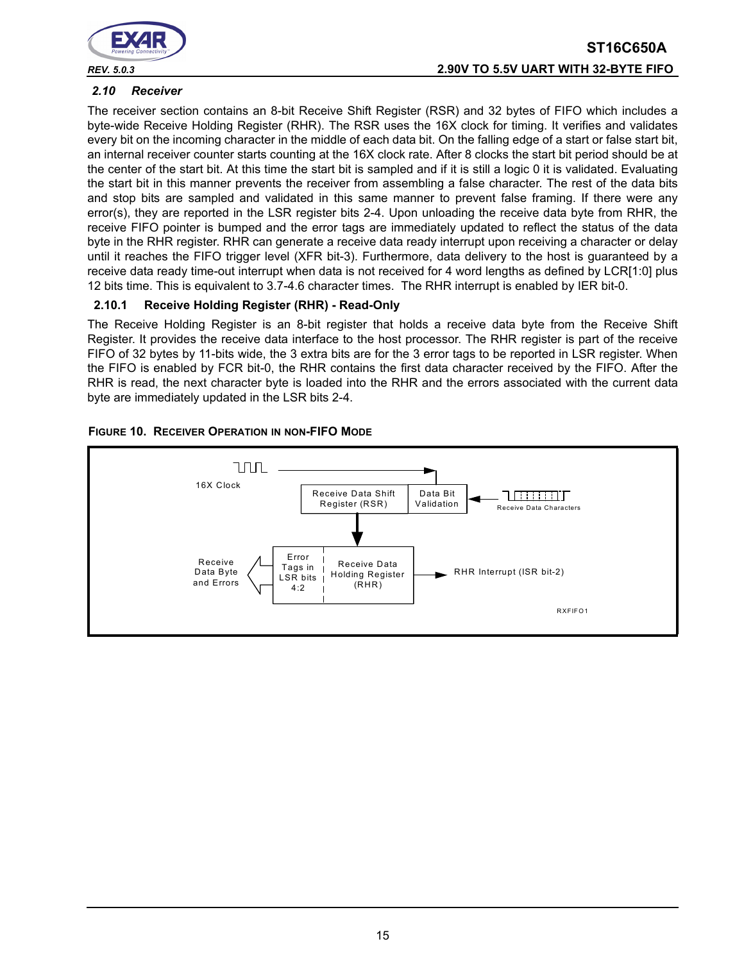

### <span id="page-14-0"></span>*2.10 Receiver*

The receiver section contains an 8-bit Receive Shift Register (RSR) and 32 bytes of FIFO which includes a byte-wide Receive Holding Register (RHR). The RSR uses the 16X clock for timing. It verifies and validates every bit on the incoming character in the middle of each data bit. On the falling edge of a start or false start bit, an internal receiver counter starts counting at the 16X clock rate. After 8 clocks the start bit period should be at the center of the start bit. At this time the start bit is sampled and if it is still a logic 0 it is validated. Evaluating the start bit in this manner prevents the receiver from assembling a false character. The rest of the data bits and stop bits are sampled and validated in this same manner to prevent false framing. If there were any error(s), they are reported in the LSR register bits 2-4. Upon unloading the receive data byte from RHR, the receive FIFO pointer is bumped and the error tags are immediately updated to reflect the status of the data byte in the RHR register. RHR can generate a receive data ready interrupt upon receiving a character or delay until it reaches the FIFO trigger level (XFR bit-3). Furthermore, data delivery to the host is guaranteed by a receive data ready time-out interrupt when data is not received for 4 word lengths as defined by LCR[1:0] plus 12 bits time. This is equivalent to 3.7-4.6 character times. The RHR interrupt is enabled by IER bit-0.

### **2.10.1 Receive Holding Register (RHR) - Read-Only**

The Receive Holding Register is an 8-bit register that holds a receive data byte from the Receive Shift Register. It provides the receive data interface to the host processor. The RHR register is part of the receive FIFO of 32 bytes by 11-bits wide, the 3 extra bits are for the 3 error tags to be reported in LSR register. When the FIFO is enabled by FCR bit-0, the RHR contains the first data character received by the FIFO. After the RHR is read, the next character byte is loaded into the RHR and the errors associated with the current data byte are immediately updated in the LSR bits 2-4.

### **FIGURE 10. RECEIVER OPERATION IN NON-FIFO MODE**

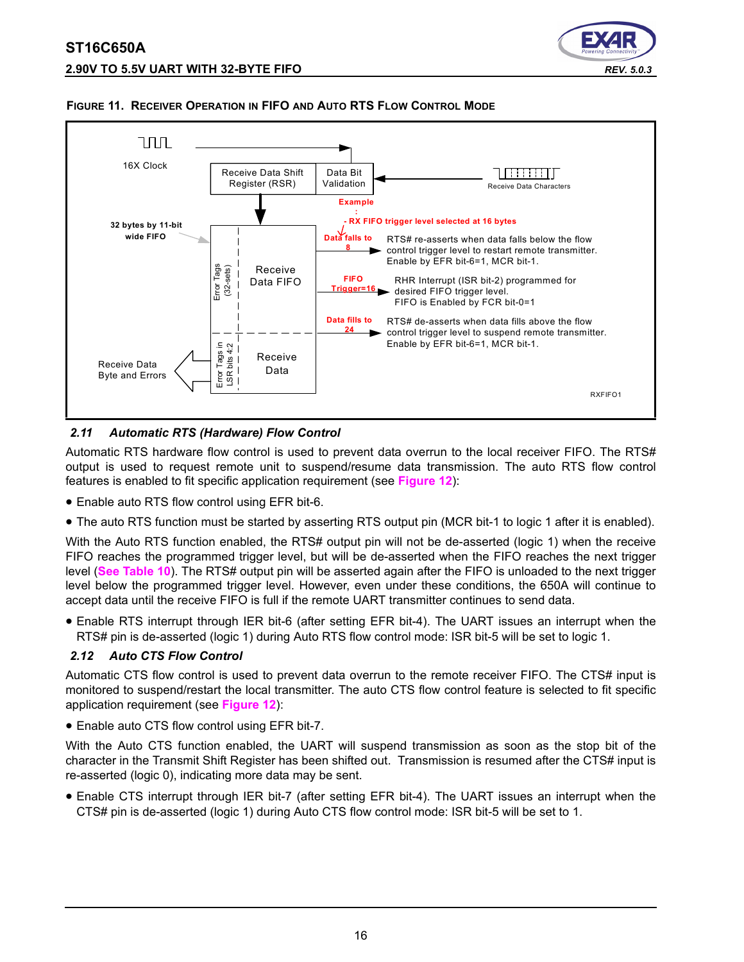



### **FIGURE 11. RECEIVER OPERATION IN FIFO AND AUTO RTS FLOW CONTROL MODE**

## *2.11 Automatic RTS (Hardware) Flow Control*

Automatic RTS hardware flow control is used to prevent data overrun to the local receiver FIFO. The RTS# output is used to request remote unit to suspend/resume data transmission. The auto RTS flow control features is enabled to fit specific application requirement (see **[Figure](#page-16-0) 12**):

- Enable auto RTS flow control using EFR bit-6.
- The auto RTS function must be started by asserting RTS output pin (MCR bit-1 to logic 1 after it is enabled).

With the Auto RTS function enabled, the RTS# output pin will not be de-asserted (logic 1) when the receive FIFO reaches the programmed trigger level, but will be de-asserted when the FIFO reaches the next trigger level (**[See Table](#page-27-0) 10**). The RTS# output pin will be asserted again after the FIFO is unloaded to the next trigger level below the programmed trigger level. However, even under these conditions, the 650A will continue to accept data until the receive FIFO is full if the remote UART transmitter continues to send data.

• Enable RTS interrupt through IER bit-6 (after setting EFR bit-4). The UART issues an interrupt when the RTS# pin is de-asserted (logic 1) during Auto RTS flow control mode: ISR bit-5 will be set to logic 1.

### *2.12 Auto CTS Flow Control*

Automatic CTS flow control is used to prevent data overrun to the remote receiver FIFO. The CTS# input is monitored to suspend/restart the local transmitter. The auto CTS flow control feature is selected to fit specific application requirement (see **[Figure](#page-16-0) 12**):

• Enable auto CTS flow control using EFR bit-7.

With the Auto CTS function enabled, the UART will suspend transmission as soon as the stop bit of the character in the Transmit Shift Register has been shifted out. Transmission is resumed after the CTS# input is re-asserted (logic 0), indicating more data may be sent.

• Enable CTS interrupt through IER bit-7 (after setting EFR bit-4). The UART issues an interrupt when the CTS# pin is de-asserted (logic 1) during Auto CTS flow control mode: ISR bit-5 will be set to 1.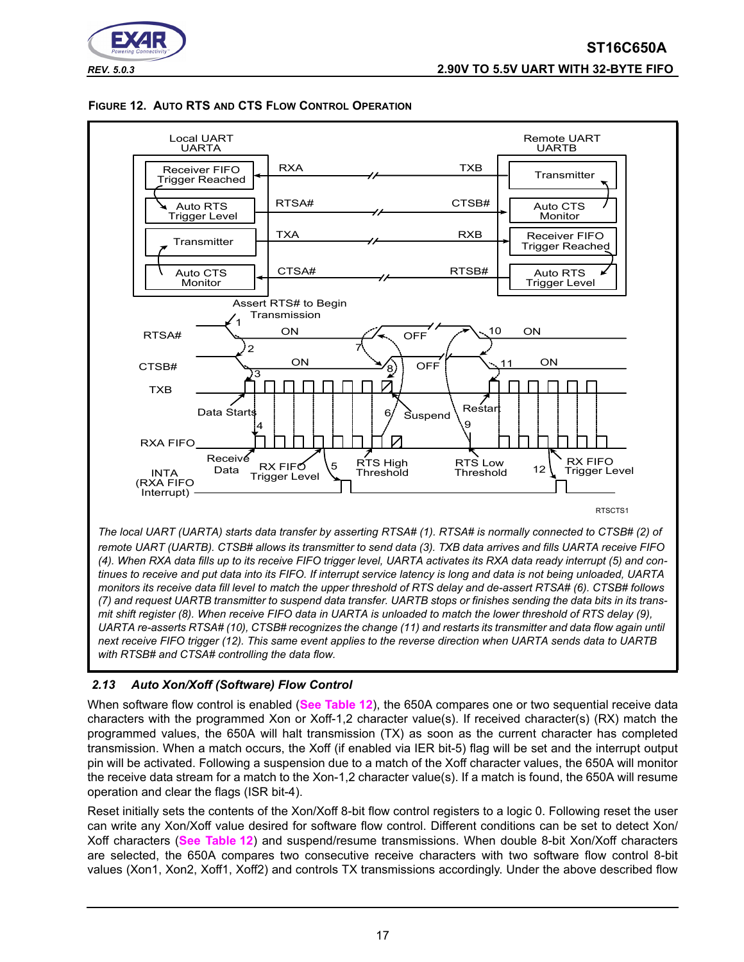

<span id="page-16-0"></span>



### <span id="page-16-1"></span>*2.13 Auto Xon/Xoff (Software) Flow Control*

When software flow control is enabled (**[See Table](#page-34-0) 12**), the 650A compares one or two sequential receive data characters with the programmed Xon or Xoff-1,2 character value(s). If received character(s) (RX) match the programmed values, the 650A will halt transmission (TX) as soon as the current character has completed transmission. When a match occurs, the Xoff (if enabled via IER bit-5) flag will be set and the interrupt output pin will be activated. Following a suspension due to a match of the Xoff character values, the 650A will monitor the receive data stream for a match to the Xon-1,2 character value(s). If a match is found, the 650A will resume operation and clear the flags (ISR bit-4).

Reset initially sets the contents of the Xon/Xoff 8-bit flow control registers to a logic 0. Following reset the user can write any Xon/Xoff value desired for software flow control. Different conditions can be set to detect Xon/ Xoff characters (**[See Table](#page-34-0) 12**) and suspend/resume transmissions. When double 8-bit Xon/Xoff characters are selected, the 650A compares two consecutive receive characters with two software flow control 8-bit values (Xon1, Xon2, Xoff1, Xoff2) and controls TX transmissions accordingly. Under the above described flow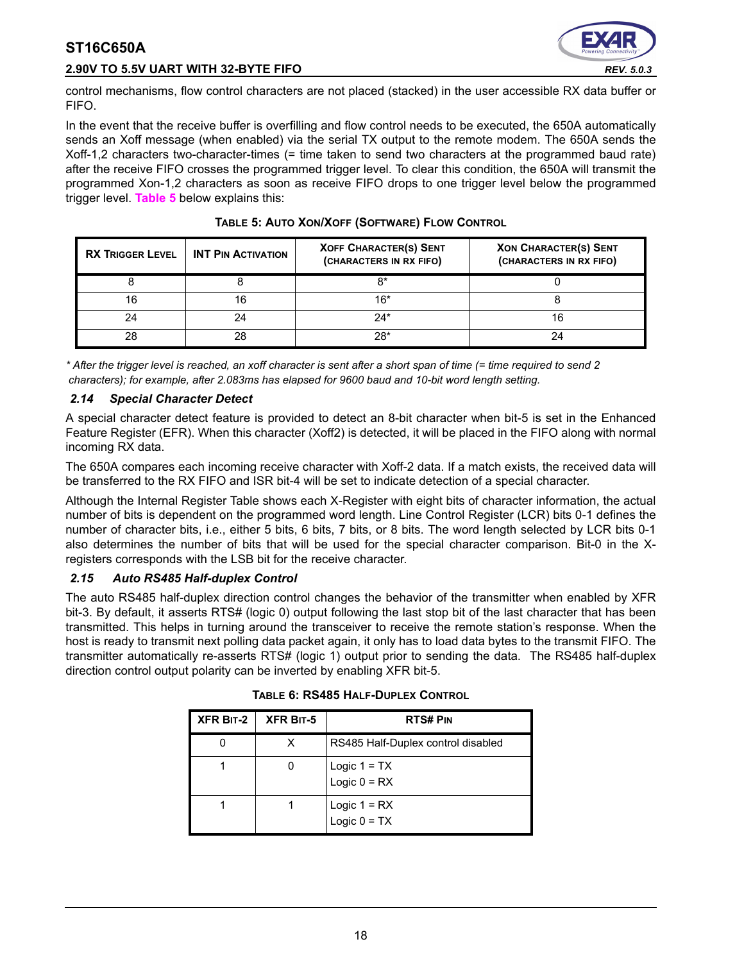### **2.90V TO 5.5V UART WITH 32-BYTE FIFO** *REV. 5.0.3*



control mechanisms, flow control characters are not placed (stacked) in the user accessible RX data buffer or FIFO.

In the event that the receive buffer is overfilling and flow control needs to be executed, the 650A automatically sends an Xoff message (when enabled) via the serial TX output to the remote modem. The 650A sends the Xoff-1,2 characters two-character-times (= time taken to send two characters at the programmed baud rate) after the receive FIFO crosses the programmed trigger level. To clear this condition, the 650A will transmit the programmed Xon-1,2 characters as soon as receive FIFO drops to one trigger level below the programmed trigger level. **[Table](#page-17-0) 5** below explains this:

<span id="page-17-0"></span>

| <b>RX TRIGGER LEVEL</b> | <b>INT PIN ACTIVATION</b> | <b>XOFF CHARACTER(S) SENT</b><br>(CHARACTERS IN RX FIFO) | <b>XON CHARACTER(S) SENT</b><br>(CHARACTERS IN RX FIFO) |
|-------------------------|---------------------------|----------------------------------------------------------|---------------------------------------------------------|
|                         |                           | 8*                                                       |                                                         |
| 16                      |                           | $16*$                                                    |                                                         |
| 24                      |                           | $24*$                                                    | 16                                                      |
| 28                      | 28                        | $28*$                                                    |                                                         |

### **TABLE 5: AUTO XON/XOFF (SOFTWARE) FLOW CONTROL**

*\* After the trigger level is reached, an xoff character is sent after a short span of time (= time required to send 2 characters); for example, after 2.083ms has elapsed for 9600 baud and 10-bit word length setting.*

### *2.14 Special Character Detect*

A special character detect feature is provided to detect an 8-bit character when bit-5 is set in the Enhanced Feature Register (EFR). When this character (Xoff2) is detected, it will be placed in the FIFO along with normal incoming RX data.

The 650A compares each incoming receive character with Xoff-2 data. If a match exists, the received data will be transferred to the RX FIFO and ISR bit-4 will be set to indicate detection of a special character.

Although the Internal Register Table shows each X-Register with eight bits of character information, the actual number of bits is dependent on the programmed word length. Line Control Register (LCR) bits 0-1 defines the number of character bits, i.e., either 5 bits, 6 bits, 7 bits, or 8 bits. The word length selected by LCR bits 0-1 also determines the number of bits that will be used for the special character comparison. Bit-0 in the Xregisters corresponds with the LSB bit for the receive character.

### <span id="page-17-1"></span>*2.15 Auto RS485 Half-duplex Control*

The auto RS485 half-duplex direction control changes the behavior of the transmitter when enabled by XFR bit-3. By default, it asserts RTS# (logic 0) output following the last stop bit of the last character that has been transmitted. This helps in turning around the transceiver to receive the remote station's response. When the host is ready to transmit next polling data packet again, it only has to load data bytes to the transmit FIFO. The transmitter automatically re-asserts RTS# (logic 1) output prior to sending the data. The RS485 half-duplex direction control output polarity can be inverted by enabling XFR bit-5.

| <b>XFR BIT-2</b> | <b>XFR BIT-5</b> | <b>RTS#PIN</b>                     |
|------------------|------------------|------------------------------------|
|                  | х                | RS485 Half-Duplex control disabled |
|                  |                  | Logic $1 = TX$<br>Logic $0 = RX$   |
|                  |                  | Logic $1 = RX$<br>Logic $0 = TX$   |

### **TABLE 6: RS485 HALF-DUPLEX CONTROL**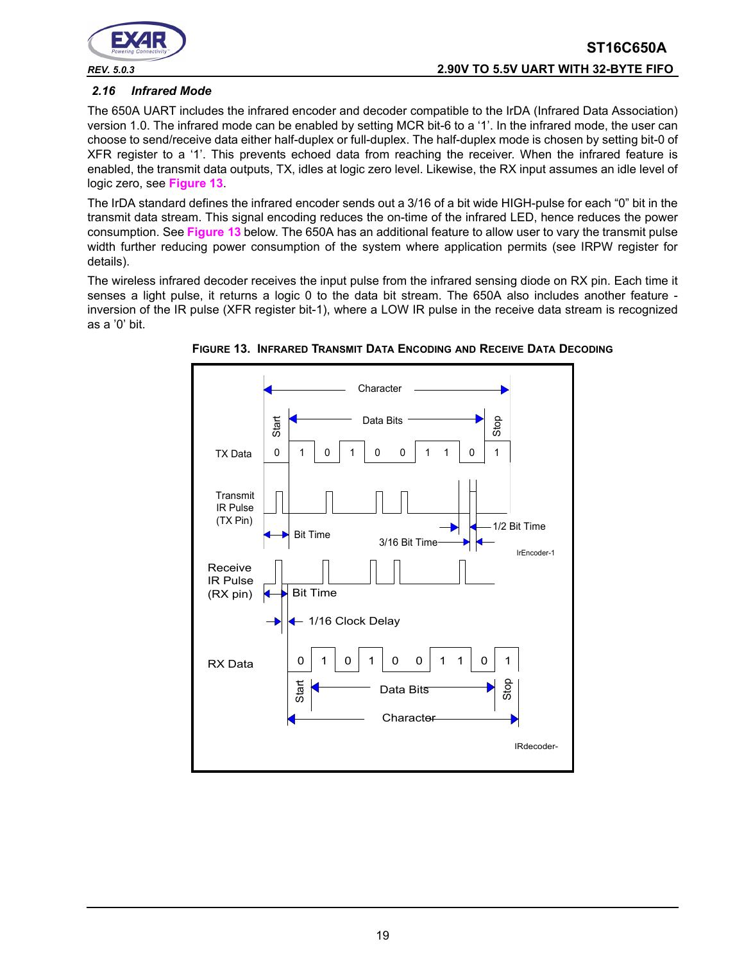

**ST16C650A** *REV. 5.0.3* **2.90V TO 5.5V UART WITH 32-BYTE FIFO**

### *2.16 Infrared Mode*

The 650A UART includes the infrared encoder and decoder compatible to the IrDA (Infrared Data Association) version 1.0. The infrared mode can be enabled by setting MCR bit-6 to a '1'. In the infrared mode, the user can choose to send/receive data either half-duplex or full-duplex. The half-duplex mode is chosen by setting bit-0 of XFR register to a '1'. This prevents echoed data from reaching the receiver. When the infrared feature is enabled, the transmit data outputs, TX, idles at logic zero level. Likewise, the RX input assumes an idle level of logic zero, see **[Figure](#page-18-0) 13**.

The IrDA standard defines the infrared encoder sends out a 3/16 of a bit wide HIGH-pulse for each "0" bit in the transmit data stream. This signal encoding reduces the on-time of the infrared LED, hence reduces the power consumption. See **[Figure](#page-18-0) 13** below. The 650A has an additional feature to allow user to vary the transmit pulse width further reducing power consumption of the system where application permits (see IRPW register for details).

The wireless infrared decoder receives the input pulse from the infrared sensing diode on RX pin. Each time it senses a light pulse, it returns a logic 0 to the data bit stream. The 650A also includes another feature inversion of the IR pulse (XFR register bit-1), where a LOW IR pulse in the receive data stream is recognized as a '0' bit.



<span id="page-18-0"></span>**FIGURE 13. INFRARED TRANSMIT DATA ENCODING AND RECEIVE DATA DECODING**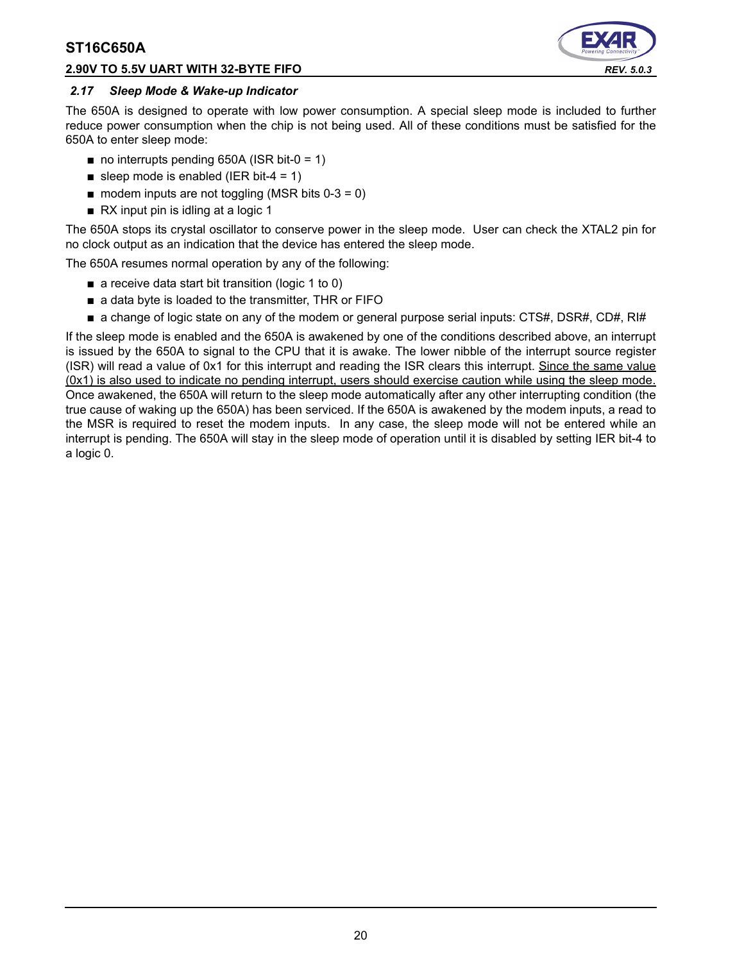### **2.90V TO 5.5V UART WITH 32-BYTE FIFO** *REV. 5.0.3*



### <span id="page-19-0"></span>*2.17 Sleep Mode & Wake-up Indicator*

The 650A is designed to operate with low power consumption. A special sleep mode is included to further reduce power consumption when the chip is not being used. All of these conditions must be satisfied for the 650A to enter sleep mode:

- $\blacksquare$  no interrupts pending 650A (ISR bit-0 = 1)
- sleep mode is enabled (IER bit-4 = 1)
- $\blacksquare$  modem inputs are not toggling (MSR bits 0-3 = 0)
- RX input pin is idling at a logic 1

The 650A stops its crystal oscillator to conserve power in the sleep mode. User can check the XTAL2 pin for no clock output as an indication that the device has entered the sleep mode.

The 650A resumes normal operation by any of the following:

- a receive data start bit transition (logic 1 to 0)
- a data byte is loaded to the transmitter, THR or FIFO
- a change of logic state on any of the modem or general purpose serial inputs: CTS#, DSR#, CD#, RI#

If the sleep mode is enabled and the 650A is awakened by one of the conditions described above, an interrupt is issued by the 650A to signal to the CPU that it is awake. The lower nibble of the interrupt source register (ISR) will read a value of 0x1 for this interrupt and reading the ISR clears this interrupt. Since the same value (0x1) is also used to indicate no pending interrupt, users should exercise caution while using the sleep mode. Once awakened, the 650A will return to the sleep mode automatically after any other interrupting condition (the true cause of waking up the 650A) has been serviced. If the 650A is awakened by the modem inputs, a read to the MSR is required to reset the modem inputs. In any case, the sleep mode will not be entered while an interrupt is pending. The 650A will stay in the sleep mode of operation until it is disabled by setting IER bit-4 to a logic 0.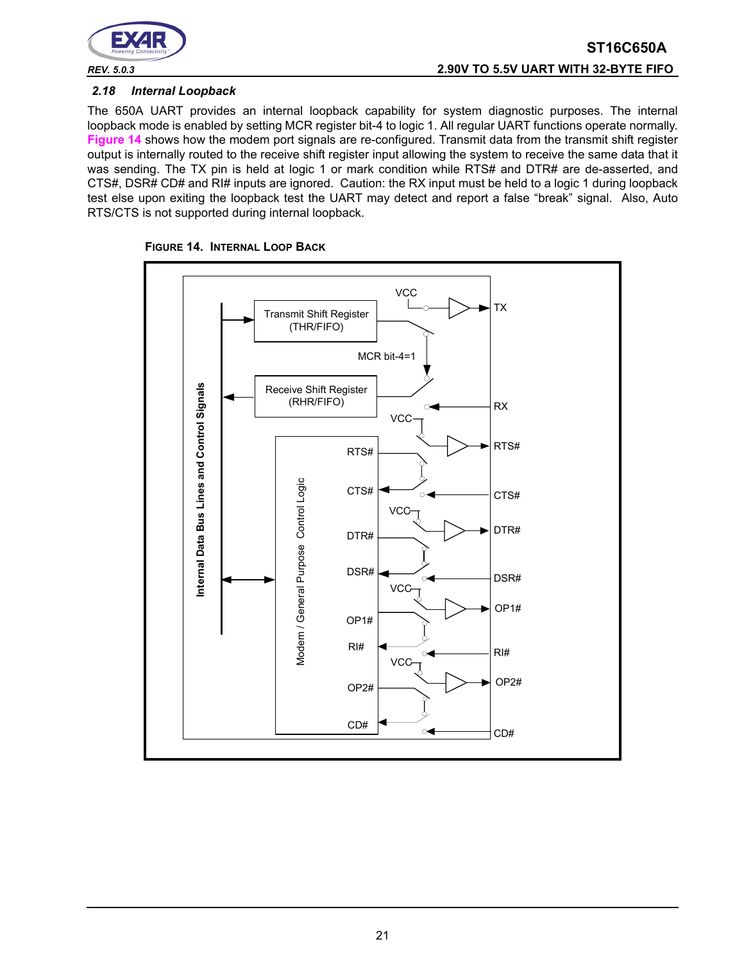

### *2.18 Internal Loopback*

The 650A UART provides an internal loopback capability for system diagnostic purposes. The internal loopback mode is enabled by setting MCR register bit-4 to logic 1. All regular UART functions operate normally. **[Figure](#page-20-0) 14** shows how the modem port signals are re-configured. Transmit data from the transmit shift register output is internally routed to the receive shift register input allowing the system to receive the same data that it was sending. The TX pin is held at logic 1 or mark condition while RTS# and DTR# are de-asserted, and CTS#, DSR# CD# and RI# inputs are ignored. Caution: the RX input must be held to a logic 1 during loopback test else upon exiting the loopback test the UART may detect and report a false "break" signal. Also, Auto RTS/CTS is not supported during internal loopback.



### <span id="page-20-0"></span>**FIGURE 14. INTERNAL LOOP BACK**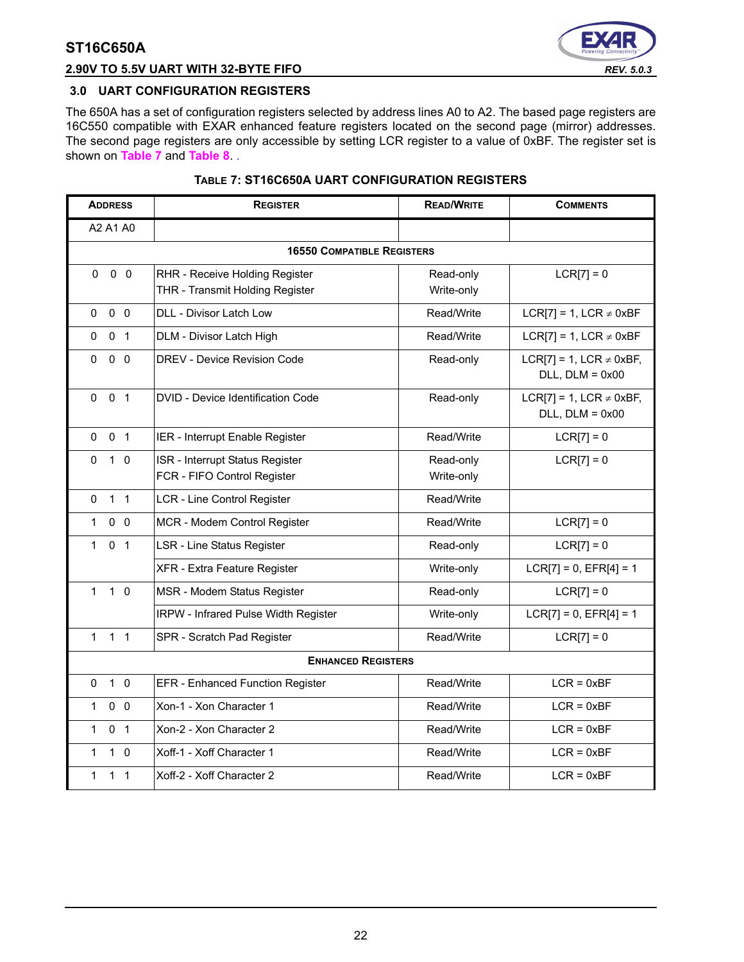

## **2.90V TO 5.5V UART WITH 32-BYTE FIFO** *REV. 5.0.3*

### **3.0 UART CONFIGURATION REGISTERS**

The 650A has a set of configuration registers selected by address lines A0 to A2. The based page registers are 16C550 compatible with EXAR enhanced feature registers located on the second page (mirror) addresses. The second page registers are only accessible by setting LCR register to a value of 0xBF. The register set is shown on **[Table](#page-21-0) 7** and **[Table](#page-22-0) 8**. .

<span id="page-21-0"></span>

| <b>ADDRESS</b>                                 | <b>REGISTER</b>                                                   | <b>READ/WRITE</b>       | <b>COMMENTS</b>                                      |  |  |  |  |  |  |
|------------------------------------------------|-------------------------------------------------------------------|-------------------------|------------------------------------------------------|--|--|--|--|--|--|
| A2 A1 A0                                       |                                                                   |                         |                                                      |  |  |  |  |  |  |
| <b>16550 COMPATIBLE REGISTERS</b>              |                                                                   |                         |                                                      |  |  |  |  |  |  |
| $0\quad 0$<br>$\Omega$                         | RHR - Receive Holding Register<br>THR - Transmit Holding Register | Read-only<br>Write-only | $LCR[7] = 0$                                         |  |  |  |  |  |  |
| $0\quad 0$<br>$\mathbf{0}$                     | <b>DLL - Divisor Latch Low</b>                                    | Read/Write              | LCR[7] = 1, LCR $\neq$ 0xBF                          |  |  |  |  |  |  |
| 0 <sub>1</sub><br>0                            | DLM - Divisor Latch High                                          | Read/Write              | LCR[7] = 1, LCR $\neq$ 0xBF                          |  |  |  |  |  |  |
| 0<br>$0\quad 0$                                | DREV - Device Revision Code                                       | Read-only               | LCR[7] = 1, LCR $\neq$ 0xBF,<br>$DLL$ , $DLM = 0x00$ |  |  |  |  |  |  |
| 0<br>0 <sub>1</sub>                            | DVID - Device Identification Code                                 | Read-only               | LCR[7] = 1, LCR $\neq$ 0xBF,<br>$DLL$ , $DLM = 0x00$ |  |  |  |  |  |  |
| $\mathbf 0$<br>$\overline{1}$<br>0             | IER - Interrupt Enable Register                                   | Read/Write              | $LCR[7] = 0$                                         |  |  |  |  |  |  |
| $\Omega$<br>$1\quad0$                          | ISR - Interrupt Status Register<br>FCR - FIFO Control Register    | Read-only<br>Write-only | $LCR[7] = 0$                                         |  |  |  |  |  |  |
| $\mathbf{1}$<br>$\overline{1}$<br>0            | LCR - Line Control Register                                       | Read/Write              |                                                      |  |  |  |  |  |  |
| $0\quad 0$<br>1                                | MCR - Modem Control Register                                      | Read/Write              | $LCR[7] = 0$                                         |  |  |  |  |  |  |
| $\mathbf 0$<br>$\overline{1}$<br>1             | LSR - Line Status Register                                        | Read-only               | $LCR[7] = 0$                                         |  |  |  |  |  |  |
|                                                | XFR - Extra Feature Register                                      | Write-only              | $LCR[7] = 0$ , $EFR[4] = 1$                          |  |  |  |  |  |  |
| $1 1 0$                                        | MSR - Modem Status Register                                       | Read-only               | $LCR[7] = 0$                                         |  |  |  |  |  |  |
|                                                | IRPW - Infrared Pulse Width Register                              | Write-only              | $LCR[7] = 0$ , $EFR[4] = 1$                          |  |  |  |  |  |  |
| 1 <sub>1</sub><br>$1 \quad$                    | SPR - Scratch Pad Register                                        | Read/Write              | $LCR[7] = 0$                                         |  |  |  |  |  |  |
|                                                | <b>ENHANCED REGISTERS</b>                                         |                         |                                                      |  |  |  |  |  |  |
| $1\quad 0$<br>0                                | EFR - Enhanced Function Register                                  | Read/Write              | $LCR = 0xBF$                                         |  |  |  |  |  |  |
| $0\quad 0$<br>1                                | Xon-1 - Xon Character 1                                           | Read/Write              | $LCR = 0xBF$                                         |  |  |  |  |  |  |
| $\mathbf 0$<br>$\overline{1}$<br>1             | Xon-2 - Xon Character 2                                           | Read/Write              | $LCR = 0xBF$                                         |  |  |  |  |  |  |
| $\mathbf{1}$<br>$\mathbf 0$<br>1               | Xoff-1 - Xoff Character 1                                         | Read/Write              | $LCR = 0xBF$                                         |  |  |  |  |  |  |
| $\mathbf{1}$<br>$\mathbf{1}$<br>$\overline{1}$ | Xoff-2 - Xoff Character 2                                         | Read/Write              | $LCR = 0xBF$                                         |  |  |  |  |  |  |

### **TABLE 7: ST16C650A UART CONFIGURATION REGISTERS**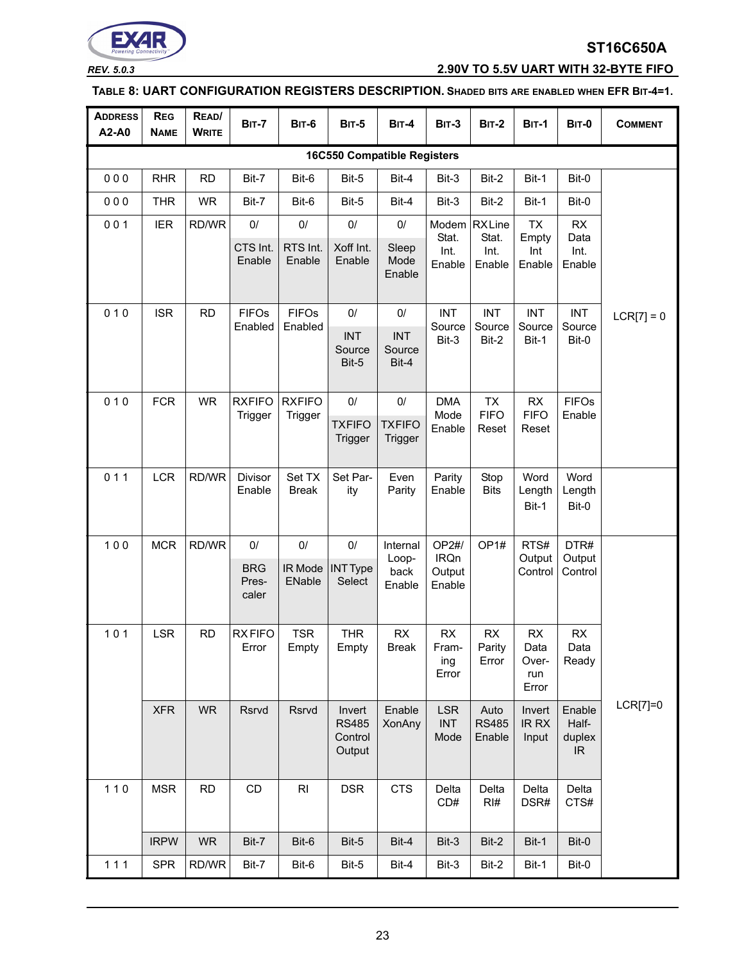

## *REV. 5.0.3* **2.90V TO 5.5V UART WITH 32-BYTE FIFO**

### <span id="page-22-0"></span>**TABLE 8: UART CONFIGURATION REGISTERS DESCRIPTION. SHADED BITS ARE ENABLED WHEN EFR BIT-4=1.**

| <b>ADDRESS</b><br>A2-A0 | <b>REG</b><br><b>NAME</b> | READ/<br><b>WRITE</b> | <b>BIT-7</b>                         | <b>BIT-6</b>                     | <b>BIT-5</b>                                | <b>BIT-4</b>                        | <b>BIT-3</b>                             | <b>BIT-2</b>                      | <b>BIT-1</b>                        | <b>BIT-0</b>                    | <b>COMMENT</b> |
|-------------------------|---------------------------|-----------------------|--------------------------------------|----------------------------------|---------------------------------------------|-------------------------------------|------------------------------------------|-----------------------------------|-------------------------------------|---------------------------------|----------------|
|                         |                           |                       |                                      |                                  | <b>16C550 Compatible Registers</b>          |                                     |                                          |                                   |                                     |                                 |                |
| 000                     | <b>RHR</b>                | <b>RD</b>             | Bit-7                                | Bit-6                            | Bit-5                                       | Bit-4                               | Bit-3                                    | Bit-2                             | Bit-1                               | Bit-0                           |                |
| 000                     | <b>THR</b>                | <b>WR</b>             | Bit-7                                | Bit-6                            | Bit-5                                       | Bit-4                               | Bit-3                                    | Bit-2                             | Bit-1                               | Bit-0                           |                |
| 001                     | <b>IER</b>                | RD/WR                 | $0/$                                 | $0/$                             | $0/$                                        | 0/                                  | Modem                                    | <b>RXLine</b>                     | <b>TX</b>                           | <b>RX</b>                       |                |
|                         |                           |                       | CTS Int.<br>Enable                   | RTS Int.<br>Enable               | Xoff Int.<br>Enable                         | Sleep<br>Mode<br>Enable             | Stat.<br>Int.<br>Enable                  | Stat.<br>Int.<br>Enable           | Empty<br>Int<br>Enable              | Data<br>Int.<br>Enable          |                |
| 010                     | <b>ISR</b>                | <b>RD</b>             | <b>FIFOs</b>                         | <b>FIFOs</b>                     | $0/$                                        | $0/$                                | <b>INT</b>                               | <b>INT</b>                        | <b>INT</b>                          | <b>INT</b>                      | $LCR[7] = 0$   |
|                         |                           |                       | Enabled                              | Enabled                          | <b>INT</b><br>Source<br>Bit-5               | <b>INT</b><br>Source<br>Bit-4       | Source<br>Bit-3                          | Source<br>Bit-2                   | Source<br>Bit-1                     | Source<br>Bit-0                 |                |
| 010                     | <b>FCR</b>                | <b>WR</b>             | <b>RXFIFO</b><br>Trigger             | <b>RXFIFO</b><br>Trigger         | $0/$<br><b>TXFIFO</b><br>Trigger            | $0/$<br><b>TXFIFO</b><br>Trigger    | <b>DMA</b><br>Mode<br>Enable             | <b>TX</b><br><b>FIFO</b><br>Reset | <b>RX</b><br><b>FIFO</b><br>Reset   | <b>FIFOs</b><br>Enable          |                |
| 011                     | <b>LCR</b>                | RD/WR                 | Divisor<br>Enable                    | Set TX<br><b>Break</b>           | Set Par-<br>ity                             | Even<br>Parity                      | Parity<br>Enable                         | Stop<br><b>Bits</b>               | Word<br>Length<br>Bit-1             | Word<br>Length<br>Bit-0         |                |
| 100                     | <b>MCR</b>                | RD/WR                 | $0/$<br><b>BRG</b><br>Pres-<br>caler | $0/$<br>IR Mode<br><b>ENable</b> | 0/<br><b>INT Type</b><br>Select             | Internal<br>Loop-<br>back<br>Enable | OP2#/<br><b>IRQn</b><br>Output<br>Enable | OP <sub>1#</sub>                  | RTS#<br>Output<br>Control           | DTR#<br>Output<br>Control       |                |
| $101$                   | <b>LSR</b>                | <b>RD</b>             | <b>RXFIFO</b><br>Error               | <b>TSR</b><br>Empty              | <b>THR</b><br>Empty                         | <b>RX</b><br>Break                  | <b>RX</b><br>Fram-<br>ing<br>Error       | RX<br>Parity<br>Error             | RX<br>Data<br>Over-<br>run<br>Error | RX<br>Data<br>Ready             |                |
|                         | <b>XFR</b>                | <b>WR</b>             | Rsrvd                                | Rsrvd                            | Invert<br><b>RS485</b><br>Control<br>Output | Enable<br><b>XonAny</b>             | <b>LSR</b><br><b>INT</b><br>Mode         | Auto<br><b>RS485</b><br>Enable    | Invert<br>IR RX<br>Input            | Enable<br>Half-<br>duplex<br>IR | $LCR[7]=0$     |
| $110$                   | <b>MSR</b>                | <b>RD</b>             | CD                                   | RI                               | <b>DSR</b>                                  | <b>CTS</b>                          | Delta<br>CD#                             | Delta<br>RI#                      | Delta<br>DSR#                       | Delta<br>CTS#                   |                |
|                         | <b>IRPW</b>               | <b>WR</b>             | Bit-7                                | Bit-6                            | Bit-5                                       | Bit-4                               | Bit-3                                    | Bit-2                             | Bit-1                               | Bit-0                           |                |
| 111                     | <b>SPR</b>                | RD/WR                 | Bit-7                                | Bit-6                            | Bit-5                                       | Bit-4                               | Bit-3                                    | Bit-2                             | Bit-1                               | Bit-0                           |                |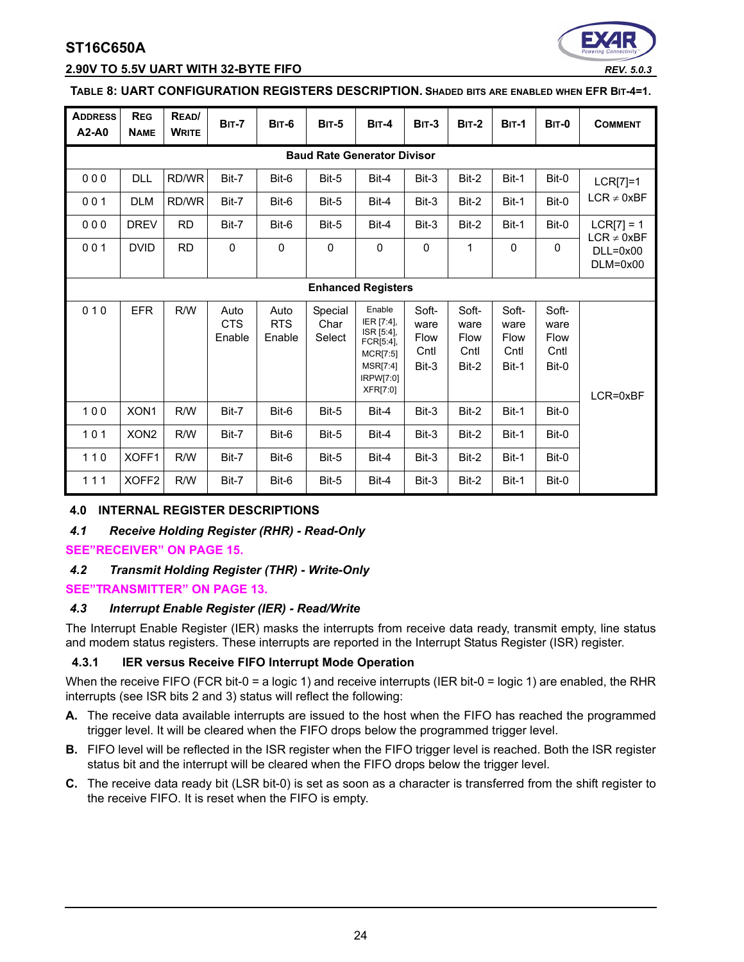### **2.90V TO 5.5V UART WITH 32-BYTE FIFO** *REV. 5.0.3*

### **TABLE 8: UART CONFIGURATION REGISTERS DESCRIPTION. SHADED BITS ARE ENABLED WHEN EFR BIT-4=1.**

| <b>ADDRESS</b><br>A2-A0 | <b>REG</b><br><b>NAME</b>          | READ/<br><b>WRITE</b> | <b>BIT-7</b>                 | <b>BIT-6</b>                 | <b>BIT-5</b>              | $BIT-4$                                                                                                        | <b>BIT-3</b>                           | <b>BIT-2</b>                                  | <b>BIT-1</b>                           | <b>BIT-0</b>                                  | <b>COMMENT</b>                                |  |  |
|-------------------------|------------------------------------|-----------------------|------------------------------|------------------------------|---------------------------|----------------------------------------------------------------------------------------------------------------|----------------------------------------|-----------------------------------------------|----------------------------------------|-----------------------------------------------|-----------------------------------------------|--|--|
|                         | <b>Baud Rate Generator Divisor</b> |                       |                              |                              |                           |                                                                                                                |                                        |                                               |                                        |                                               |                                               |  |  |
| 000                     | <b>DLL</b>                         | RD/WR                 | Bit-7                        | Bit-6                        | Bit-5                     | Bit-4                                                                                                          | Bit-3                                  | Bit-2                                         | Bit-1                                  | Bit-0                                         | $LCR[7]=1$                                    |  |  |
| 001                     | <b>DLM</b>                         | RD/WR                 | Bit-7                        | Bit-6                        | Bit-5                     | Bit-4                                                                                                          | Bit-3                                  | Bit-2                                         | Bit-1                                  | Bit-0                                         | $LCR \neq 0xBF$                               |  |  |
| 000                     | <b>DREV</b>                        | <b>RD</b>             | Bit-7                        | Bit-6                        | Bit-5                     | Bit-4                                                                                                          | Bit-3                                  | Bit-2                                         | Bit-1                                  | Bit-0                                         | $LCR[7] = 1$                                  |  |  |
| 001                     | <b>DVID</b>                        | <b>RD</b>             | $\Omega$                     | 0                            | 0                         | $\Omega$                                                                                                       | $\mathbf 0$                            | 1                                             | $\mathbf 0$                            | 0                                             | $LCR \neq 0xBF$<br>$DLL = 0x00$<br>$DLM=0x00$ |  |  |
|                         |                                    |                       |                              |                              |                           | <b>Enhanced Registers</b>                                                                                      |                                        |                                               |                                        |                                               |                                               |  |  |
| 010                     | <b>EFR</b>                         | R/W                   | Auto<br><b>CTS</b><br>Enable | Auto<br><b>RTS</b><br>Enable | Special<br>Char<br>Select | Enable<br>IER [7:4],<br>ISR [5:4],<br>FCR[5:4],<br><b>MCR[7:5]</b><br><b>MSR[7:4]</b><br>IRPW[7:0]<br>XFR[7:0] | Soft-<br>ware<br>Flow<br>Cntl<br>Bit-3 | Soft-<br>ware<br><b>Flow</b><br>Cntl<br>Bit-2 | Soft-<br>ware<br>Flow<br>Cntl<br>Bit-1 | Soft-<br>ware<br><b>Flow</b><br>Cntl<br>Bit-0 | LCR=0xBF                                      |  |  |
| 100                     | XON <sub>1</sub>                   | R/W                   | Bit-7                        | Bit-6                        | Bit-5                     | Bit-4                                                                                                          | Bit-3                                  | Bit-2                                         | Bit-1                                  | Bit-0                                         |                                               |  |  |
| 101                     | XON <sub>2</sub>                   | R/W                   | Bit-7                        | Bit-6                        | Bit-5                     | Bit-4                                                                                                          | Bit-3                                  | Bit-2                                         | Bit-1                                  | Bit-0                                         |                                               |  |  |
| 110                     | XOFF1                              | R/W                   | Bit-7                        | Bit-6                        | Bit-5                     | Bit-4                                                                                                          | Bit-3                                  | Bit-2                                         | Bit-1                                  | Bit-0                                         |                                               |  |  |
| 111                     | XOFF <sub>2</sub>                  | R/W                   | Bit-7                        | Bit-6                        | Bit-5                     | Bit-4                                                                                                          | Bit-3                                  | Bit-2                                         | Bit-1                                  | Bit-0                                         |                                               |  |  |

### **4.0 INTERNAL REGISTER DESCRIPTIONS**

### *4.1 Receive Holding Register (RHR) - Read-Only*

**[SEE"RECEIVER" ON PAGE](#page-14-0) 15.**

### *4.2 Transmit Holding Register (THR) - Write-Only*

**[SEE"TRANSMITTER" ON PAGE](#page-12-1) 13.**

### *4.3 Interrupt Enable Register (IER) - Read/Write*

The Interrupt Enable Register (IER) masks the interrupts from receive data ready, transmit empty, line status and modem status registers. These interrupts are reported in the Interrupt Status Register (ISR) register.

### **4.3.1 IER versus Receive FIFO Interrupt Mode Operation**

When the receive FIFO (FCR bit-0 = a logic 1) and receive interrupts (IER bit-0 = logic 1) are enabled, the RHR interrupts (see ISR bits 2 and 3) status will reflect the following:

- **A.** The receive data available interrupts are issued to the host when the FIFO has reached the programmed trigger level. It will be cleared when the FIFO drops below the programmed trigger level.
- **B.** FIFO level will be reflected in the ISR register when the FIFO trigger level is reached. Both the ISR register status bit and the interrupt will be cleared when the FIFO drops below the trigger level.
- **C.** The receive data ready bit (LSR bit-0) is set as soon as a character is transferred from the shift register to the receive FIFO. It is reset when the FIFO is empty.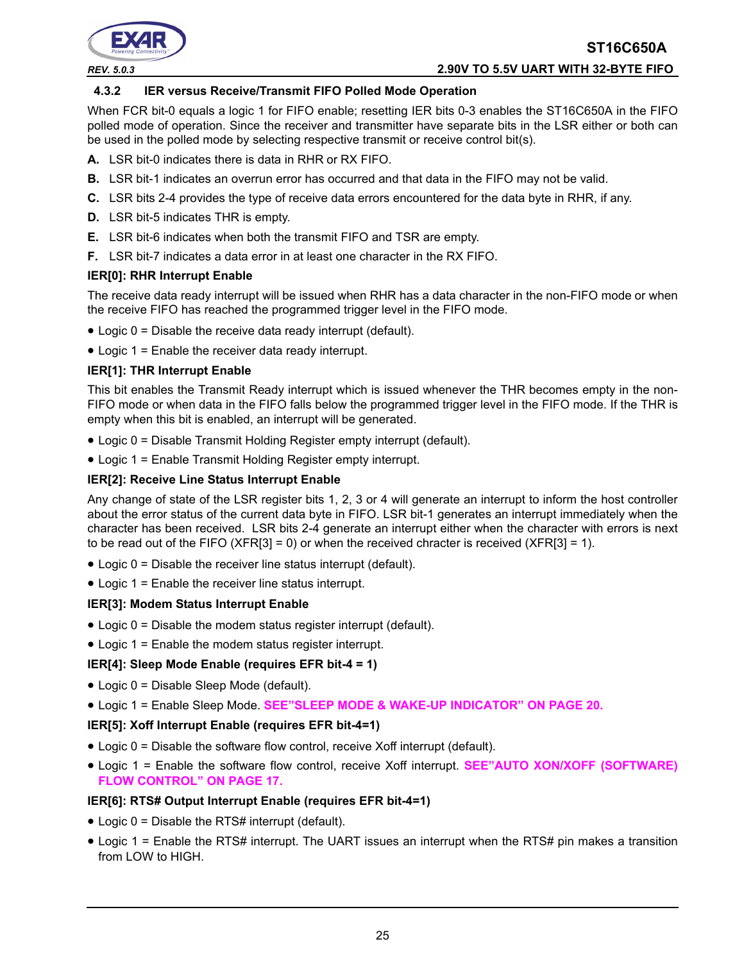

### **4.3.2 IER versus Receive/Transmit FIFO Polled Mode Operation**

When FCR bit-0 equals a logic 1 for FIFO enable; resetting IER bits 0-3 enables the ST16C650A in the FIFO polled mode of operation. Since the receiver and transmitter have separate bits in the LSR either or both can be used in the polled mode by selecting respective transmit or receive control bit(s).

- **A.** LSR bit-0 indicates there is data in RHR or RX FIFO.
- **B.** LSR bit-1 indicates an overrun error has occurred and that data in the FIFO may not be valid.
- **C.** LSR bits 2-4 provides the type of receive data errors encountered for the data byte in RHR, if any.
- **D.** LSR bit-5 indicates THR is empty.
- **E.** LSR bit-6 indicates when both the transmit FIFO and TSR are empty.
- **F.** LSR bit-7 indicates a data error in at least one character in the RX FIFO.

### **IER[0]: RHR Interrupt Enable**

The receive data ready interrupt will be issued when RHR has a data character in the non-FIFO mode or when the receive FIFO has reached the programmed trigger level in the FIFO mode.

- Logic 0 = Disable the receive data ready interrupt (default).
- Logic 1 = Enable the receiver data ready interrupt.

### **IER[1]: THR Interrupt Enable**

This bit enables the Transmit Ready interrupt which is issued whenever the THR becomes empty in the non-FIFO mode or when data in the FIFO falls below the programmed trigger level in the FIFO mode. If the THR is empty when this bit is enabled, an interrupt will be generated.

- Logic 0 = Disable Transmit Holding Register empty interrupt (default).
- Logic 1 = Enable Transmit Holding Register empty interrupt.

### **IER[2]: Receive Line Status Interrupt Enable**

Any change of state of the LSR register bits 1, 2, 3 or 4 will generate an interrupt to inform the host controller about the error status of the current data byte in FIFO. LSR bit-1 generates an interrupt immediately when the character has been received. LSR bits 2-4 generate an interrupt either when the character with errors is next to be read out of the FIFO  $(XFR[3] = 0)$  or when the received chracter is received  $(XFR[3] = 1)$ .

- Logic 0 = Disable the receiver line status interrupt (default).
- Logic 1 = Enable the receiver line status interrupt.

### **IER[3]: Modem Status Interrupt Enable**

- Logic 0 = Disable the modem status register interrupt (default).
- Logic 1 = Enable the modem status register interrupt.

### **IER[4]: Sleep Mode Enable (requires EFR bit-4 = 1)**

- Logic 0 = Disable Sleep Mode (default).
- Logic 1 = Enable Sleep Mode. **[SEE"SLEEP MODE & WAKE-UP INDICATOR" ON PAGE](#page-19-0) 20.**

### **IER[5]: Xoff Interrupt Enable (requires EFR bit-4=1)**

- Logic 0 = Disable the software flow control, receive Xoff interrupt (default).
- Logic 1 = Enable the software flow control, receive Xoff interrupt. **[SEE"AUTO XON/XOFF \(SOFTWARE\)](#page-16-1) [FLOW CONTROL" ON PAGE](#page-16-1) 17.**

### **IER[6]: RTS# Output Interrupt Enable (requires EFR bit-4=1)**

- Logic 0 = Disable the RTS# interrupt (default).
- Logic 1 = Enable the RTS# interrupt. The UART issues an interrupt when the RTS# pin makes a transition from LOW to HIGH.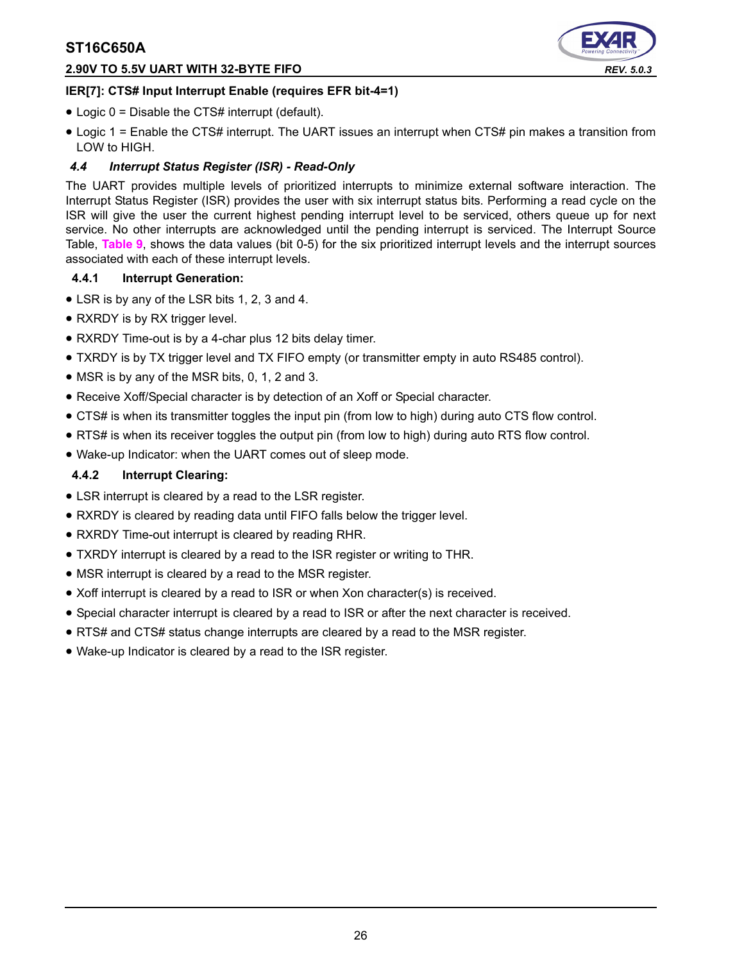### **2.90V TO 5.5V UART WITH 32-BYTE FIFO** *REV. 5.0.3*



### **IER[7]: CTS# Input Interrupt Enable (requires EFR bit-4=1)**

- Logic 0 = Disable the CTS# interrupt (default).
- Logic 1 = Enable the CTS# interrupt. The UART issues an interrupt when CTS# pin makes a transition from LOW to HIGH.

### *4.4 Interrupt Status Register (ISR) - Read-Only*

The UART provides multiple levels of prioritized interrupts to minimize external software interaction. The Interrupt Status Register (ISR) provides the user with six interrupt status bits. Performing a read cycle on the ISR will give the user the current highest pending interrupt level to be serviced, others queue up for next service. No other interrupts are acknowledged until the pending interrupt is serviced. The Interrupt Source Table, **[Table](#page-26-0) 9**, shows the data values (bit 0-5) for the six prioritized interrupt levels and the interrupt sources associated with each of these interrupt levels.

### **4.4.1 Interrupt Generation:**

- LSR is by any of the LSR bits 1, 2, 3 and 4.
- RXRDY is by RX trigger level.
- RXRDY Time-out is by a 4-char plus 12 bits delay timer.
- TXRDY is by TX trigger level and TX FIFO empty (or transmitter empty in auto RS485 control).
- MSR is by any of the MSR bits, 0, 1, 2 and 3.
- Receive Xoff/Special character is by detection of an Xoff or Special character.
- CTS# is when its transmitter toggles the input pin (from low to high) during auto CTS flow control.
- RTS# is when its receiver toggles the output pin (from low to high) during auto RTS flow control.
- Wake-up Indicator: when the UART comes out of sleep mode.

### **4.4.2 Interrupt Clearing:**

- LSR interrupt is cleared by a read to the LSR register.
- RXRDY is cleared by reading data until FIFO falls below the trigger level.
- RXRDY Time-out interrupt is cleared by reading RHR.
- TXRDY interrupt is cleared by a read to the ISR register or writing to THR.
- MSR interrupt is cleared by a read to the MSR register.
- Xoff interrupt is cleared by a read to ISR or when Xon character(s) is received.
- Special character interrupt is cleared by a read to ISR or after the next character is received.
- RTS# and CTS# status change interrupts are cleared by a read to the MSR register.
- Wake-up Indicator is cleared by a read to the ISR register.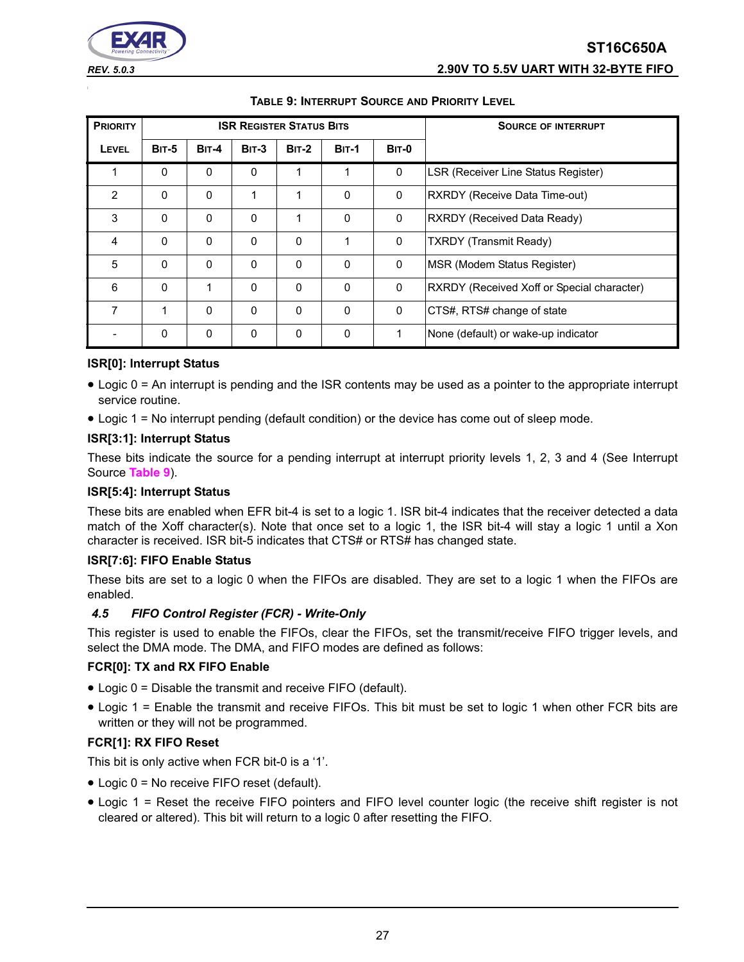## **ST16C650A** *REV. 5.0.3* **2.90V TO 5.5V UART WITH 32-BYTE FIFO**



<span id="page-26-0"></span>

| <b>PRIORITY</b> | <b>ISR REGISTER STATUS BITS</b> |              |          |              |              |              | <b>SOURCE OF INTERRUPT</b>                 |
|-----------------|---------------------------------|--------------|----------|--------------|--------------|--------------|--------------------------------------------|
| <b>LEVEL</b>    | <b>BIT-5</b>                    | <b>BIT-4</b> | $BIT-3$  | <b>BIT-2</b> | <b>BIT-1</b> | <b>BIT-0</b> |                                            |
| 1               | $\mathbf{0}$                    | 0            | 0        | 1            |              | $\mathbf{0}$ | LSR (Receiver Line Status Register)        |
| 2               | $\mathbf{0}$                    | 0            | 1        |              | 0            | $\mathbf{0}$ | RXRDY (Receive Data Time-out)              |
| 3               | $\Omega$                        | 0            | 0        | 1            | 0            | $\mathbf{0}$ | RXRDY (Received Data Ready)                |
| $\overline{4}$  | $\mathbf{0}$                    | 0            | 0        | $\Omega$     |              | $\mathbf{0}$ | <b>TXRDY (Transmit Ready)</b>              |
| 5               | $\Omega$                        | $\Omega$     | $\Omega$ | $\Omega$     | 0            | $\mathbf{0}$ | MSR (Modem Status Register)                |
| 6               | $\Omega$                        | 1            | $\Omega$ | $\Omega$     | 0            | $\mathbf{0}$ | RXRDY (Received Xoff or Special character) |
| 7               | 1                               | 0            | 0        | $\Omega$     | 0            | $\mathbf{0}$ | CTS#, RTS# change of state                 |
|                 | $\mathbf{0}$                    | 0            | 0        | $\Omega$     | 0            | 1            | None (default) or wake-up indicator        |

### **TABLE 9: INTERRUPT SOURCE AND PRIORITY LEVEL**

### **ISR[0]: Interrupt Status**

- Logic 0 = An interrupt is pending and the ISR contents may be used as a pointer to the appropriate interrupt service routine.
- Logic 1 = No interrupt pending (default condition) or the device has come out of sleep mode.

### **ISR[3:1]: Interrupt Status**

These bits indicate the source for a pending interrupt at interrupt priority levels 1, 2, 3 and 4 (See Interrupt Source **[Table](#page-26-0) 9**).

### **ISR[5:4]: Interrupt Status**

These bits are enabled when EFR bit-4 is set to a logic 1. ISR bit-4 indicates that the receiver detected a data match of the Xoff character(s). Note that once set to a logic 1, the ISR bit-4 will stay a logic 1 until a Xon character is received. ISR bit-5 indicates that CTS# or RTS# has changed state.

### **ISR[7:6]: FIFO Enable Status**

These bits are set to a logic 0 when the FIFOs are disabled. They are set to a logic 1 when the FIFOs are enabled.

### *4.5 FIFO Control Register (FCR) - Write-Only*

This register is used to enable the FIFOs, clear the FIFOs, set the transmit/receive FIFO trigger levels, and select the DMA mode. The DMA, and FIFO modes are defined as follows:

### **FCR[0]: TX and RX FIFO Enable**

- Logic 0 = Disable the transmit and receive FIFO (default).
- Logic 1 = Enable the transmit and receive FIFOs. This bit must be set to logic 1 when other FCR bits are written or they will not be programmed.

### **FCR[1]: RX FIFO Reset**

This bit is only active when FCR bit-0 is a '1'.

- Logic 0 = No receive FIFO reset (default).
- Logic 1 = Reset the receive FIFO pointers and FIFO level counter logic (the receive shift register is not cleared or altered). This bit will return to a logic 0 after resetting the FIFO.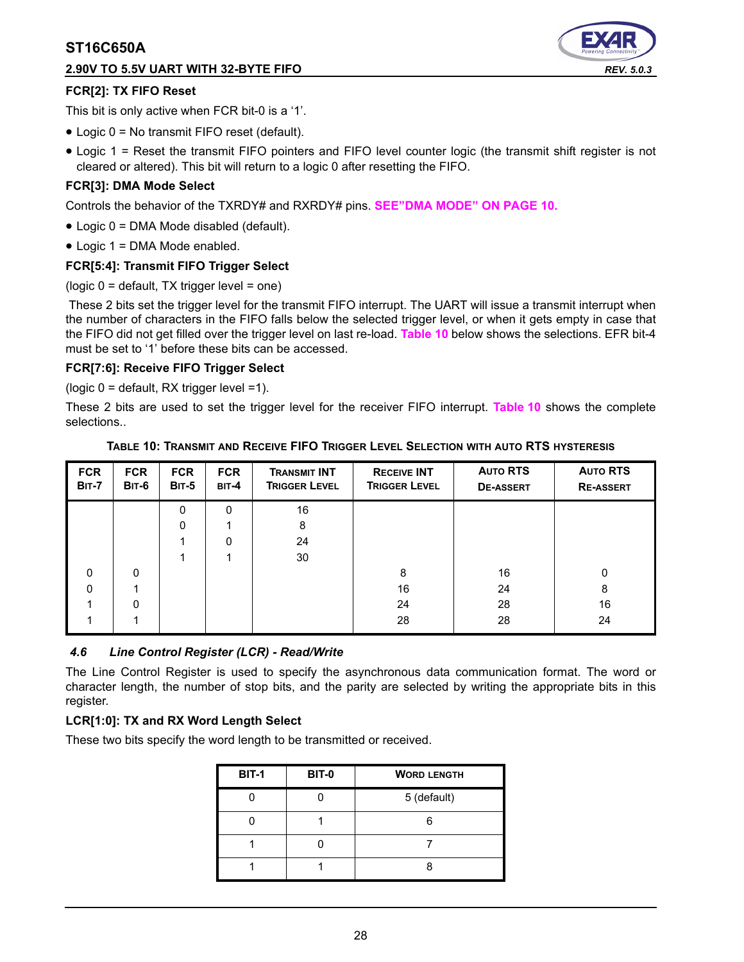## **2.90V TO 5.5V UART WITH 32-BYTE FIFO** *REV. 5.0.3*



### **FCR[2]: TX FIFO Reset**

This bit is only active when FCR bit-0 is a '1'.

- Logic 0 = No transmit FIFO reset (default).
- Logic 1 = Reset the transmit FIFO pointers and FIFO level counter logic (the transmit shift register is not cleared or altered). This bit will return to a logic 0 after resetting the FIFO.

### **FCR[3]: DMA Mode Select**

Controls the behavior of the TXRDY# and RXRDY# pins. **[SEE"DMA MODE" ON PAGE](#page-9-1) 10.**

- Logic 0 = DMA Mode disabled (default).
- Logic 1 = DMA Mode enabled.

### **FCR[5:4]: Transmit FIFO Trigger Select**

 $(logic 0 = default, TX trigger level = one)$ 

 These 2 bits set the trigger level for the transmit FIFO interrupt. The UART will issue a transmit interrupt when the number of characters in the FIFO falls below the selected trigger level, or when it gets empty in case that the FIFO did not get filled over the trigger level on last re-load. **[Table](#page-27-0) 10** below shows the selections. EFR bit-4 must be set to '1' before these bits can be accessed.

### **FCR[7:6]: Receive FIFO Trigger Select**

(logic 0 = default, RX trigger level =1).

These 2 bits are used to set the trigger level for the receiver FIFO interrupt. **[Table](#page-27-0) 10** shows the complete selections..

<span id="page-27-0"></span>

| <b>FCR</b><br><b>BIT-7</b> | <b>FCR</b><br><b>BIT-6</b> | <b>FCR</b><br><b>BIT-5</b> | <b>FCR</b><br>$BIT-4$ | <b>TRANSMIT INT</b><br><b>TRIGGER LEVEL</b> | <b>RECEIVE INT</b><br><b>TRIGGER LEVEL</b> | <b>AUTO RTS</b><br><b>DE-ASSERT</b> | <b>AUTO RTS</b><br><b>RE-ASSERT</b> |
|----------------------------|----------------------------|----------------------------|-----------------------|---------------------------------------------|--------------------------------------------|-------------------------------------|-------------------------------------|
|                            |                            | 0                          | 0                     | 16                                          |                                            |                                     |                                     |
|                            |                            | $\Omega$                   |                       | 8                                           |                                            |                                     |                                     |
|                            |                            |                            | 0                     | 24                                          |                                            |                                     |                                     |
|                            |                            |                            |                       | 30                                          |                                            |                                     |                                     |
| $\mathbf 0$                | 0                          |                            |                       |                                             | 8                                          | 16                                  | 0                                   |
| $\mathbf 0$                |                            |                            |                       |                                             | 16                                         | 24                                  | 8                                   |
|                            | 0                          |                            |                       |                                             | 24                                         | 28                                  | 16                                  |
|                            |                            |                            |                       |                                             | 28                                         | 28                                  | 24                                  |

**TABLE 10: TRANSMIT AND RECEIVE FIFO TRIGGER LEVEL SELECTION WITH AUTO RTS HYSTERESIS**

### *4.6 Line Control Register (LCR) - Read/Write*

The Line Control Register is used to specify the asynchronous data communication format. The word or character length, the number of stop bits, and the parity are selected by writing the appropriate bits in this register.

### **LCR[1:0]: TX and RX Word Length Select**

These two bits specify the word length to be transmitted or received.

| <b>BIT-1</b> | <b>BIT-0</b> | <b>WORD LENGTH</b> |
|--------------|--------------|--------------------|
|              |              | 5 (default)        |
|              |              |                    |
|              |              |                    |
|              |              |                    |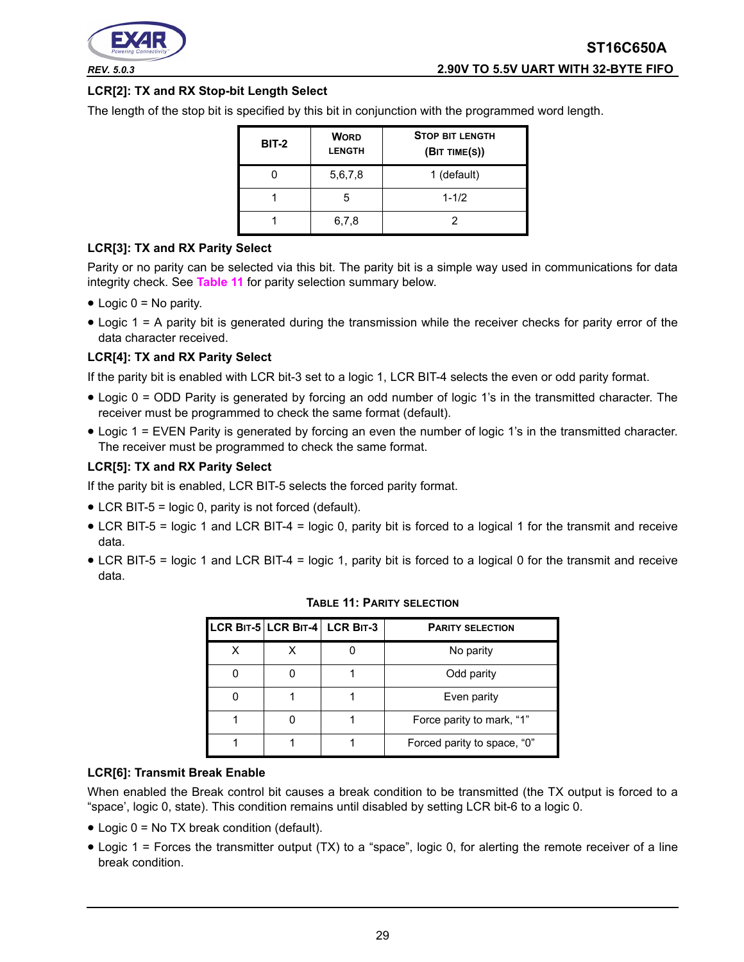

### **LCR[2]: TX and RX Stop-bit Length Select**

The length of the stop bit is specified by this bit in conjunction with the programmed word length.

| <b>BIT-2</b> | <b>WORD</b><br><b>LENGTH</b> | <b>STOP BIT LENGTH</b><br>(BIT TIME(S)) |
|--------------|------------------------------|-----------------------------------------|
|              | 5,6,7,8                      | 1 (default)                             |
|              | 5                            | $1 - 1/2$                               |
|              | 6,7,8                        |                                         |

### **LCR[3]: TX and RX Parity Select**

Parity or no parity can be selected via this bit. The parity bit is a simple way used in communications for data integrity check. See **[Table](#page-28-0) 11** for parity selection summary below.

- $\bullet$  Logic 0 = No parity.
- Logic 1 = A parity bit is generated during the transmission while the receiver checks for parity error of the data character received.

### **LCR[4]: TX and RX Parity Select**

If the parity bit is enabled with LCR bit-3 set to a logic 1, LCR BIT-4 selects the even or odd parity format.

- Logic 0 = ODD Parity is generated by forcing an odd number of logic 1's in the transmitted character. The receiver must be programmed to check the same format (default).
- Logic 1 = EVEN Parity is generated by forcing an even the number of logic 1's in the transmitted character. The receiver must be programmed to check the same format.

### **LCR[5]: TX and RX Parity Select**

If the parity bit is enabled, LCR BIT-5 selects the forced parity format.

- LCR BIT-5 = logic 0, parity is not forced (default).
- LCR BIT-5 = logic 1 and LCR BIT-4 = logic 0, parity bit is forced to a logical 1 for the transmit and receive data.
- <span id="page-28-0"></span>• LCR BIT-5 = logic 1 and LCR BIT-4 = logic 1, parity bit is forced to a logical 0 for the transmit and receive data.

|  | LCR BIT-5 LCR BIT-4 LCR BIT-3 | <b>PARITY SELECTION</b>     |
|--|-------------------------------|-----------------------------|
|  |                               | No parity                   |
|  |                               | Odd parity                  |
|  |                               | Even parity                 |
|  |                               | Force parity to mark, "1"   |
|  |                               | Forced parity to space, "0" |

### **TABLE 11: PARITY SELECTION**

### **LCR[6]: Transmit Break Enable**

When enabled the Break control bit causes a break condition to be transmitted (the TX output is forced to a "space', logic 0, state). This condition remains until disabled by setting LCR bit-6 to a logic 0.

- Logic 0 = No TX break condition (default).
- Logic 1 = Forces the transmitter output (TX) to a "space", logic 0, for alerting the remote receiver of a line break condition.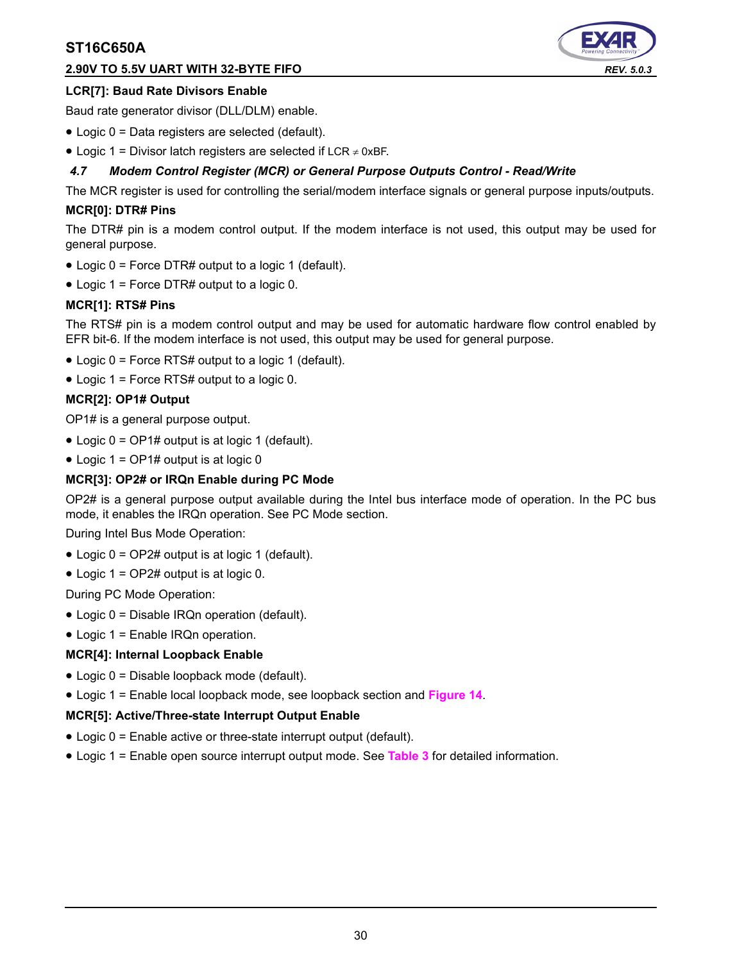### **2.90V TO 5.5V UART WITH 32-BYTE FIFO** *REV. 5.0.3*

### **LCR[7]: Baud Rate Divisors Enable**

Baud rate generator divisor (DLL/DLM) enable.

- Logic 0 = Data registers are selected (default).
- Logic 1 = Divisor latch registers are selected if LCR  $\neq$  0xBF.
- *4.7 Modem Control Register (MCR) or General Purpose Outputs Control Read/Write*

The MCR register is used for controlling the serial/modem interface signals or general purpose inputs/outputs.

### **MCR[0]: DTR# Pins**

The DTR# pin is a modem control output. If the modem interface is not used, this output may be used for general purpose.

- Logic 0 = Force DTR# output to a logic 1 (default).
- Logic 1 = Force DTR# output to a logic 0.

### **MCR[1]: RTS# Pins**

The RTS# pin is a modem control output and may be used for automatic hardware flow control enabled by EFR bit-6. If the modem interface is not used, this output may be used for general purpose.

- Logic 0 = Force RTS# output to a logic 1 (default).
- Logic 1 = Force RTS# output to a logic 0.

### **MCR[2]: OP1# Output**

OP1# is a general purpose output.

- Logic  $0 = \text{OP1#}$  output is at logic 1 (default).
- Logic 1 = OP1# output is at logic 0

### **MCR[3]: OP2# or IRQn Enable during PC Mode**

OP2# is a general purpose output available during the Intel bus interface mode of operation. In the PC bus mode, it enables the IRQn operation. See PC Mode section.

During Intel Bus Mode Operation:

- Logic 0 = OP2# output is at logic 1 (default).
- Logic 1 = OP2# output is at logic 0.

During PC Mode Operation:

- Logic 0 = Disable IRQn operation (default).
- Logic 1 = Enable IRQn operation.

### **MCR[4]: Internal Loopback Enable**

- Logic 0 = Disable loopback mode (default).
- Logic 1 = Enable local loopback mode, see loopback section and **[Figure](#page-20-0) 14**.

### **MCR[5]: Active/Three-state Interrupt Output Enable**

- Logic 0 = Enable active or three-state interrupt output (default).
- Logic 1 = Enable open source interrupt output mode. See **[Table](#page-10-0) 3** for detailed information.

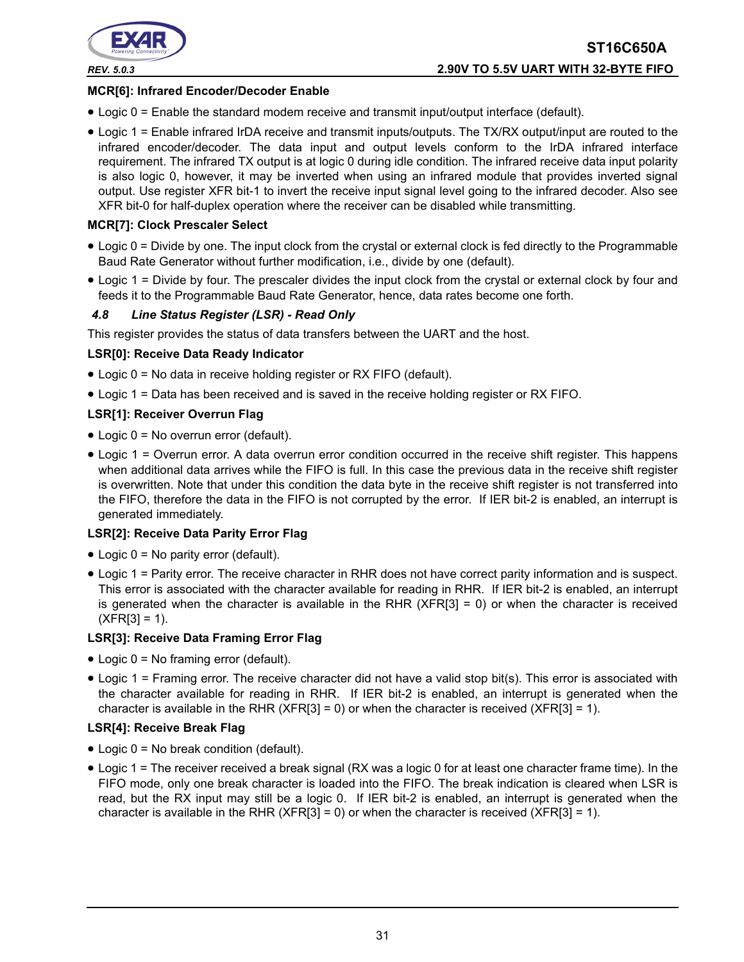

### **MCR[6]: Infrared Encoder/Decoder Enable**

- Logic 0 = Enable the standard modem receive and transmit input/output interface (default).
- Logic 1 = Enable infrared IrDA receive and transmit inputs/outputs. The TX/RX output/input are routed to the infrared encoder/decoder. The data input and output levels conform to the IrDA infrared interface requirement. The infrared TX output is at logic 0 during idle condition. The infrared receive data input polarity is also logic 0, however, it may be inverted when using an infrared module that provides inverted signal output. Use register XFR bit-1 to invert the receive input signal level going to the infrared decoder. Also see XFR bit-0 for half-duplex operation where the receiver can be disabled while transmitting.

### **MCR[7]: Clock Prescaler Select**

- Logic 0 = Divide by one. The input clock from the crystal or external clock is fed directly to the Programmable Baud Rate Generator without further modification, i.e., divide by one (default).
- Logic 1 = Divide by four. The prescaler divides the input clock from the crystal or external clock by four and feeds it to the Programmable Baud Rate Generator, hence, data rates become one forth.

### *4.8 Line Status Register (LSR) - Read Only*

This register provides the status of data transfers between the UART and the host.

### **LSR[0]: Receive Data Ready Indicator**

- Logic 0 = No data in receive holding register or RX FIFO (default).
- Logic 1 = Data has been received and is saved in the receive holding register or RX FIFO.

### **LSR[1]: Receiver Overrun Flag**

- Logic 0 = No overrun error (default).
- Logic 1 = Overrun error. A data overrun error condition occurred in the receive shift register. This happens when additional data arrives while the FIFO is full. In this case the previous data in the receive shift register is overwritten. Note that under this condition the data byte in the receive shift register is not transferred into the FIFO, therefore the data in the FIFO is not corrupted by the error. If IER bit-2 is enabled, an interrupt is generated immediately.

### **LSR[2]: Receive Data Parity Error Flag**

- Logic 0 = No parity error (default).
- Logic 1 = Parity error. The receive character in RHR does not have correct parity information and is suspect. This error is associated with the character available for reading in RHR. If IER bit-2 is enabled, an interrupt is generated when the character is available in the RHR  $(XFR[3] = 0)$  or when the character is received  $(XFR[3] = 1)$ .

### **LSR[3]: Receive Data Framing Error Flag**

- Logic 0 = No framing error (default).
- Logic 1 = Framing error. The receive character did not have a valid stop bit(s). This error is associated with the character available for reading in RHR. If IER bit-2 is enabled, an interrupt is generated when the character is available in the RHR (XFR[3] = 0) or when the character is received (XFR[3] = 1).

### **LSR[4]: Receive Break Flag**

- Logic 0 = No break condition (default).
- Logic 1 = The receiver received a break signal (RX was a logic 0 for at least one character frame time). In the FIFO mode, only one break character is loaded into the FIFO. The break indication is cleared when LSR is read, but the RX input may still be a logic 0. If IER bit-2 is enabled, an interrupt is generated when the character is available in the RHR (XFR[3] = 0) or when the character is received (XFR[3] = 1).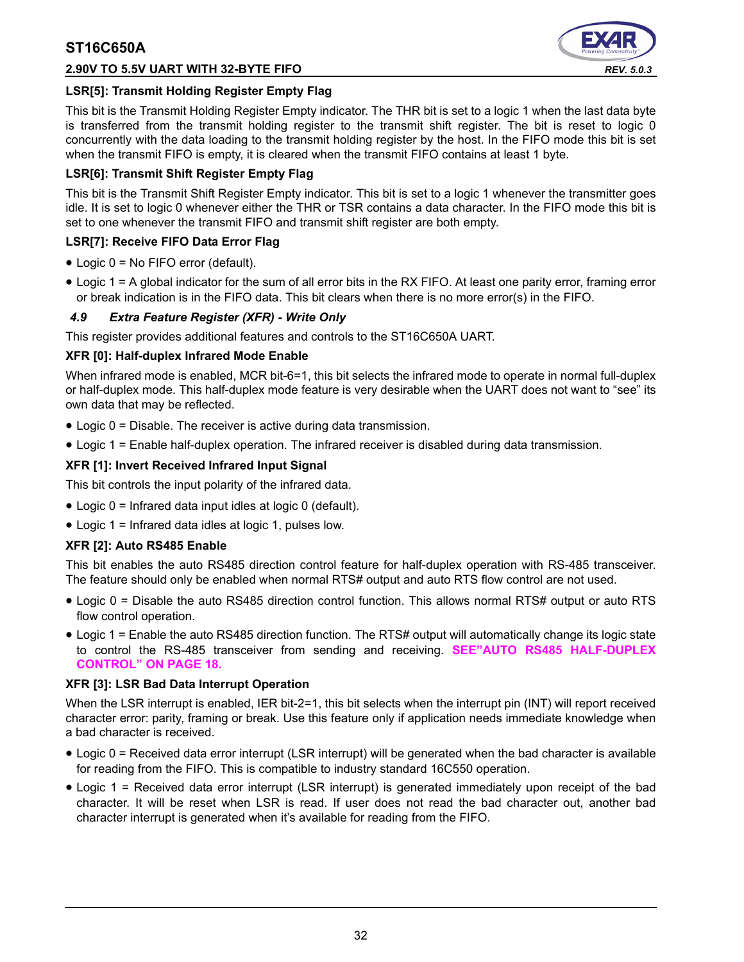### **2.90V TO 5.5V UART WITH 32-BYTE FIFO** *REV. 5.0.3*



### **LSR[5]: Transmit Holding Register Empty Flag**

This bit is the Transmit Holding Register Empty indicator. The THR bit is set to a logic 1 when the last data byte is transferred from the transmit holding register to the transmit shift register. The bit is reset to logic 0 concurrently with the data loading to the transmit holding register by the host. In the FIFO mode this bit is set when the transmit FIFO is empty, it is cleared when the transmit FIFO contains at least 1 byte.

### **LSR[6]: Transmit Shift Register Empty Flag**

This bit is the Transmit Shift Register Empty indicator. This bit is set to a logic 1 whenever the transmitter goes idle. It is set to logic 0 whenever either the THR or TSR contains a data character. In the FIFO mode this bit is set to one whenever the transmit FIFO and transmit shift register are both empty.

### **LSR[7]: Receive FIFO Data Error Flag**

- Logic 0 = No FIFO error (default).
- Logic 1 = A global indicator for the sum of all error bits in the RX FIFO. At least one parity error, framing error or break indication is in the FIFO data. This bit clears when there is no more error(s) in the FIFO.

### *4.9 Extra Feature Register (XFR) - Write Only*

This register provides additional features and controls to the ST16C650A UART.

### **XFR [0]: Half-duplex Infrared Mode Enable**

When infrared mode is enabled, MCR bit-6=1, this bit selects the infrared mode to operate in normal full-duplex or half-duplex mode. This half-duplex mode feature is very desirable when the UART does not want to "see" its own data that may be reflected.

- Logic 0 = Disable. The receiver is active during data transmission.
- Logic 1 = Enable half-duplex operation. The infrared receiver is disabled during data transmission.

### **XFR [1]: Invert Received Infrared Input Signal**

This bit controls the input polarity of the infrared data.

- Logic 0 = Infrared data input idles at logic 0 (default).
- Logic 1 = Infrared data idles at logic 1, pulses low.

### **XFR [2]: Auto RS485 Enable**

This bit enables the auto RS485 direction control feature for half-duplex operation with RS-485 transceiver. The feature should only be enabled when normal RTS# output and auto RTS flow control are not used.

- Logic 0 = Disable the auto RS485 direction control function. This allows normal RTS# output or auto RTS flow control operation.
- Logic 1 = Enable the auto RS485 direction function. The RTS# output will automatically change its logic state to control the RS-485 transceiver from sending and receiving. **[SEE"AUTO RS485 HALF-DUPLEX](#page-17-1) [CONTROL" ON PAGE](#page-17-1) 18.**

### **XFR [3]: LSR Bad Data Interrupt Operation**

When the LSR interrupt is enabled, IER bit-2=1, this bit selects when the interrupt pin (INT) will report received character error: parity, framing or break. Use this feature only if application needs immediate knowledge when a bad character is received.

- Logic 0 = Received data error interrupt (LSR interrupt) will be generated when the bad character is available for reading from the FIFO. This is compatible to industry standard 16C550 operation.
- Logic 1 = Received data error interrupt (LSR interrupt) is generated immediately upon receipt of the bad character. It will be reset when LSR is read. If user does not read the bad character out, another bad character interrupt is generated when it's available for reading from the FIFO.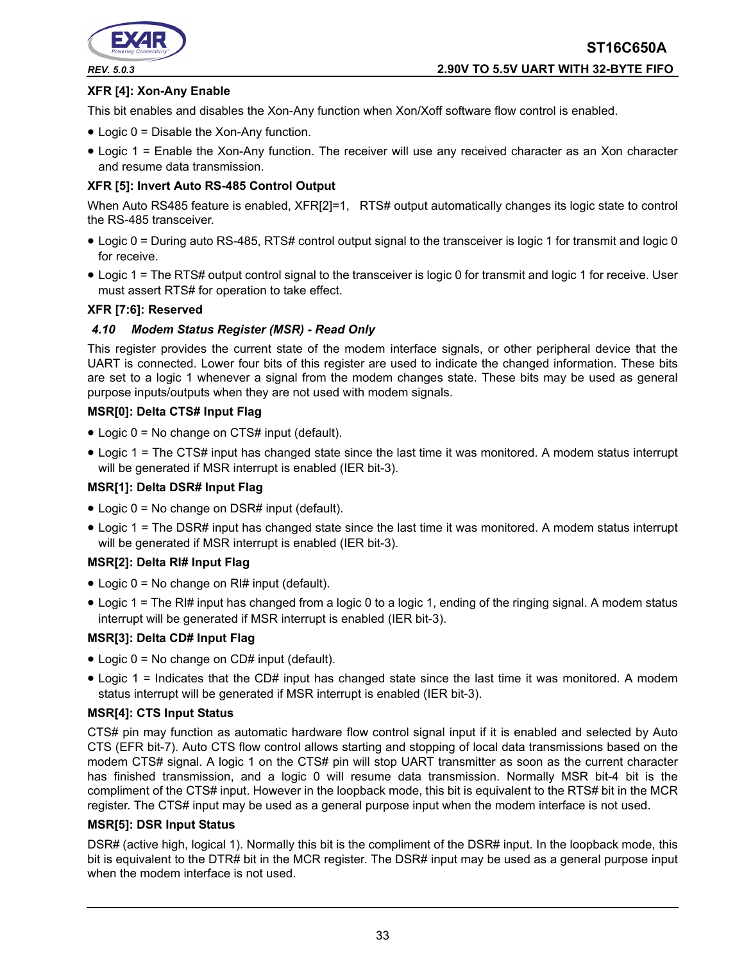

### **XFR [4]: Xon-Any Enable**

This bit enables and disables the Xon-Any function when Xon/Xoff software flow control is enabled.

- Logic 0 = Disable the Xon-Any function.
- Logic 1 = Enable the Xon-Any function. The receiver will use any received character as an Xon character and resume data transmission.

### **XFR [5]: Invert Auto RS-485 Control Output**

When Auto RS485 feature is enabled, XFR[2]=1, RTS# output automatically changes its logic state to control the RS-485 transceiver.

- Logic 0 = During auto RS-485, RTS# control output signal to the transceiver is logic 1 for transmit and logic 0 for receive.
- Logic 1 = The RTS# output control signal to the transceiver is logic 0 for transmit and logic 1 for receive. User must assert RTS# for operation to take effect.

### **XFR [7:6]: Reserved**

### *4.10 Modem Status Register (MSR) - Read Only*

This register provides the current state of the modem interface signals, or other peripheral device that the UART is connected. Lower four bits of this register are used to indicate the changed information. These bits are set to a logic 1 whenever a signal from the modem changes state. These bits may be used as general purpose inputs/outputs when they are not used with modem signals.

### **MSR[0]: Delta CTS# Input Flag**

- Logic 0 = No change on CTS# input (default).
- Logic 1 = The CTS# input has changed state since the last time it was monitored. A modem status interrupt will be generated if MSR interrupt is enabled (IER bit-3).

### **MSR[1]: Delta DSR# Input Flag**

- Logic 0 = No change on DSR# input (default).
- Logic 1 = The DSR# input has changed state since the last time it was monitored. A modem status interrupt will be generated if MSR interrupt is enabled (IER bit-3).

### **MSR[2]: Delta RI# Input Flag**

- Logic  $0 = No$  change on RI# input (default).
- Logic 1 = The RI# input has changed from a logic 0 to a logic 1, ending of the ringing signal. A modem status interrupt will be generated if MSR interrupt is enabled (IER bit-3).

### **MSR[3]: Delta CD# Input Flag**

- Logic  $0 = No$  change on CD# input (default).
- Logic 1 = Indicates that the CD# input has changed state since the last time it was monitored. A modem status interrupt will be generated if MSR interrupt is enabled (IER bit-3).

### **MSR[4]: CTS Input Status**

CTS# pin may function as automatic hardware flow control signal input if it is enabled and selected by Auto CTS (EFR bit-7). Auto CTS flow control allows starting and stopping of local data transmissions based on the modem CTS# signal. A logic 1 on the CTS# pin will stop UART transmitter as soon as the current character has finished transmission, and a logic 0 will resume data transmission. Normally MSR bit-4 bit is the compliment of the CTS# input. However in the loopback mode, this bit is equivalent to the RTS# bit in the MCR register. The CTS# input may be used as a general purpose input when the modem interface is not used.

### **MSR[5]: DSR Input Status**

DSR# (active high, logical 1). Normally this bit is the compliment of the DSR# input. In the loopback mode, this bit is equivalent to the DTR# bit in the MCR register. The DSR# input may be used as a general purpose input when the modem interface is not used.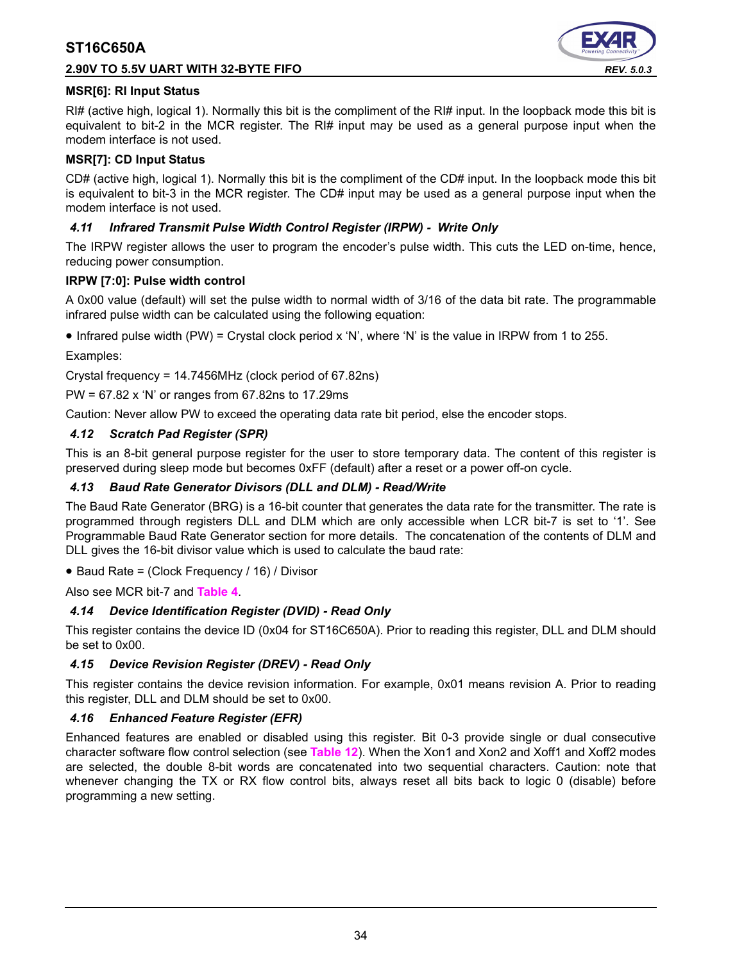### **2.90V TO 5.5V UART WITH 32-BYTE FIFO** *REV. 5.0.3*



### **MSR[6]: RI Input Status**

RI# (active high, logical 1). Normally this bit is the compliment of the RI# input. In the loopback mode this bit is equivalent to bit-2 in the MCR register. The RI# input may be used as a general purpose input when the modem interface is not used.

### **MSR[7]: CD Input Status**

CD# (active high, logical 1). Normally this bit is the compliment of the CD# input. In the loopback mode this bit is equivalent to bit-3 in the MCR register. The CD# input may be used as a general purpose input when the modem interface is not used.

### *4.11 Infrared Transmit Pulse Width Control Register (IRPW) - Write Only*

The IRPW register allows the user to program the encoder's pulse width. This cuts the LED on-time, hence, reducing power consumption.

### **IRPW [7:0]: Pulse width control**

A 0x00 value (default) will set the pulse width to normal width of 3/16 of the data bit rate. The programmable infrared pulse width can be calculated using the following equation:

• Infrared pulse width (PW) = Crystal clock period x 'N', where 'N' is the value in IRPW from 1 to 255.

Examples:

Crystal frequency = 14.7456MHz (clock period of 67.82ns)

PW = 67.82 x 'N' or ranges from 67.82ns to 17.29ms

Caution: Never allow PW to exceed the operating data rate bit period, else the encoder stops.

### *4.12 Scratch Pad Register (SPR)*

This is an 8-bit general purpose register for the user to store temporary data. The content of this register is preserved during sleep mode but becomes 0xFF (default) after a reset or a power off-on cycle.

### *4.13 Baud Rate Generator Divisors (DLL and DLM) - Read/Write*

The Baud Rate Generator (BRG) is a 16-bit counter that generates the data rate for the transmitter. The rate is programmed through registers DLL and DLM which are only accessible when LCR bit-7 is set to '1'. See Programmable Baud Rate Generator section for more details. The concatenation of the contents of DLM and DLL gives the 16-bit divisor value which is used to calculate the baud rate:

• Baud Rate = (Clock Frequency / 16) / Divisor

Also see MCR bit-7 and **[Table](#page-12-0) 4**.

### *4.14 Device Identification Register (DVID) - Read Only*

This register contains the device ID (0x04 for ST16C650A). Prior to reading this register, DLL and DLM should be set to 0x00.

### *4.15 Device Revision Register (DREV) - Read Only*

This register contains the device revision information. For example, 0x01 means revision A. Prior to reading this register, DLL and DLM should be set to 0x00.

### *4.16 Enhanced Feature Register (EFR)*

Enhanced features are enabled or disabled using this register. Bit 0-3 provide single or dual consecutive character software flow control selection (see **[Table](#page-34-0) 12**). When the Xon1 and Xon2 and Xoff1 and Xoff2 modes are selected, the double 8-bit words are concatenated into two sequential characters. Caution: note that whenever changing the TX or RX flow control bits, always reset all bits back to logic 0 (disable) before programming a new setting.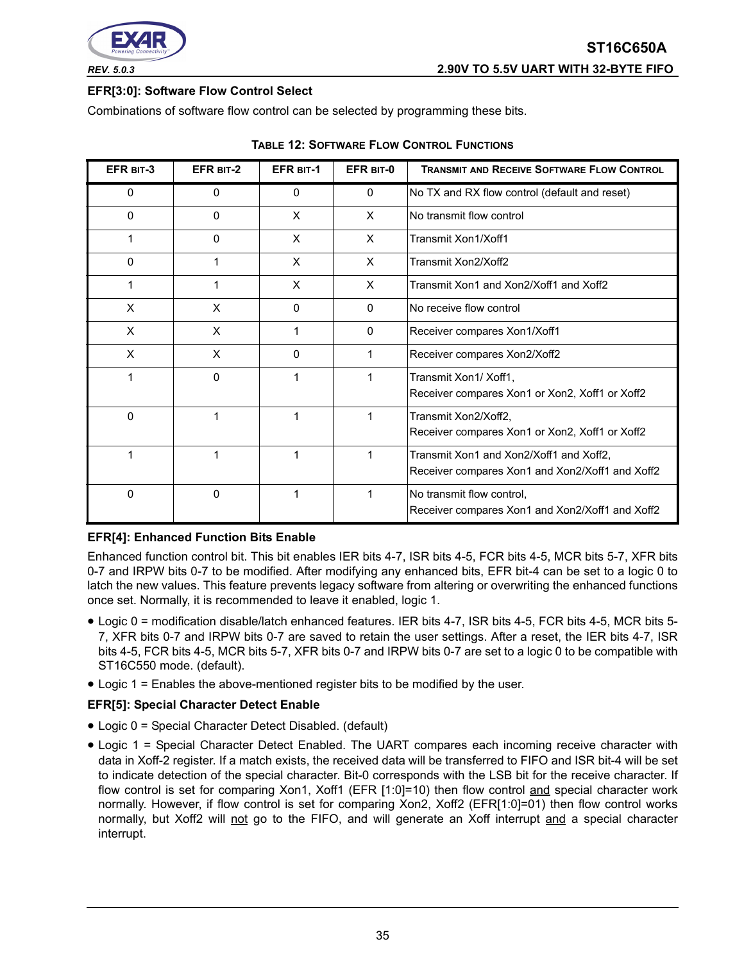

### **EFR[3:0]: Software Flow Control Select**

Combinations of software flow control can be selected by programming these bits.

<span id="page-34-0"></span>

| EFR BIT-3    | EFR BIT-2    | <b>EFR BIT-1</b> | EFR BIT-0    | <b>TRANSMIT AND RECEIVE SOFTWARE FLOW CONTROL</b>                                          |
|--------------|--------------|------------------|--------------|--------------------------------------------------------------------------------------------|
| $\mathbf{0}$ | 0            | $\Omega$         | $\Omega$     | No TX and RX flow control (default and reset)                                              |
| $\Omega$     | $\Omega$     | X                | X            | No transmit flow control                                                                   |
| 1            | $\mathbf{0}$ | X                | $\mathsf{x}$ | Transmit Xon1/Xoff1                                                                        |
| $\mathbf{0}$ |              | X                | X            | Transmit Xon2/Xoff2                                                                        |
| 1            | 1            | X                | X            | Transmit Xon1 and Xon2/Xoff1 and Xoff2                                                     |
| X            | X            | 0                | $\Omega$     | No receive flow control                                                                    |
| X            | X            | 1                | $\Omega$     | Receiver compares Xon1/Xoff1                                                               |
| X            | X            | 0                | 1            | Receiver compares Xon2/Xoff2                                                               |
| 1            | $\Omega$     | 1                | 1            | Transmit Xon1/ Xoff1,<br>Receiver compares Xon1 or Xon2, Xoff1 or Xoff2                    |
| $\mathbf 0$  | 1            | 1                | 1            | Transmit Xon2/Xoff2,<br>Receiver compares Xon1 or Xon2, Xoff1 or Xoff2                     |
| 1            |              | 1                | 1            | Transmit Xon1 and Xon2/Xoff1 and Xoff2,<br>Receiver compares Xon1 and Xon2/Xoff1 and Xoff2 |
| 0            | $\Omega$     |                  |              | No transmit flow control,<br>Receiver compares Xon1 and Xon2/Xoff1 and Xoff2               |

### **TABLE 12: SOFTWARE FLOW CONTROL FUNCTIONS**

### **EFR[4]: Enhanced Function Bits Enable**

Enhanced function control bit. This bit enables IER bits 4-7, ISR bits 4-5, FCR bits 4-5, MCR bits 5-7, XFR bits 0-7 and IRPW bits 0-7 to be modified. After modifying any enhanced bits, EFR bit-4 can be set to a logic 0 to latch the new values. This feature prevents legacy software from altering or overwriting the enhanced functions once set. Normally, it is recommended to leave it enabled, logic 1.

- Logic 0 = modification disable/latch enhanced features. IER bits 4-7, ISR bits 4-5, FCR bits 4-5, MCR bits 5- 7, XFR bits 0-7 and IRPW bits 0-7 are saved to retain the user settings. After a reset, the IER bits 4-7, ISR bits 4-5, FCR bits 4-5, MCR bits 5-7, XFR bits 0-7 and IRPW bits 0-7 are set to a logic 0 to be compatible with ST16C550 mode. (default).
- Logic 1 = Enables the above-mentioned register bits to be modified by the user.

### **EFR[5]: Special Character Detect Enable**

- Logic 0 = Special Character Detect Disabled. (default)
- Logic 1 = Special Character Detect Enabled. The UART compares each incoming receive character with data in Xoff-2 register. If a match exists, the received data will be transferred to FIFO and ISR bit-4 will be set to indicate detection of the special character. Bit-0 corresponds with the LSB bit for the receive character. If flow control is set for comparing Xon1, Xoff1 (EFR [1:0]=10) then flow control and special character work normally. However, if flow control is set for comparing Xon2, Xoff2 (EFR[1:0]=01) then flow control works normally, but Xoff2 will not go to the FIFO, and will generate an Xoff interrupt and a special character interrupt.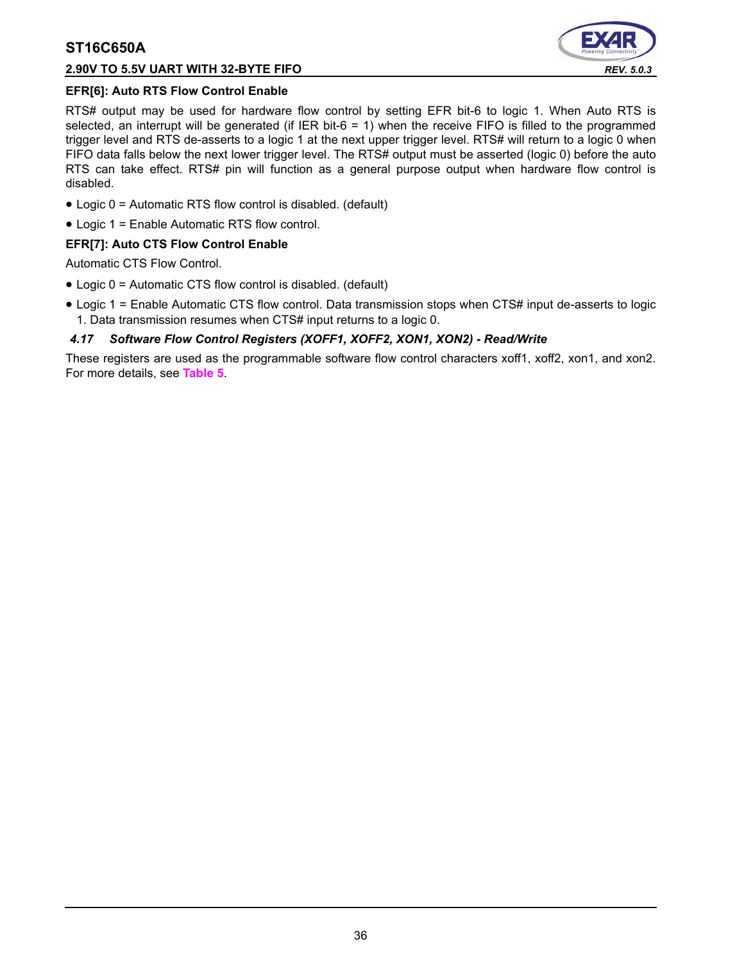### **2.90V TO 5.5V UART WITH 32-BYTE FIFO** *REV. 5.0.3*



### **EFR[6]: Auto RTS Flow Control Enable**

RTS# output may be used for hardware flow control by setting EFR bit-6 to logic 1. When Auto RTS is selected, an interrupt will be generated (if IER bit-6 = 1) when the receive FIFO is filled to the programmed trigger level and RTS de-asserts to a logic 1 at the next upper trigger level. RTS# will return to a logic 0 when FIFO data falls below the next lower trigger level. The RTS# output must be asserted (logic 0) before the auto RTS can take effect. RTS# pin will function as a general purpose output when hardware flow control is disabled.

- Logic 0 = Automatic RTS flow control is disabled. (default)
- Logic 1 = Enable Automatic RTS flow control.

### **EFR[7]: Auto CTS Flow Control Enable**

Automatic CTS Flow Control.

- Logic 0 = Automatic CTS flow control is disabled. (default)
- Logic 1 = Enable Automatic CTS flow control. Data transmission stops when CTS# input de-asserts to logic 1. Data transmission resumes when CTS# input returns to a logic 0.

### *4.17 Software Flow Control Registers (XOFF1, XOFF2, XON1, XON2) - Read/Write*

These registers are used as the programmable software flow control characters xoff1, xoff2, xon1, and xon2. For more details, see **[Table](#page-17-0) 5**.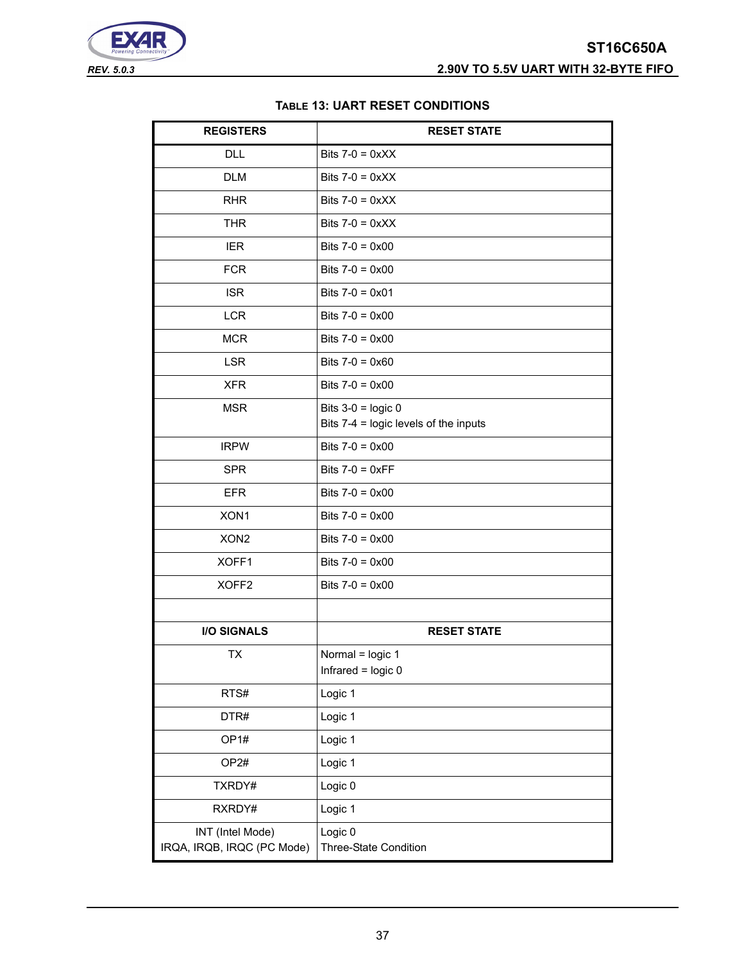

## **TABLE 13: UART RESET CONDITIONS**

<span id="page-36-0"></span>

| <b>REGISTERS</b>                               | <b>RESET STATE</b>                    |
|------------------------------------------------|---------------------------------------|
| DLL                                            | Bits $7-0 = 0 \times XX$              |
| <b>DLM</b>                                     | Bits $7-0 = 0 \times X$               |
| <b>RHR</b>                                     | Bits $7-0 = 0 \times X$               |
| <b>THR</b>                                     | Bits $7-0 = 0 \times XX$              |
| <b>IER</b>                                     | Bits $7-0 = 0 \times 00$              |
| <b>FCR</b>                                     | Bits $7-0 = 0 \times 00$              |
| <b>ISR</b>                                     | Bits $7-0 = 0 \times 01$              |
| <b>LCR</b>                                     | Bits $7-0 = 0 \times 00$              |
| <b>MCR</b>                                     | Bits $7-0 = 0 \times 00$              |
| <b>LSR</b>                                     | Bits $7-0 = 0 \times 60$              |
| <b>XFR</b>                                     | Bits $7-0 = 0 \times 00$              |
| <b>MSR</b>                                     | Bits $3-0 =$ logic 0                  |
|                                                | Bits 7-4 = logic levels of the inputs |
| <b>IRPW</b>                                    | Bits $7-0 = 0 \times 00$              |
| <b>SPR</b>                                     | Bits $7-0 = 0 \times FF$              |
| <b>EFR</b>                                     | Bits $7-0 = 0 \times 00$              |
| XON <sub>1</sub>                               | Bits $7-0 = 0 \times 00$              |
| XON <sub>2</sub>                               | Bits $7-0 = 0 \times 00$              |
| XOFF1                                          | Bits $7-0 = 0 \times 00$              |
| XOFF <sub>2</sub>                              | Bits $7-0 = 0 \times 00$              |
|                                                |                                       |
| <b>I/O SIGNALS</b>                             | <b>RESET STATE</b>                    |
| <b>TX</b>                                      | Normal = logic 1                      |
|                                                | Infrared = $logic 0$                  |
| RTS#                                           | Logic 1                               |
| DTR#                                           | Logic 1                               |
| OP <sub>1#</sub>                               | Logic 1                               |
| OP <sub>2#</sub>                               | Logic 1                               |
| TXRDY#                                         | Logic 0                               |
| RXRDY#                                         | Logic 1                               |
| INT (Intel Mode)<br>IRQA, IRQB, IRQC (PC Mode) | Logic 0<br>Three-State Condition      |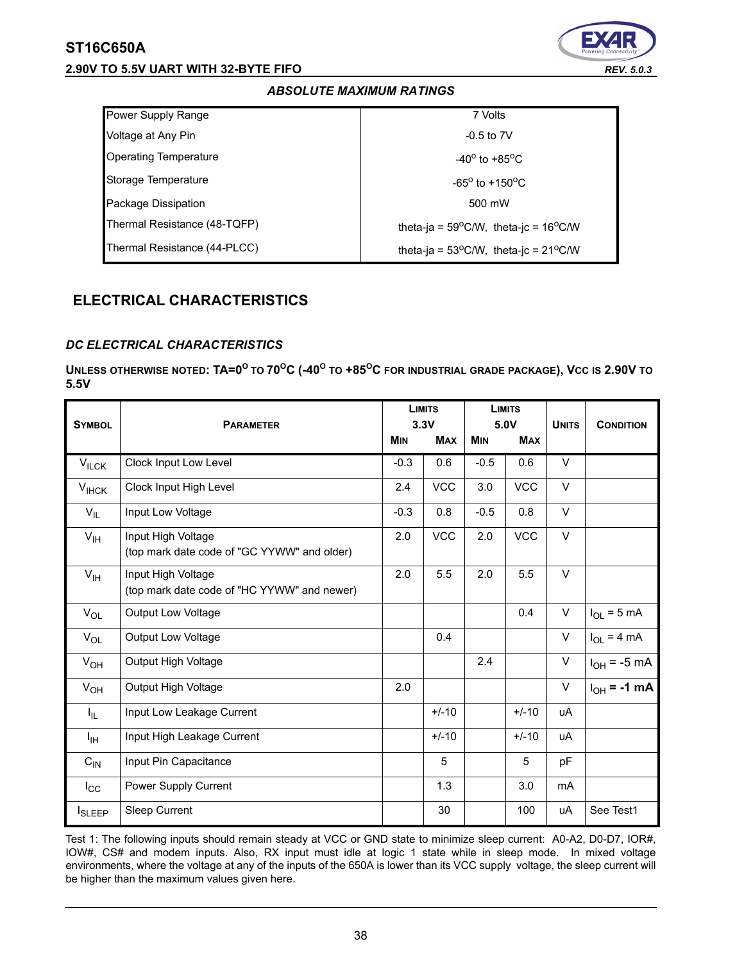### **2.90V TO 5.5V UART WITH 32-BYTE FIFO** *REV. 5.0.3*



### *ABSOLUTE MAXIMUM RATINGS*

| Power Supply Range           | 7 Volts                                                  |
|------------------------------|----------------------------------------------------------|
| Voltage at Any Pin           | $-0.5$ to $7V$                                           |
| <b>Operating Temperature</b> | $-40^{\circ}$ to $+85^{\circ}$ C                         |
| Storage Temperature          | $-65^{\circ}$ to $+150^{\circ}$ C                        |
| Package Dissipation          | 500 mW                                                   |
| Thermal Resistance (48-TQFP) | theta-ja = $59^{\circ}$ C/W, theta-jc = $16^{\circ}$ C/W |
| Thermal Resistance (44-PLCC) | theta-ja = $53^{\circ}$ C/W, theta-jc = $21^{\circ}$ C/W |

## **ELECTRICAL CHARACTERISTICS**

### *DC ELECTRICAL CHARACTERISTICS*

**UNLESS OTHERWISE NOTED: TA=0<sup>O</sup> TO <sup>O</sup> <sup>O</sup> TO +85OC FOR INDUSTRIAL GRADE PACKAGE), VCC IS 2.90V TO 70 C (-40 5.5V**

| <b>SYMBOL</b>             | <b>PARAMETER</b>                                                  |            | <b>LIMITS</b><br>3.3V |            | <b>LIMITS</b><br>5.0V | <b>UNITS</b> | <b>CONDITION</b> |
|---------------------------|-------------------------------------------------------------------|------------|-----------------------|------------|-----------------------|--------------|------------------|
|                           |                                                                   | <b>MIN</b> | <b>MAX</b>            | <b>MIN</b> | <b>MAX</b>            |              |                  |
| $V_{ILCK}$                | Clock Input Low Level                                             | $-0.3$     | 0.6                   | $-0.5$     | 0.6                   | $\vee$       |                  |
| $V_{I HCK}$               | Clock Input High Level                                            | 2.4        | <b>VCC</b>            | 3.0        | <b>VCC</b>            | $\vee$       |                  |
| $V_{IL}$                  | Input Low Voltage                                                 | $-0.3$     | 0.8                   | $-0.5$     | 0.8                   | $\vee$       |                  |
| $V_{\text{IH}}$           | Input High Voltage<br>(top mark date code of "GC YYWW" and older) | 2.0        | VCC                   | 2.0        | <b>VCC</b>            | $\vee$       |                  |
| $V_{\text{IH}}$           | Input High Voltage<br>(top mark date code of "HC YYWW" and newer) | 2.0        | 5.5                   | 2.0        | 5.5                   | $\vee$       |                  |
| $V_{OL}$                  | Output Low Voltage                                                |            |                       |            | 0.4                   | $\vee$       | $I_{OL}$ = 5 mA  |
| $V_{OL}$                  | Output Low Voltage                                                |            | 0.4                   |            |                       | V            | $I_{OL}$ = 4 mA  |
| $V_{OH}$                  | Output High Voltage                                               |            |                       | 2.4        |                       | V            | $I_{OH}$ = -5 mA |
| $V_{OH}$                  | Output High Voltage                                               | 2.0        |                       |            |                       | $\vee$       | $I_{OH} = -1$ mA |
| I <sub>IL</sub>           | Input Low Leakage Current                                         |            | $+/-10$               |            | $+/-10$               | uA           |                  |
| ŀщ                        | Input High Leakage Current                                        |            | $+/-10$               |            | $+/-10$               | uA           |                  |
| $C_{\text{IN}}$           | Input Pin Capacitance                                             |            | 5                     |            | 5                     | pF           |                  |
| $I_{\rm CC}$              | Power Supply Current                                              |            | 1.3                   |            | 3.0                   | mA           |                  |
| <b>I</b> <sub>SLEEP</sub> | Sleep Current                                                     |            | 30                    |            | 100                   | uA           | See Test1        |

Test 1: The following inputs should remain steady at VCC or GND state to minimize sleep current: A0-A2, D0-D7, IOR#, IOW#, CS# and modem inputs. Also, RX input must idle at logic 1 state while in sleep mode. In mixed voltage environments, where the voltage at any of the inputs of the 650A is lower than its VCC supply voltage, the sleep current will be higher than the maximum values given here.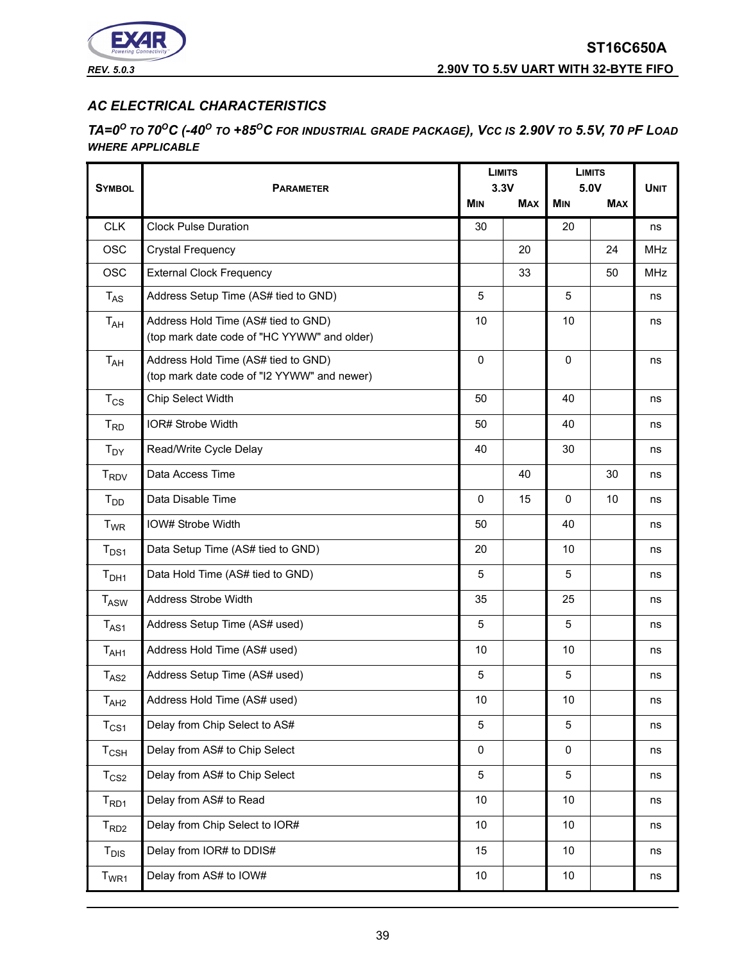

## <span id="page-38-0"></span>*AC ELECTRICAL CHARACTERISTICS*

*TA=0<sup>O</sup> TO 70OC (-40O TO +85OC FOR INDUSTRIAL GRADE PACKAGE), VCC IS 2.90V TO 5.5V, 70 PF LOAD WHERE APPLICABLE*

|                  |                                                                                    | <b>LIMITS</b> |                    | <b>LIMITS</b>   |                    |             |
|------------------|------------------------------------------------------------------------------------|---------------|--------------------|-----------------|--------------------|-------------|
| <b>SYMBOL</b>    | <b>PARAMETER</b>                                                                   | <b>MIN</b>    | 3.3V<br><b>MAX</b> | <b>MIN</b>      | 5.0V<br><b>MAX</b> | <b>UNIT</b> |
| <b>CLK</b>       | <b>Clock Pulse Duration</b>                                                        | 30            |                    | 20              |                    | ns          |
| <b>OSC</b>       | Crystal Frequency                                                                  |               | 20                 |                 | 24                 | <b>MHz</b>  |
| <b>OSC</b>       | <b>External Clock Frequency</b>                                                    |               | 33                 |                 | 50                 | <b>MHz</b>  |
| $T_{AS}$         | Address Setup Time (AS# tied to GND)                                               | 5             |                    | 5               |                    | ns          |
| $T_{AH}$         | Address Hold Time (AS# tied to GND)<br>(top mark date code of "HC YYWW" and older) | 10            |                    | 10              |                    | ns          |
| $T_{AH}$         | Address Hold Time (AS# tied to GND)<br>(top mark date code of "I2 YYWW" and newer) | $\mathbf 0$   |                    | $\mathbf 0$     |                    | ns          |
| $T_{CS}$         | Chip Select Width                                                                  | 50            |                    | 40              |                    | ns          |
| $T_{RD}$         | IOR# Strobe Width                                                                  | 50            |                    | 40              |                    | ns          |
| $T_{DY}$         | Read/Write Cycle Delay                                                             | 40            |                    | 30              |                    | ns          |
| <b>TRDV</b>      | Data Access Time                                                                   |               | 40                 |                 | 30                 | ns          |
| $T_{DD}$         | Data Disable Time                                                                  | 0             | 15                 | $\Omega$        | 10                 | ns          |
| $T_{WR}$         | IOW# Strobe Width                                                                  | 50            |                    | 40              |                    | ns          |
| $T_{DS1}$        | Data Setup Time (AS# tied to GND)                                                  | 20            |                    | 10              |                    | ns          |
| T <sub>DH1</sub> | Data Hold Time (AS# tied to GND)                                                   | 5             |                    | 5               |                    | ns          |
| <b>TASW</b>      | Address Strobe Width                                                               | 35            |                    | 25              |                    | ns          |
| $T_{AS1}$        | Address Setup Time (AS# used)                                                      | 5             |                    | 5               |                    | ns          |
| T <sub>AH1</sub> | Address Hold Time (AS# used)                                                       | 10            |                    | 10              |                    | ns          |
| $T_{AS2}$        | Address Setup Time (AS# used)                                                      | 5             |                    | 5               |                    | ns          |
| T <sub>AH2</sub> | Address Hold Time (AS# used)                                                       | 10            |                    | 10              |                    | ns          |
| $T_{CS1}$        | Delay from Chip Select to AS#                                                      | 5             |                    | 5               |                    | ns          |
| $T_{\text{CSH}}$ | Delay from AS# to Chip Select                                                      | $\mathbf 0$   |                    | $\mathbf 0$     |                    | ns          |
| T <sub>CS2</sub> | Delay from AS# to Chip Select                                                      | 5             |                    | $5\phantom{.0}$ |                    | ns          |
| $T_{RD1}$        | Delay from AS# to Read                                                             | $10\,$        |                    | $10\,$          |                    | ns          |
| $T_{RD2}$        | Delay from Chip Select to IOR#                                                     | 10            |                    | 10              |                    | ns          |
| T <sub>DIS</sub> | Delay from IOR# to DDIS#                                                           | 15            |                    | $10\,$          |                    | ns          |
| $T_{WR1}$        | Delay from AS# to IOW#                                                             | $10\,$        |                    | 10 <sub>1</sub> |                    | ns          |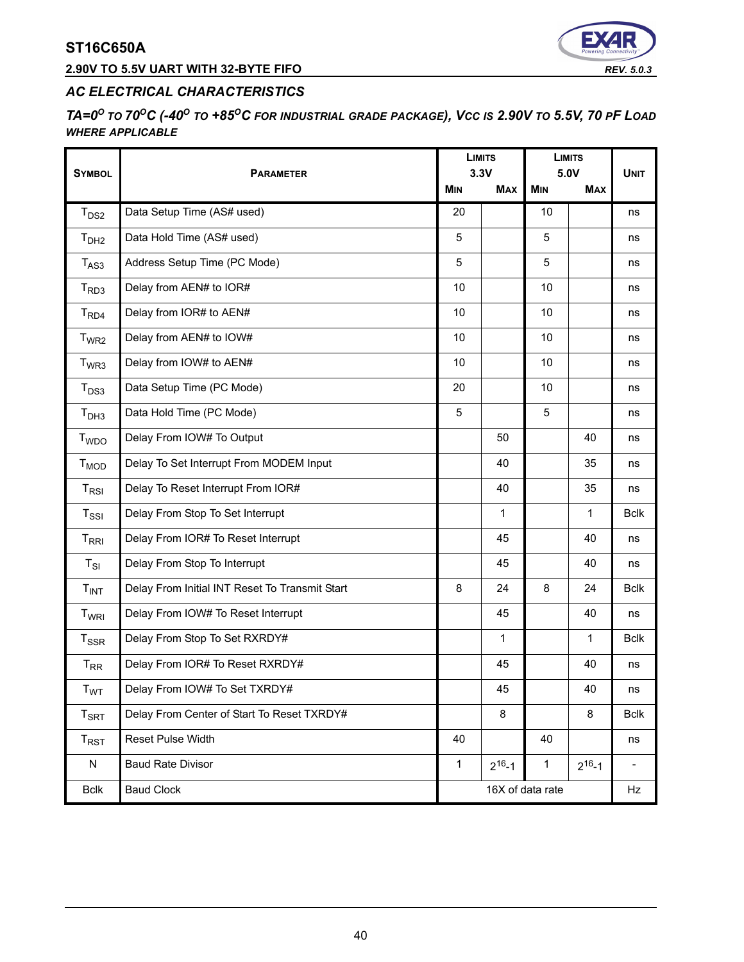## **2.90V TO 5.5V UART WITH 32-BYTE FIFO** *REV. 5.0.3*



## *AC ELECTRICAL CHARACTERISTICS*

*TA=0<sup>O</sup> TO 70OC (-40O TO +85OC FOR INDUSTRIAL GRADE PACKAGE), VCC IS 2.90V TO 5.5V, 70 PF LOAD WHERE APPLICABLE*

|                            |                                                | <b>LIMITS</b><br>3.3V |              | <b>LIMITS</b><br>5.0V |              |                              |
|----------------------------|------------------------------------------------|-----------------------|--------------|-----------------------|--------------|------------------------------|
| <b>SYMBOL</b>              | <b>PARAMETER</b>                               |                       | <b>MAX</b>   | <b>MIN</b>            | <b>MAX</b>   | <b>UNIT</b>                  |
| $T_{DS2}$                  | Data Setup Time (AS# used)                     | 20                    |              | 10 <sup>1</sup>       |              | ns                           |
| T <sub>DH2</sub>           | Data Hold Time (AS# used)                      | 5                     |              | 5                     |              | ns                           |
| $T_{AS3}$                  | Address Setup Time (PC Mode)                   | 5                     |              | 5                     |              | ns                           |
| T <sub>RD3</sub>           | Delay from AEN# to IOR#                        | 10                    |              | 10                    |              | ns                           |
| $T_{RD4}$                  | Delay from IOR# to AEN#                        | 10                    |              | 10                    |              | ns                           |
| T <sub>WR2</sub>           | Delay from AEN# to IOW#                        | 10                    |              | 10 <sup>°</sup>       |              | ns                           |
| $T_{WR3}$                  | Delay from IOW# to AEN#                        | 10                    |              | 10                    |              | ns                           |
| $T_{DS3}$                  | Data Setup Time (PC Mode)                      | 20                    |              | 10                    |              | ns                           |
| T <sub>DH3</sub>           | Data Hold Time (PC Mode)                       | 5                     |              | 5                     |              | ns                           |
| <b>T</b> <sub>WDO</sub>    | Delay From IOW# To Output                      |                       | 50           |                       | 40           | ns                           |
| $T_{MOD}$                  | Delay To Set Interrupt From MODEM Input        |                       | 40           |                       | 35           | ns                           |
| $T_{RSI}$                  | Delay To Reset Interrupt From IOR#             |                       | 40           |                       | 35           | ns                           |
| $T_{\rm SSI}$              | Delay From Stop To Set Interrupt               |                       | $\mathbf{1}$ |                       | 1            | <b>Bclk</b>                  |
| $T_{RRI}$                  | Delay From IOR# To Reset Interrupt             |                       | 45           |                       | 40           | ns                           |
| $T_{SI}$                   | Delay From Stop To Interrupt                   |                       | 45           |                       | 40           | ns                           |
| T <sub>INT</sub>           | Delay From Initial INT Reset To Transmit Start | 8                     | 24           | 8                     | 24           | <b>Bclk</b>                  |
| T <sub>WRI</sub>           | Delay From IOW# To Reset Interrupt             |                       | 45           |                       | 40           | ns                           |
| $T_{\rm SSR}$              | Delay From Stop To Set RXRDY#                  |                       | $\mathbf{1}$ |                       | 1            | <b>Bclk</b>                  |
| $\mathsf{T}_{\mathsf{RR}}$ | Delay From IOR# To Reset RXRDY#                |                       | 45           |                       | 40           | ns                           |
| T <sub>WT</sub>            | Delay From IOW# To Set TXRDY#                  |                       | 45           |                       | 40           | ns                           |
| $T_{\sf SRT}$              | Delay From Center of Start To Reset TXRDY#     |                       | 8            |                       | 8            | <b>Bclk</b>                  |
| $T_{\sf RST}$              | Reset Pulse Width                              | 40                    |              | 40                    |              | ns                           |
| ${\sf N}$                  | <b>Baud Rate Divisor</b>                       | $\mathbf{1}$          | $2^{16} - 1$ | $\mathbf{1}$          | $2^{16} - 1$ | $\qquad \qquad \blacksquare$ |
| <b>Bclk</b>                | <b>Baud Clock</b>                              | 16X of data rate      |              |                       | Hz           |                              |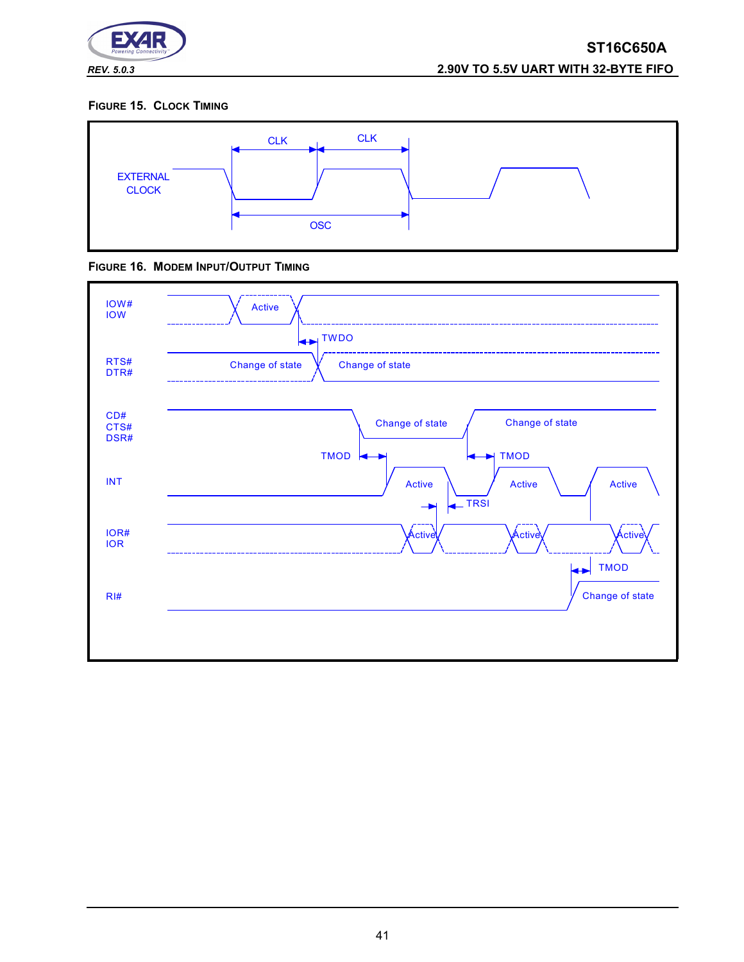

### **FIGURE 15. CLOCK TIMING**





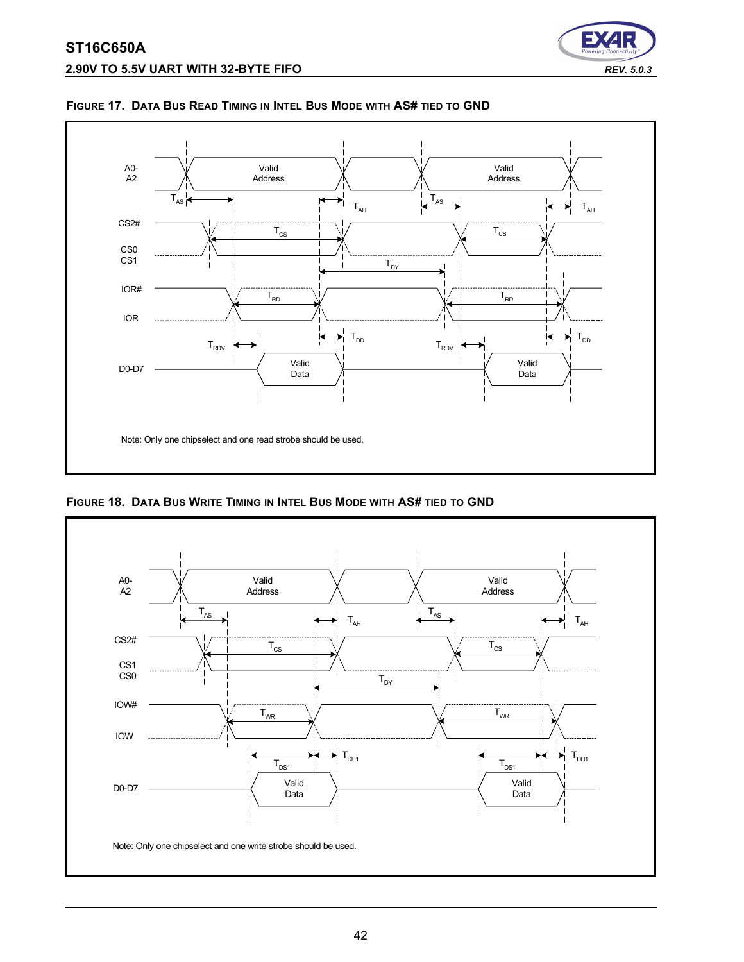





**FIGURE 18. DATA BUS WRITE TIMING IN INTEL BUS MODE WITH AS# TIED TO GND**

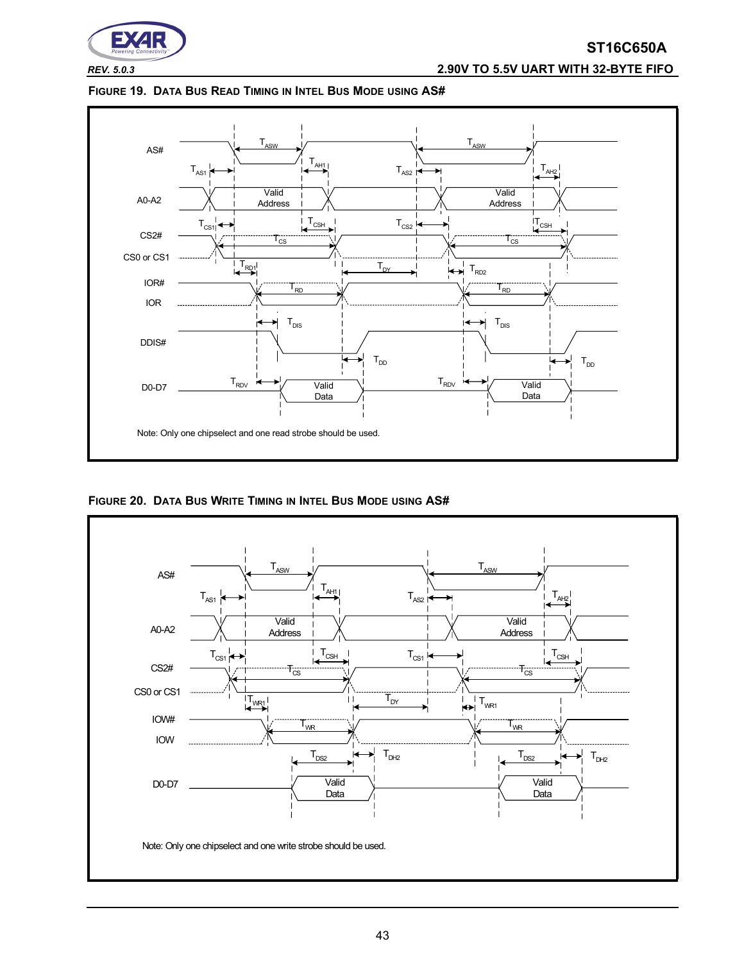

*REV. 5.0.3* **2.90V TO 5.5V UART WITH 32-BYTE FIFO**

### **FIGURE 19. DATA BUS READ TIMING IN INTEL BUS MODE USING AS#**



**FIGURE 20. DATA BUS WRITE TIMING IN INTEL BUS MODE USING AS#**

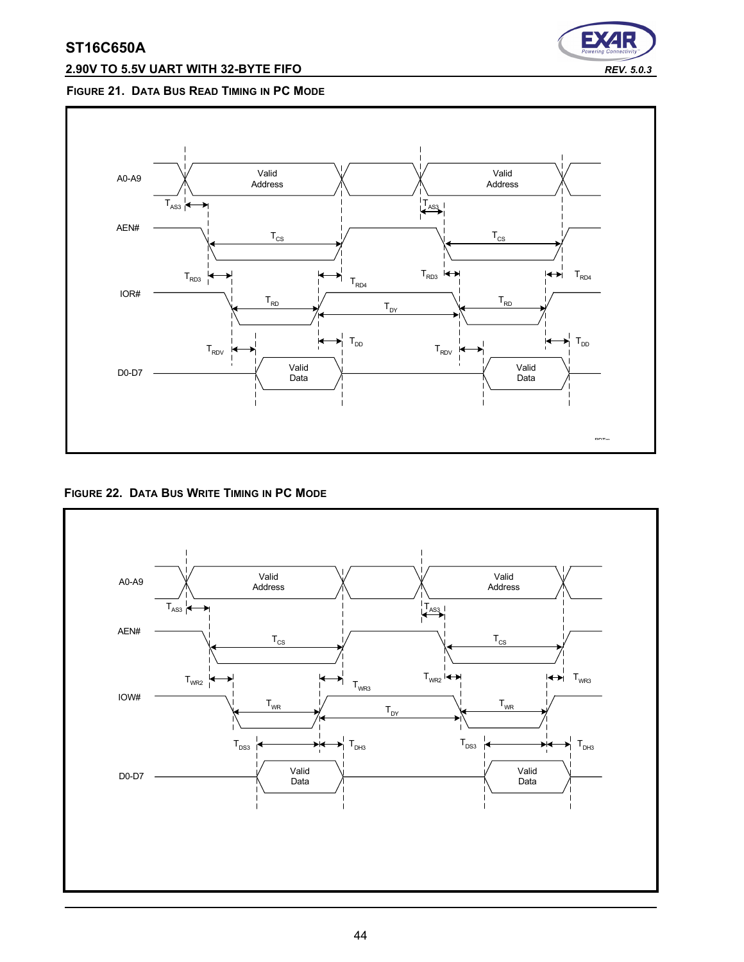## **2.90V TO 5.5V UART WITH 32-BYTE FIFO** *REV. 5.0.3*



### **FIGURE 21. DATA BUS READ TIMING IN PC MODE**



### **FIGURE 22. DATA BUS WRITE TIMING IN PC MODE**

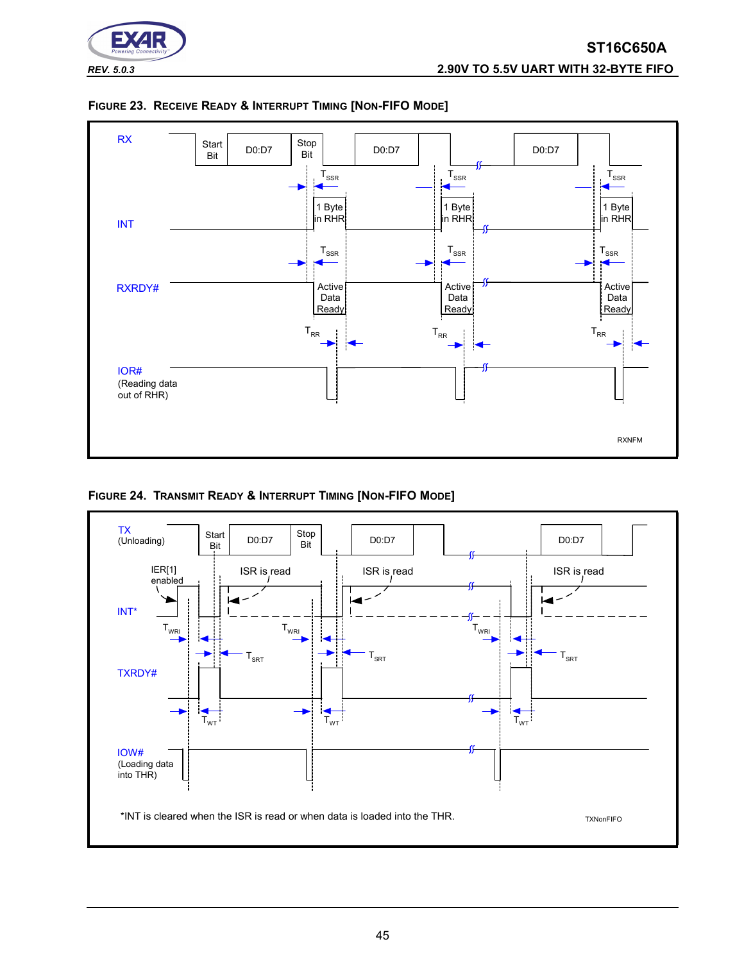

<span id="page-44-0"></span>



**FIGURE 24. TRANSMIT READY & INTERRUPT TIMING [NON-FIFO MODE]** 

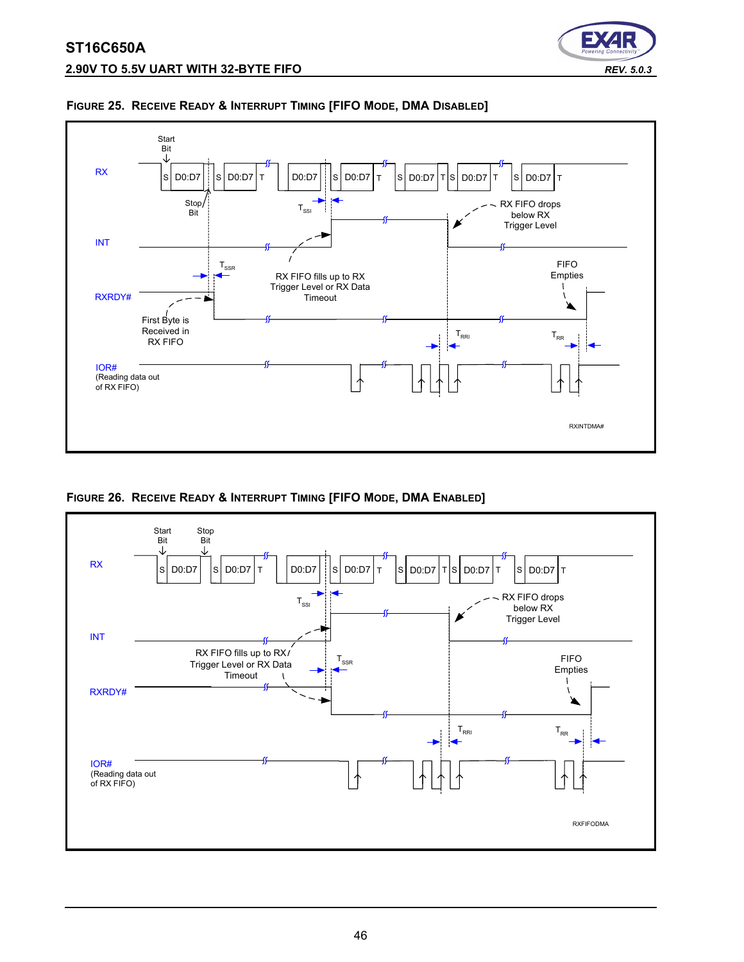



### **FIGURE 25. RECEIVE READY & INTERRUPT TIMING [FIFO MODE, DMA DISABLED]**

**FIGURE 26. RECEIVE READY & INTERRUPT TIMING [FIFO MODE, DMA ENABLED]** 

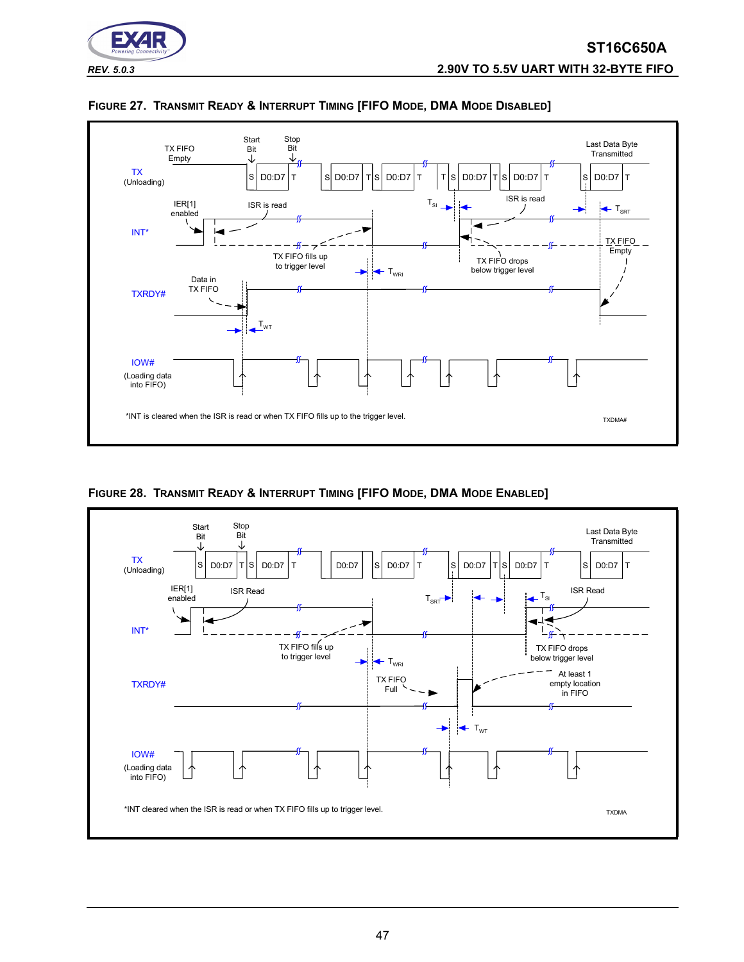



**FIGURE 27. TRANSMIT READY & INTERRUPT TIMING [FIFO MODE, DMA MODE DISABLED]** 

<span id="page-46-0"></span>**FIGURE 28. TRANSMIT READY & INTERRUPT TIMING [FIFO MODE, DMA MODE ENABLED]** 

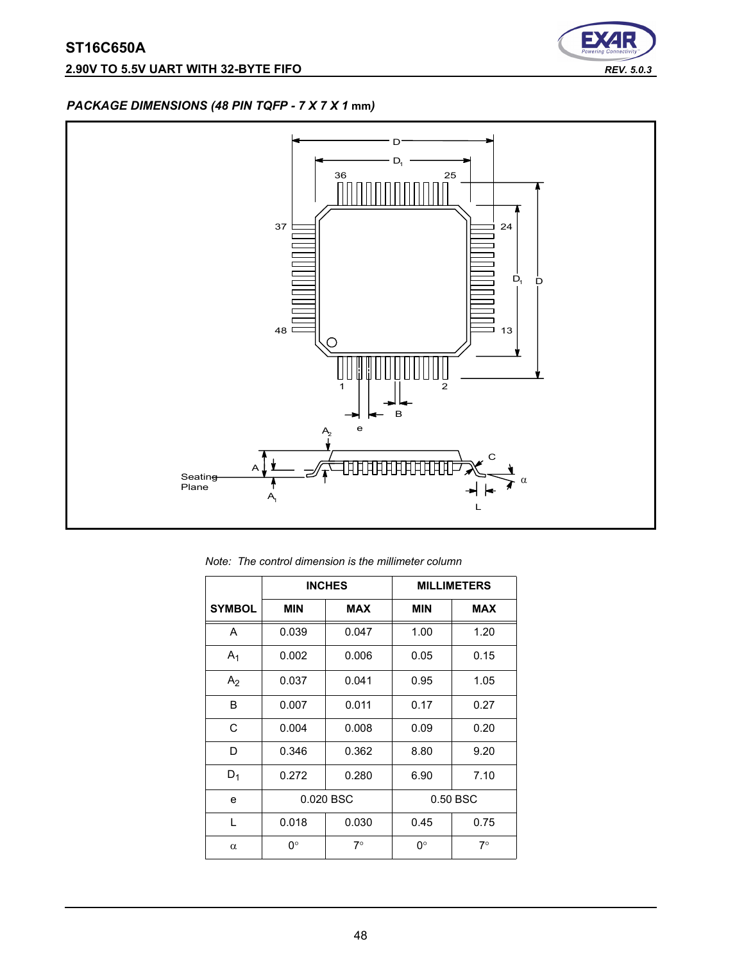**2.90V TO 5.5V UART WITH 32-BYTE FIFO** *REV. 5.0.3*



## *PACKAGE DIMENSIONS (48 PIN TQFP - 7 X 7 X 1* **mm***)*



*Note: The control dimension is the millimeter column*

|                |            | <b>INCHES</b> | <b>MILLIMETERS</b> |            |  |
|----------------|------------|---------------|--------------------|------------|--|
| <b>SYMBOL</b>  | <b>MIN</b> | <b>MAX</b>    | <b>MIN</b>         | <b>MAX</b> |  |
| A              | 0.039      | 0.047         | 1.00               | 1.20       |  |
| A <sub>1</sub> | 0.002      | 0.006         | 0.05               | 0.15       |  |
| A <sub>2</sub> | 0.037      | 0.041         | 0.95               | 1.05       |  |
| B              | 0.007      | 0.011         | 0.17               | 0.27       |  |
| C              | 0.004      | 0.008         | 0.09               | 0.20       |  |
| D              | 0.346      | 0.362         | 8.80               | 9.20       |  |
| $D_1$          | 0.272      | 0.280         | 6.90               | 7.10       |  |
| e              | 0.020 BSC  |               | 0.50 BSC           |            |  |
| L              | 0.018      | 0.030         | 0.45               | 0.75       |  |
| $\alpha$       | 0°         | $7^{\circ}$   | 0°                 | 7∘         |  |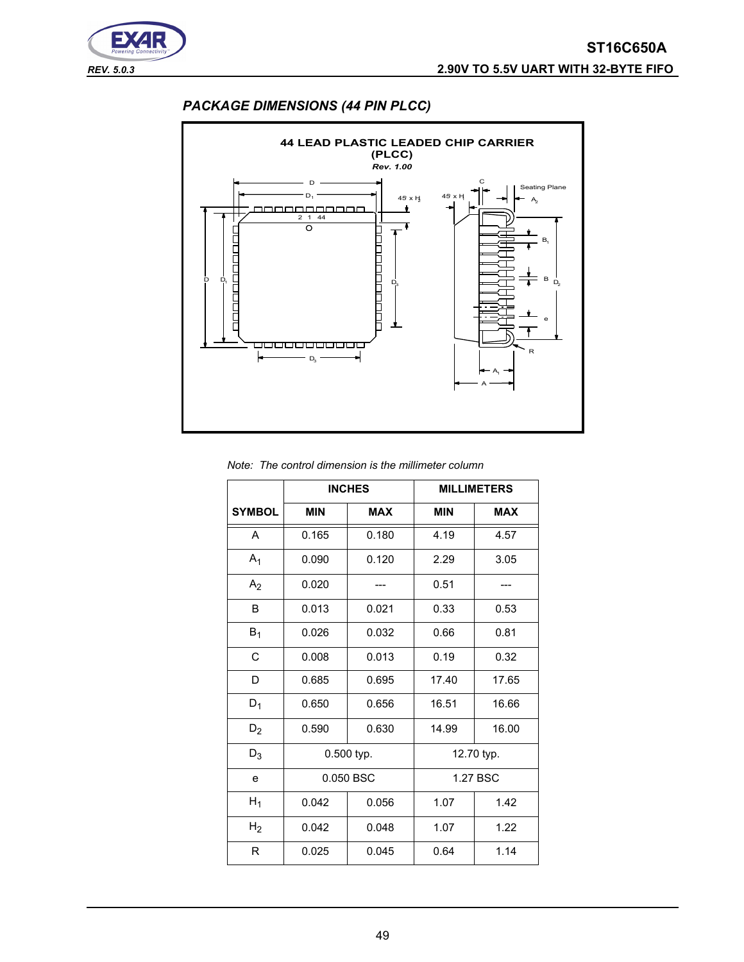

## *PACKAGE DIMENSIONS (44 PIN PLCC)*



### *Note: The control dimension is the millimeter column*

|                |            | <b>INCHES</b> | <b>MILLIMETERS</b> |            |  |
|----------------|------------|---------------|--------------------|------------|--|
| <b>SYMBOL</b>  | <b>MIN</b> | <b>MAX</b>    | <b>MIN</b>         | <b>MAX</b> |  |
| A              | 0.165      | 0.180         | 4.19               | 4.57       |  |
| $A_1$          | 0.090      | 0.120         | 2.29               | 3.05       |  |
| A <sub>2</sub> | 0.020      |               | 0.51               |            |  |
| B              | 0.013      | 0.021         | 0.33               | 0.53       |  |
| $B_1$          | 0.026      | 0.032         | 0.66               | 0.81       |  |
| C              | 0.008      | 0.013         | 0.19               | 0.32       |  |
| D              | 0.685      | 0.695         | 17.40              | 17.65      |  |
| $D_1$          | 0.650      | 0.656         | 16.51              | 16.66      |  |
| $D_2$          | 0.590      | 0.630         | 14.99              | 16.00      |  |
| $D_3$          | 0.500 typ. |               | 12.70 typ.         |            |  |
| e              | 0.050 BSC  |               | 1.27 BSC           |            |  |
| $H_1$          | 0.042      | 0.056         | 1.07               | 1.42       |  |
| H <sub>2</sub> | 0.042      | 0.048         | 1.07               | 1.22       |  |
| R              | 0.025      | 0.045         | 1.14<br>0.64       |            |  |